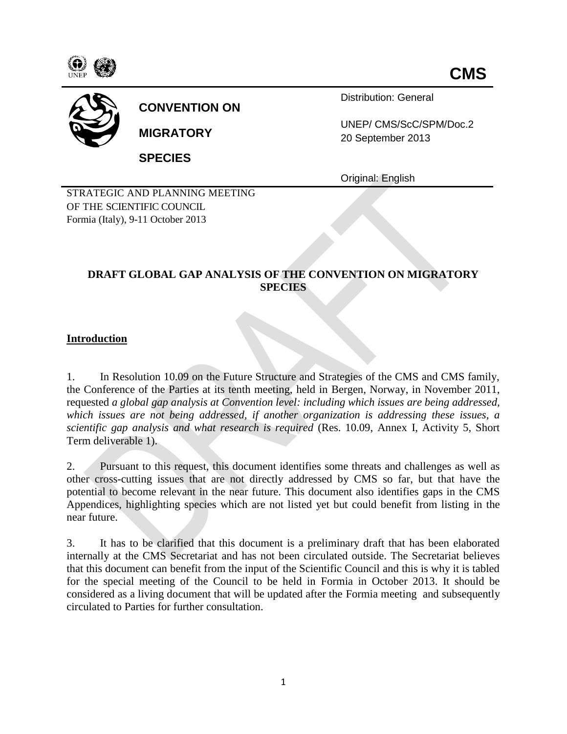



# **CONVENTION ON**

**MIGRATORY**

**SPECIES**

Distribution: General

UNEP/ CMS/ScC/SPM/Doc.2 20 September 2013

Original: English

STRATEGIC AND PLANNING MEETING OF THE SCIENTIFIC COUNCIL Formia (Italy), 9-11 October 2013

# **DRAFT GLOBAL GAP ANALYSIS OF THE CONVENTION ON MIGRATORY SPECIES**

# **Introduction**

1. In Resolution 10.09 on the Future Structure and Strategies of the CMS and CMS family, the Conference of the Parties at its tenth meeting, held in Bergen, Norway, in November 2011, requested *a global gap analysis at Convention level: including which issues are being addressed, which issues are not being addressed, if another organization is addressing these issues, a scientific gap analysis and what research is required* (Res. 10.09, Annex I, Activity 5, Short Term deliverable 1).

2. Pursuant to this request, this document identifies some threats and challenges as well as other cross-cutting issues that are not directly addressed by CMS so far, but that have the potential to become relevant in the near future. This document also identifies gaps in the CMS Appendices, highlighting species which are not listed yet but could benefit from listing in the near future.

3. It has to be clarified that this document is a preliminary draft that has been elaborated internally at the CMS Secretariat and has not been circulated outside. The Secretariat believes that this document can benefit from the input of the Scientific Council and this is why it is tabled for the special meeting of the Council to be held in Formia in October 2013. It should be considered as a living document that will be updated after the Formia meeting and subsequently circulated to Parties for further consultation.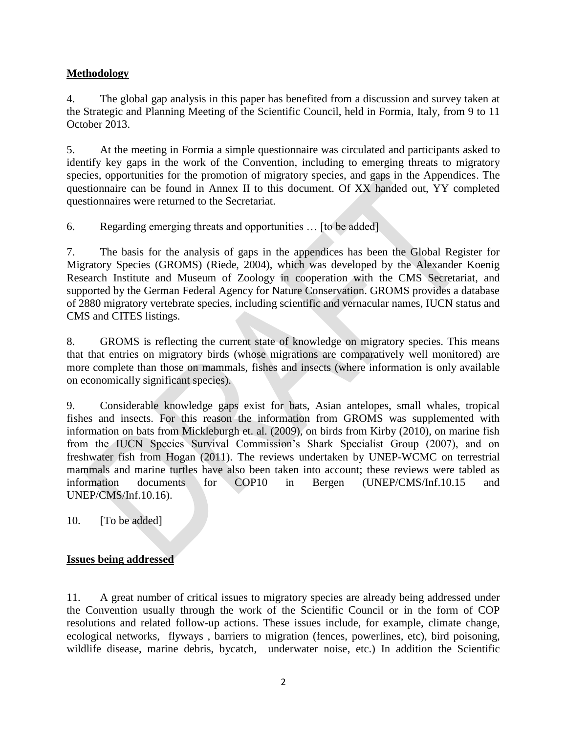# **Methodology**

4. The global gap analysis in this paper has benefited from a discussion and survey taken at the Strategic and Planning Meeting of the Scientific Council, held in Formia, Italy, from 9 to 11 October 2013.

5. At the meeting in Formia a simple questionnaire was circulated and participants asked to identify key gaps in the work of the Convention, including to emerging threats to migratory species, opportunities for the promotion of migratory species, and gaps in the Appendices. The questionnaire can be found in Annex II to this document. Of XX handed out, YY completed questionnaires were returned to the Secretariat.

6. Regarding emerging threats and opportunities … [to be added]

7. The basis for the analysis of gaps in the appendices has been the Global Register for Migratory Species (GROMS) (Riede, 2004), which was developed by the Alexander Koenig Research Institute and Museum of Zoology in cooperation with the CMS Secretariat, and supported by the German Federal Agency for Nature Conservation. GROMS provides a database of 2880 migratory vertebrate species, including scientific and vernacular names, IUCN status and CMS and CITES listings.

8. GROMS is reflecting the current state of knowledge on migratory species. This means that that entries on migratory birds (whose migrations are comparatively well monitored) are more complete than those on mammals, fishes and insects (where information is only available on economically significant species).

9. Considerable knowledge gaps exist for bats, Asian antelopes, small whales, tropical fishes and insects. For this reason the information from GROMS was supplemented with information on bats from Mickleburgh et. al. (2009), on birds from Kirby (2010), on marine fish from the IUCN Species Survival Commission's Shark Specialist Group (2007), and on freshwater fish from Hogan (2011). The reviews undertaken by UNEP-WCMC on terrestrial mammals and marine turtles have also been taken into account; these reviews were tabled as information documents for COP10 in Bergen (UNEP/CMS/Inf.10.15 and UNEP/CMS/Inf.10.16).

10. **[To be added]** 

# **Issues being addressed**

11. A great number of critical issues to migratory species are already being addressed under the Convention usually through the work of the Scientific Council or in the form of COP resolutions and related follow-up actions. These issues include, for example, climate change, ecological networks, flyways , barriers to migration (fences, powerlines, etc), bird poisoning, wildlife disease, marine debris, bycatch, underwater noise, etc.) In addition the Scientific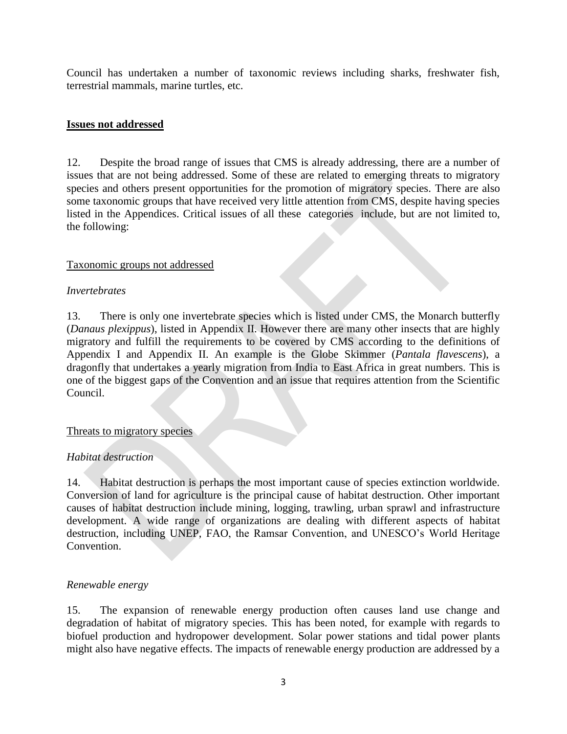Council has undertaken a number of taxonomic reviews including sharks, freshwater fish, terrestrial mammals, marine turtles, etc.

#### **Issues not addressed**

12. Despite the broad range of issues that CMS is already addressing, there are a number of issues that are not being addressed. Some of these are related to emerging threats to migratory species and others present opportunities for the promotion of migratory species. There are also some taxonomic groups that have received very little attention from CMS, despite having species listed in the Appendices. Critical issues of all these categories include, but are not limited to, the following:

#### Taxonomic groups not addressed

#### *Invertebrates*

13. There is only one invertebrate species which is listed under CMS, the Monarch butterfly (*Danaus plexippus*), listed in Appendix II. However there are many other insects that are highly migratory and fulfill the requirements to be covered by CMS according to the definitions of Appendix I and Appendix II. An example is the Globe Skimmer (*Pantala flavescens*), a dragonfly that undertakes a yearly migration from India to East Africa in great numbers. This is one of the biggest gaps of the Convention and an issue that requires attention from the Scientific Council.

#### Threats to migratory species

# *Habitat destruction*

14. Habitat destruction is perhaps the most important cause of species extinction worldwide. Conversion of land for agriculture is the principal cause of habitat destruction. Other important causes of habitat destruction include mining, logging, trawling, urban sprawl and infrastructure development. A wide range of organizations are dealing with different aspects of habitat destruction, including UNEP, FAO, the Ramsar Convention, and UNESCO's World Heritage Convention.

#### *Renewable energy*

15. The expansion of renewable energy production often causes land use change and degradation of habitat of migratory species. This has been noted, for example with regards to biofuel production and hydropower development. Solar power stations and tidal power plants might also have negative effects. The impacts of renewable energy production are addressed by a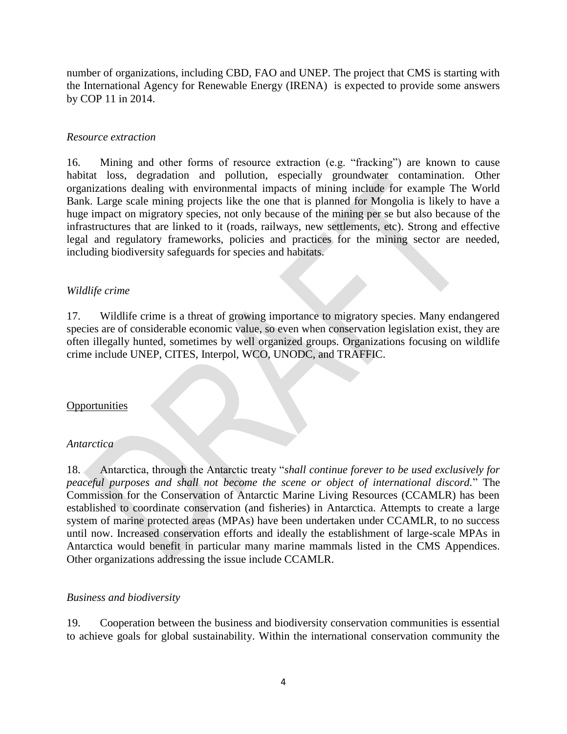number of organizations, including CBD, FAO and UNEP. The project that CMS is starting with the International Agency for Renewable Energy (IRENA) is expected to provide some answers by COP 11 in 2014.

### *Resource extraction*

16. Mining and other forms of resource extraction (e.g. "fracking") are known to cause habitat loss, degradation and pollution, especially groundwater contamination. Other organizations dealing with environmental impacts of mining include for example The World Bank. Large scale mining projects like the one that is planned for Mongolia is likely to have a huge impact on migratory species, not only because of the mining per se but also because of the infrastructures that are linked to it (roads, railways, new settlements, etc). Strong and effective legal and regulatory frameworks, policies and practices for the mining sector are needed, including biodiversity safeguards for species and habitats.

#### *Wildlife crime*

17. Wildlife crime is a threat of growing importance to migratory species. Many endangered species are of considerable economic value, so even when conservation legislation exist, they are often illegally hunted, sometimes by well organized groups. Organizations focusing on wildlife crime include UNEP, CITES, Interpol, WCO, UNODC, and TRAFFIC.

#### **Opportunities**

#### *Antarctica*

18. Antarctica, through the Antarctic treaty "*shall continue forever to be used exclusively for peaceful purposes and shall not become the scene or object of international discord.*" The Commission for the Conservation of Antarctic Marine Living Resources (CCAMLR) has been established to coordinate conservation (and fisheries) in Antarctica. Attempts to create a large system of marine protected areas (MPAs) have been undertaken under CCAMLR, to no success until now. Increased conservation efforts and ideally the establishment of large-scale MPAs in Antarctica would benefit in particular many marine mammals listed in the CMS Appendices. Other organizations addressing the issue include CCAMLR.

#### *Business and biodiversity*

19. Cooperation between the business and biodiversity conservation communities is essential to achieve goals for global sustainability. Within the international conservation community the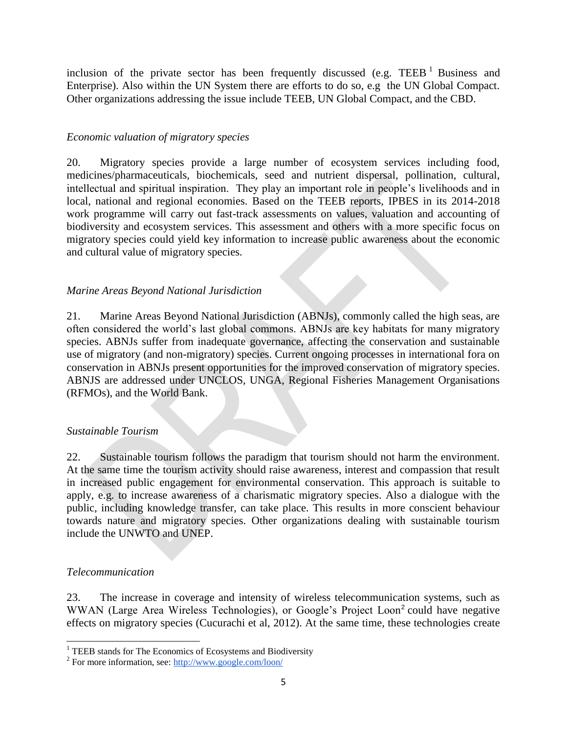inclusion of the private sector has been frequently discussed (e.g. TEEB  $^1$  Business and Enterprise). Also within the UN System there are efforts to do so, e.g the UN Global Compact. Other organizations addressing the issue include TEEB, UN Global Compact, and the CBD.

# *Economic valuation of migratory species*

20. Migratory species provide a large number of ecosystem services including food, medicines/pharmaceuticals, biochemicals, seed and nutrient dispersal, pollination, cultural, intellectual and spiritual inspiration. They play an important role in people's livelihoods and in local, national and regional economies. Based on the TEEB reports, IPBES in its 2014-2018 work programme will carry out fast-track assessments on values, valuation and accounting of biodiversity and ecosystem services. This assessment and others with a more specific focus on migratory species could yield key information to increase public awareness about the economic and cultural value of migratory species.

# *Marine Areas Beyond National Jurisdiction*

21. Marine Areas Beyond National Jurisdiction (ABNJs), commonly called the high seas, are often considered the world's last global commons. ABNJs are key habitats for many migratory species. ABNJs suffer from inadequate governance, affecting the conservation and sustainable use of migratory (and non-migratory) species. Current ongoing processes in international fora on conservation in ABNJs present opportunities for the improved conservation of migratory species. ABNJS are addressed under UNCLOS, UNGA, Regional Fisheries Management Organisations (RFMOs), and the World Bank.

# *Sustainable Tourism*

22. Sustainable tourism follows the paradigm that tourism should not harm the environment. At the same time the tourism activity should raise awareness, interest and compassion that result in increased public engagement for environmental conservation. This approach is suitable to apply, e.g. to increase awareness of a charismatic migratory species. Also a dialogue with the public, including knowledge transfer, can take place. This results in more conscient behaviour towards nature and migratory species. Other organizations dealing with sustainable tourism include the UNWTO and UNEP.

# *Telecommunication*

23. The increase in coverage and intensity of wireless telecommunication systems, such as WWAN (Large Area Wireless Technologies), or Google's Project Loon<sup>2</sup> could have negative effects on migratory species (Cucurachi et al, 2012). At the same time, these technologies create

  $1$  TEEB stands for The Economics of Ecosystems and Biodiversity

<sup>&</sup>lt;sup>2</sup> For more information, see:<http://www.google.com/loon/>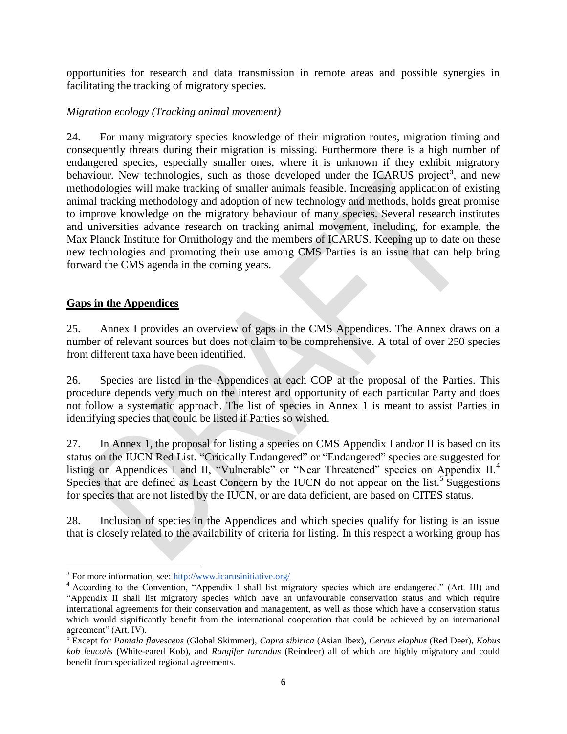opportunities for research and data transmission in remote areas and possible synergies in facilitating the tracking of migratory species.

#### *Migration ecology (Tracking animal movement)*

24. For many migratory species knowledge of their migration routes, migration timing and consequently threats during their migration is missing. Furthermore there is a high number of endangered species, especially smaller ones, where it is unknown if they exhibit migratory behaviour. New technologies, such as those developed under the ICARUS project<sup>3</sup>, and new methodologies will make tracking of smaller animals feasible. Increasing application of existing animal tracking methodology and adoption of new technology and methods, holds great promise to improve knowledge on the migratory behaviour of many species. Several research institutes and universities advance research on tracking animal movement, including, for example, the Max Planck Institute for Ornithology and the members of ICARUS. Keeping up to date on these new technologies and promoting their use among CMS Parties is an issue that can help bring forward the CMS agenda in the coming years.

#### **Gaps in the Appendices**

25. Annex I provides an overview of gaps in the CMS Appendices. The Annex draws on a number of relevant sources but does not claim to be comprehensive. A total of over 250 species from different taxa have been identified.

26. Species are listed in the Appendices at each COP at the proposal of the Parties. This procedure depends very much on the interest and opportunity of each particular Party and does not follow a systematic approach. The list of species in Annex 1 is meant to assist Parties in identifying species that could be listed if Parties so wished.

27. In Annex 1, the proposal for listing a species on CMS Appendix I and/or II is based on its status on the IUCN Red List. "Critically Endangered" or "Endangered" species are suggested for listing on Appendices I and II, "Vulnerable" or "Near Threatened" species on Appendix II.<sup>4</sup> Species that are defined as Least Concern by the IUCN do not appear on the list.<sup>5</sup> Suggestions for species that are not listed by the IUCN, or are data deficient, are based on CITES status.

28. Inclusion of species in the Appendices and which species qualify for listing is an issue that is closely related to the availability of criteria for listing. In this respect a working group has

<sup>&</sup>lt;sup>3</sup> For more information, see: [http://www.icarusinitiative.org/](http://icarusinitiative.org/)

<sup>&</sup>lt;sup>4</sup> According to the Convention, "Appendix I shall list migratory species which are endangered." (Art. III) and "Appendix II shall list migratory species which have an unfavourable conservation status and which require international agreements for their conservation and management, as well as those which have a conservation status which would significantly benefit from the international cooperation that could be achieved by an international agreement" (Art. IV).

<sup>5</sup> Except for *Pantala flavescens* (Global Skimmer), *Capra sibirica* (Asian Ibex), *Cervus elaphus* (Red Deer), *Kobus kob leucotis* (White-eared Kob), and *Rangifer tarandus* (Reindeer) all of which are highly migratory and could benefit from specialized regional agreements.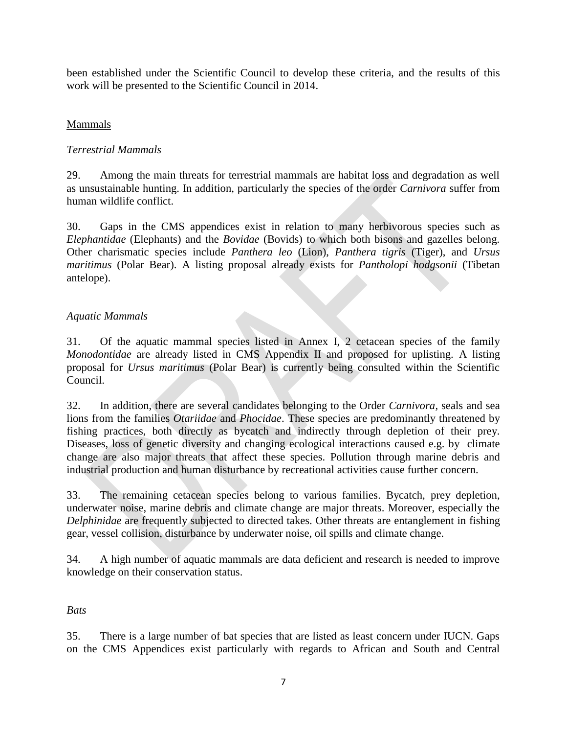been established under the Scientific Council to develop these criteria, and the results of this work will be presented to the Scientific Council in 2014.

# Mammals

# *Terrestrial Mammals*

29. Among the main threats for terrestrial mammals are habitat loss and degradation as well as unsustainable hunting. In addition, particularly the species of the order *Carnivora* suffer from human wildlife conflict.

30. Gaps in the CMS appendices exist in relation to many herbivorous species such as *Elephantidae* (Elephants) and the *Bovidae* (Bovids) to which both bisons and gazelles belong. Other charismatic species include *Panthera leo* (Lion), *Panthera tigris* (Tiger), and *Ursus maritimus* (Polar Bear). A listing proposal already exists for *Pantholopi hodgsonii* (Tibetan antelope).

# *Aquatic Mammals*

31. Of the aquatic mammal species listed in Annex I, 2 cetacean species of the family *Monodontidae* are already listed in CMS Appendix II and proposed for uplisting. A listing proposal for *Ursus maritimus* (Polar Bear) is currently being consulted within the Scientific Council.

32. In addition, there are several candidates belonging to the Order *Carnivora,* seals and sea lions from the families *Otariidae* and *Phocidae*. These species are predominantly threatened by fishing practices, both directly as bycatch and indirectly through depletion of their prey. Diseases, loss of genetic diversity and changing ecological interactions caused e.g. by climate change are also major threats that affect these species. Pollution through marine debris and industrial production and human disturbance by recreational activities cause further concern.

33. The remaining cetacean species belong to various families. Bycatch, prey depletion, underwater noise, marine debris and climate change are major threats. Moreover, especially the *Delphinidae* are frequently subjected to directed takes. Other threats are entanglement in fishing gear, vessel collision, disturbance by underwater noise, oil spills and climate change.

34. A high number of aquatic mammals are data deficient and research is needed to improve knowledge on their conservation status.

# *Bats*

35. There is a large number of bat species that are listed as least concern under IUCN. Gaps on the CMS Appendices exist particularly with regards to African and South and Central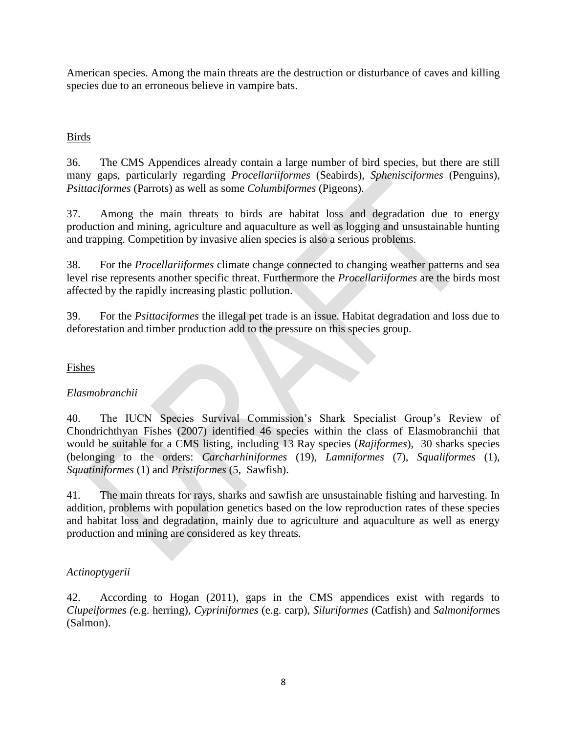American species. Among the main threats are the destruction or disturbance of caves and killing species due to an erroneous believe in vampire bats.

# Birds

36. The CMS Appendices already contain a large number of bird species, but there are still many gaps, particularly regarding *Procellariiformes* (Seabirds), *Sphenisciformes* (Penguins), *Psittaciformes* (Parrots) as well as some *Columbiformes* (Pigeons).

37. Among the main threats to birds are habitat loss and degradation due to energy production and mining, agriculture and aquaculture as well as logging and unsustainable hunting and trapping. Competition by invasive alien species is also a serious problems.

38. For the *Procellariiformes* climate change connected to changing weather patterns and sea level rise represents another specific threat. Furthermore the *Procellariiformes* are the birds most affected by the rapidly increasing plastic pollution.

39. For the *Psittaciformes* the illegal pet trade is an issue. Habitat degradation and loss due to deforestation and timber production add to the pressure on this species group.

# Fishes

# *Elasmobranchii*

40. The IUCN Species Survival Commission's Shark Specialist Group's Review of Chondrichthyan Fishes (2007) identified 46 species within the class of Elasmobranchii that would be suitable for a CMS listing, including 13 Ray species (*Rajiformes*), 30 sharks species (belonging to the orders: *Carcharhiniformes* (19), *Lamniformes* (7), *Squaliformes* (1), *Squatiniformes* (1) and *Pristiformes* (5, Sawfish).

41. The main threats for rays, sharks and sawfish are unsustainable fishing and harvesting. In addition, problems with population genetics based on the low reproduction rates of these species and habitat loss and degradation, mainly due to agriculture and aquaculture as well as energy production and mining are considered as key threats.

# *Actinoptygerii*

42. According to Hogan (2011), gaps in the CMS appendices exist with regards to *Clupeiformes (*e.g. herring)*, Cypriniformes* (e.g. carp), *Siluriformes* (Catfish) and *Salmoniforme*s (Salmon).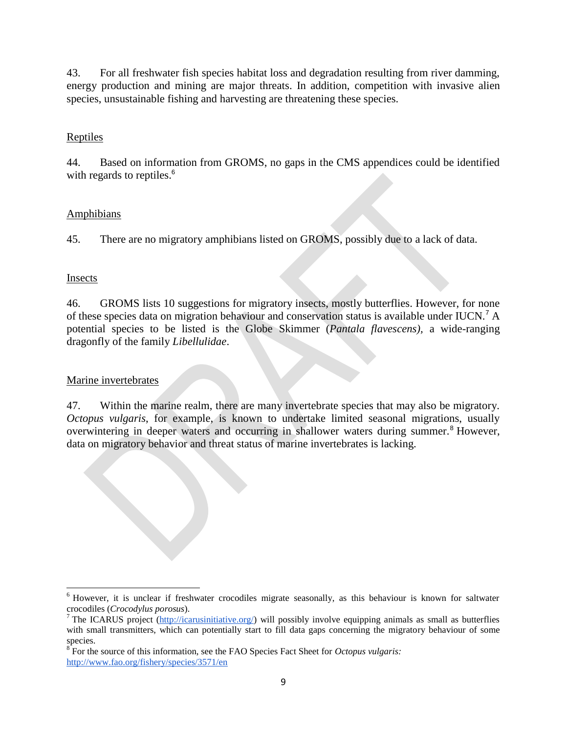43. For all freshwater fish species habitat loss and degradation resulting from river damming, energy production and mining are major threats. In addition, competition with invasive alien species, unsustainable fishing and harvesting are threatening these species.

# Reptiles

44. Based on information from GROMS, no gaps in the CMS appendices could be identified with regards to reptiles.<sup>6</sup>

# **Amphibians**

45. There are no migratory amphibians listed on GROMS, possibly due to a lack of data.

# Insects

46. GROMS lists 10 suggestions for migratory insects, mostly butterflies. However, for none of these species data on migration behaviour and conservation status is available under IUCN.<sup>7</sup> A potential species to be listed is the Globe Skimmer (*Pantala flavescens),* a wide-ranging dragonfly of the family *Libellulidae*.

# Marine invertebrates

47. Within the marine realm, there are many invertebrate species that may also be migratory. *Octopus vulgaris*, for example, is known to undertake limited seasonal migrations, usually overwintering in deeper waters and occurring in shallower waters during summer.<sup>8</sup> However, data on migratory behavior and threat status of marine invertebrates is lacking.

<sup>6</sup> However, it is unclear if freshwater crocodiles migrate seasonally, as this behaviour is known for saltwater crocodiles (*Crocodylus porosus*).

<sup>&</sup>lt;sup>7</sup> The ICARUS project [\(http://icarusinitiative.org/\)](http://icarusinitiative.org/) will possibly involve equipping animals as small as butterflies with small transmitters, which can potentially start to fill data gaps concerning the migratory behaviour of some

species. 8 For the source of this information, see the FAO Species Fact Sheet for *Octopus vulgaris:*  <http://www.fao.org/fishery/species/3571/en>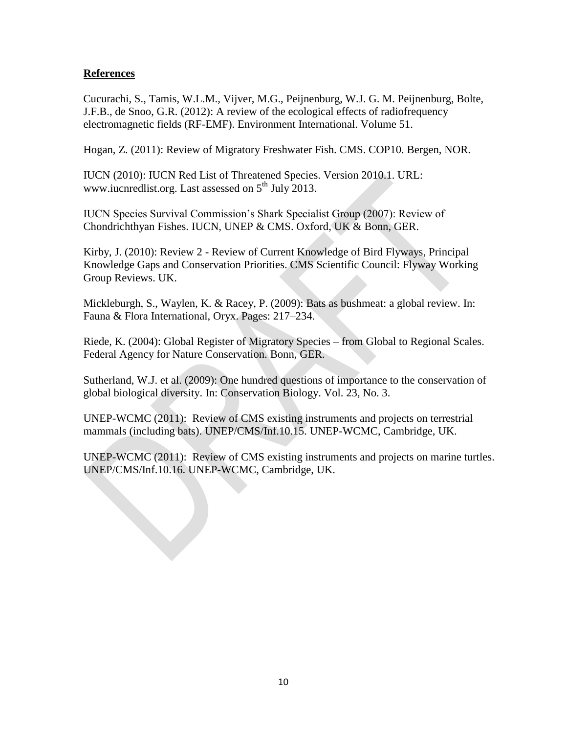# **References**

Cucurachi, S., Tamis, W.L.M., Vijver, M.G., Peijnenburg, W.J. G. M. Peijnenburg, Bolte, J.F.B., de Snoo, G.R. (2012): A review of the ecological effects of radiofrequency electromagnetic fields (RF-EMF). Environment International. Volume 51.

Hogan, Z. (2011): Review of Migratory Freshwater Fish. CMS. COP10. Bergen, NOR.

IUCN (2010): IUCN Red List of Threatened Species. Version 2010.1. URL: www.iucnredlist.org. Last assessed on  $5<sup>th</sup>$  July 2013.

IUCN Species Survival Commission's Shark Specialist Group (2007): Review of Chondrichthyan Fishes. IUCN, UNEP & CMS. Oxford, UK & Bonn, GER.

Kirby, J. (2010): Review 2 - Review of Current Knowledge of Bird Flyways, Principal Knowledge Gaps and Conservation Priorities. CMS Scientific Council: Flyway Working Group Reviews. UK.

Mickleburgh, S., Waylen, K. & Racey, P. (2009): Bats as bushmeat: a global review. In: Fauna & Flora International, Oryx. Pages: 217–234.

Riede, K. (2004): Global Register of Migratory Species – from Global to Regional Scales. Federal Agency for Nature Conservation. Bonn, GER.

Sutherland, W.J. et al. (2009): One hundred questions of importance to the conservation of global biological diversity. In: Conservation Biology. Vol. 23, No. 3.

UNEP-WCMC (2011): Review of CMS existing instruments and projects on terrestrial mammals (including bats). UNEP/CMS/Inf.10.15. UNEP-WCMC, Cambridge, UK.

UNEP-WCMC (2011): Review of CMS existing instruments and projects on marine turtles. UNEP/CMS/Inf.10.16. UNEP-WCMC, Cambridge, UK.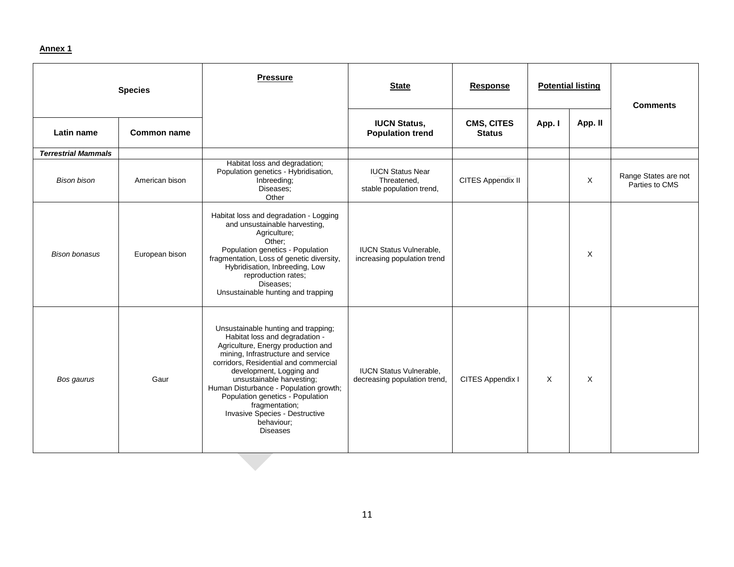#### **Annex 1**

| <b>Species</b>             |                    | <b>Pressure</b>                                                                                                                                                                                                                                                                                                                                                                                                        | <b>State</b>                                                       | <b>Response</b>             | <b>Potential listing</b> |         | <b>Comments</b>                        |
|----------------------------|--------------------|------------------------------------------------------------------------------------------------------------------------------------------------------------------------------------------------------------------------------------------------------------------------------------------------------------------------------------------------------------------------------------------------------------------------|--------------------------------------------------------------------|-----------------------------|--------------------------|---------|----------------------------------------|
| Latin name                 | <b>Common name</b> |                                                                                                                                                                                                                                                                                                                                                                                                                        | <b>IUCN Status,</b><br><b>Population trend</b>                     | CMS, CITES<br><b>Status</b> | App. I                   | App. II |                                        |
| <b>Terrestrial Mammals</b> |                    |                                                                                                                                                                                                                                                                                                                                                                                                                        |                                                                    |                             |                          |         |                                        |
| <b>Bison bison</b>         | American bison     | Habitat loss and degradation;<br>Population genetics - Hybridisation,<br>Inbreeding;<br>Diseases;<br>Other                                                                                                                                                                                                                                                                                                             | <b>IUCN Status Near</b><br>Threatened,<br>stable population trend, | CITES Appendix II           |                          | X       | Range States are not<br>Parties to CMS |
| <b>Bison bonasus</b>       | European bison     | Habitat loss and degradation - Logging<br>and unsustainable harvesting,<br>Agriculture;<br>Other:<br>Population genetics - Population<br>fragmentation, Loss of genetic diversity,<br>Hybridisation, Inbreeding, Low<br>reproduction rates;<br>Diseases;<br>Unsustainable hunting and trapping                                                                                                                         | <b>IUCN Status Vulnerable,</b><br>increasing population trend      |                             |                          | X       |                                        |
| Bos gaurus                 | Gaur               | Unsustainable hunting and trapping;<br>Habitat loss and degradation -<br>Agriculture, Energy production and<br>mining, Infrastructure and service<br>corridors, Residential and commercial<br>development, Logging and<br>unsustainable harvesting;<br>Human Disturbance - Population growth;<br>Population genetics - Population<br>fragmentation;<br>Invasive Species - Destructive<br>behaviour;<br><b>Diseases</b> | <b>IUCN Status Vulnerable,</b><br>decreasing population trend,     | CITES Appendix I            | Χ                        | X       |                                        |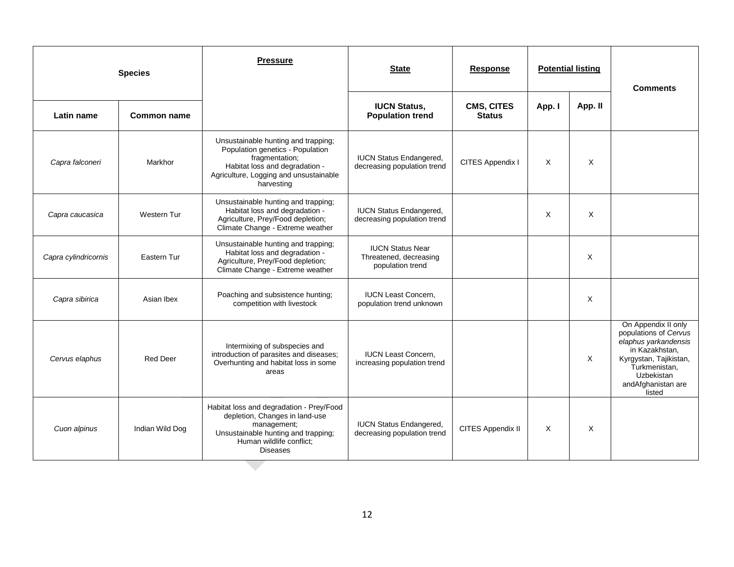| <b>Species</b>       |                    | <b>Pressure</b>                                                                                                                                                                     | <b>State</b>                                                          | <b>Response</b>             | <b>Potential listing</b> |         | <b>Comments</b>                                                                                                                                                                 |
|----------------------|--------------------|-------------------------------------------------------------------------------------------------------------------------------------------------------------------------------------|-----------------------------------------------------------------------|-----------------------------|--------------------------|---------|---------------------------------------------------------------------------------------------------------------------------------------------------------------------------------|
| Latin name           | <b>Common name</b> |                                                                                                                                                                                     | <b>IUCN Status,</b><br><b>Population trend</b>                        | CMS, CITES<br><b>Status</b> | App. I                   | App. II |                                                                                                                                                                                 |
| Capra falconeri      | Markhor            | Unsustainable hunting and trapping;<br>Population genetics - Population<br>fragmentation;<br>Habitat loss and degradation -<br>Agriculture, Logging and unsustainable<br>harvesting | <b>IUCN Status Endangered,</b><br>decreasing population trend         | CITES Appendix I            | X                        | X       |                                                                                                                                                                                 |
| Capra caucasica      | Western Tur        | Unsustainable hunting and trapping;<br>Habitat loss and degradation -<br>Agriculture, Prey/Food depletion;<br>Climate Change - Extreme weather                                      | <b>IUCN Status Endangered,</b><br>decreasing population trend         |                             | X                        | X       |                                                                                                                                                                                 |
| Capra cylindricornis | Eastern Tur        | Unsustainable hunting and trapping;<br>Habitat loss and degradation -<br>Agriculture, Prey/Food depletion;<br>Climate Change - Extreme weather                                      | <b>IUCN Status Near</b><br>Threatened, decreasing<br>population trend |                             |                          | X       |                                                                                                                                                                                 |
| Capra sibirica       | Asian Ibex         | Poaching and subsistence hunting;<br>competition with livestock                                                                                                                     | <b>IUCN Least Concern.</b><br>population trend unknown                |                             |                          | X       |                                                                                                                                                                                 |
| Cervus elaphus       | <b>Red Deer</b>    | Intermixing of subspecies and<br>introduction of parasites and diseases;<br>Overhunting and habitat loss in some<br>areas                                                           | <b>IUCN Least Concern.</b><br>increasing population trend             |                             |                          | X       | On Appendix II only<br>populations of Cervus<br>elaphus yarkandensis<br>in Kazakhstan,<br>Kyrgystan, Tajikistan,<br>Turkmenistan,<br>Uzbekistan<br>andAfghanistan are<br>listed |
| Cuon alpinus         | Indian Wild Dog    | Habitat loss and degradation - Prey/Food<br>depletion, Changes in land-use<br>management;<br>Unsustainable hunting and trapping;<br>Human wildlife conflict;<br><b>Diseases</b>     | <b>IUCN Status Endangered,</b><br>decreasing population trend         | CITES Appendix II           | X                        | X       |                                                                                                                                                                                 |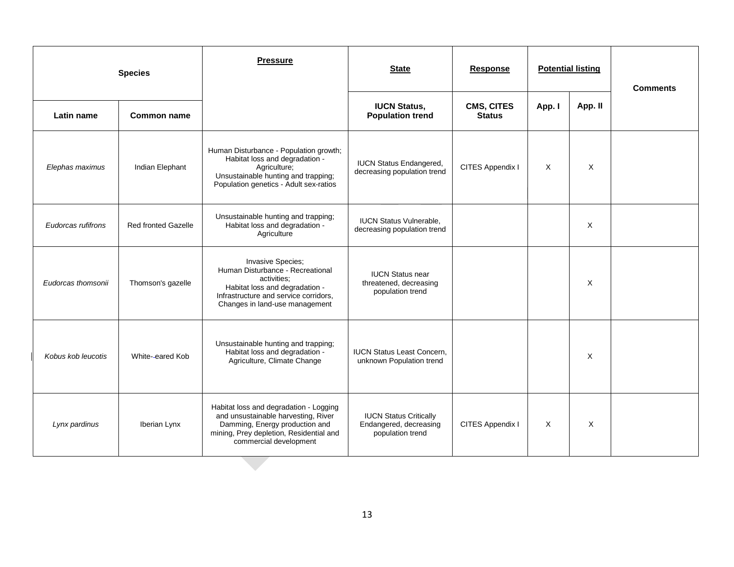| <b>Species</b>     |                            | <b>Pressure</b>                                                                                                                                                                      | <b>State</b>                                                                | <b>Response</b>             |        | <b>Potential listing</b> | <b>Comments</b> |
|--------------------|----------------------------|--------------------------------------------------------------------------------------------------------------------------------------------------------------------------------------|-----------------------------------------------------------------------------|-----------------------------|--------|--------------------------|-----------------|
| Latin name         | <b>Common name</b>         |                                                                                                                                                                                      | <b>IUCN Status,</b><br><b>Population trend</b>                              | CMS, CITES<br><b>Status</b> | App. I | App. II                  |                 |
| Elephas maximus    | Indian Elephant            | Human Disturbance - Population growth;<br>Habitat loss and degradation -<br>Agriculture;<br>Unsustainable hunting and trapping;<br>Population genetics - Adult sex-ratios            | <b>IUCN Status Endangered,</b><br>decreasing population trend               | CITES Appendix I            | X      | $\times$                 |                 |
| Eudorcas rufifrons | <b>Red fronted Gazelle</b> | Unsustainable hunting and trapping;<br>Habitat loss and degradation -<br>Agriculture                                                                                                 | <b>IUCN Status Vulnerable,</b><br>decreasing population trend               |                             |        | X                        |                 |
| Eudorcas thomsonii | Thomson's gazelle          | Invasive Species;<br>Human Disturbance - Recreational<br>activities:<br>Habitat loss and degradation -<br>Infrastructure and service corridors,<br>Changes in land-use management    | <b>IUCN Status near</b><br>threatened, decreasing<br>population trend       |                             |        | X                        |                 |
| Kobus kob leucotis | White-eared Kob            | Unsustainable hunting and trapping;<br>Habitat loss and degradation -<br>Agriculture, Climate Change                                                                                 | <b>IUCN Status Least Concern,</b><br>unknown Population trend               |                             |        | X                        |                 |
| Lynx pardinus      | Iberian Lynx               | Habitat loss and degradation - Logging<br>and unsustainable harvesting, River<br>Damming, Energy production and<br>mining, Prey depletion, Residential and<br>commercial development | <b>IUCN Status Critically</b><br>Endangered, decreasing<br>population trend | CITES Appendix I            | X      | X                        |                 |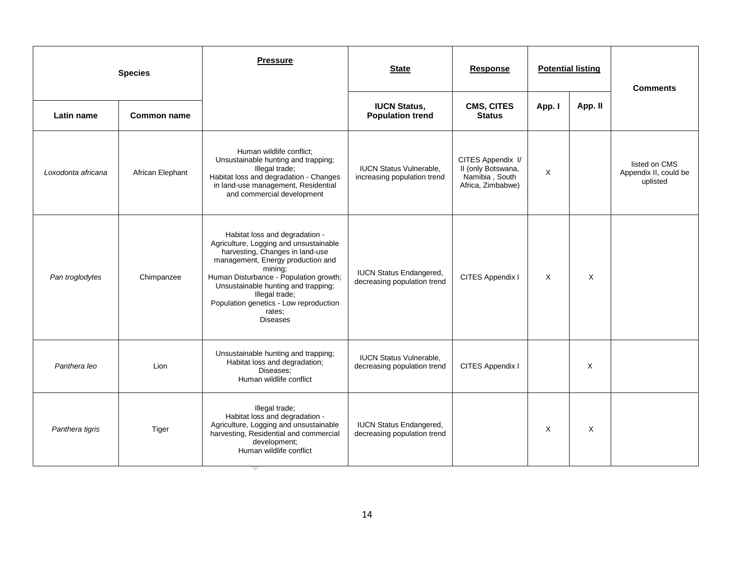| <b>Species</b>     |                  | <b>Pressure</b>                                                                                                                                                                                                                                                                                                                       | <b>State</b>                                                  | <b>Response</b>                                                                |        | <b>Potential listing</b> | <b>Comments</b>                                    |
|--------------------|------------------|---------------------------------------------------------------------------------------------------------------------------------------------------------------------------------------------------------------------------------------------------------------------------------------------------------------------------------------|---------------------------------------------------------------|--------------------------------------------------------------------------------|--------|--------------------------|----------------------------------------------------|
| Latin name         | Common name      |                                                                                                                                                                                                                                                                                                                                       | <b>IUCN Status,</b><br><b>Population trend</b>                | CMS, CITES<br><b>Status</b>                                                    | App. I | App. II                  |                                                    |
| Loxodonta africana | African Elephant | Human wildlife conflict:<br>Unsustainable hunting and trapping;<br>Illegal trade;<br>Habitat loss and degradation - Changes<br>in land-use management, Residential<br>and commercial development                                                                                                                                      | <b>IUCN Status Vulnerable,</b><br>increasing population trend | CITES Appendix I/<br>II (only Botswana,<br>Namibia, South<br>Africa, Zimbabwe) | X      |                          | listed on CMS<br>Appendix II, could be<br>uplisted |
| Pan troglodytes    | Chimpanzee       | Habitat loss and degradation -<br>Agriculture, Logging and unsustainable<br>harvesting, Changes in land-use<br>management, Energy production and<br>mining;<br>Human Disturbance - Population growth;<br>Unsustainable hunting and trapping;<br>Illegal trade;<br>Population genetics - Low reproduction<br>rates;<br><b>Diseases</b> | <b>IUCN Status Endangered,</b><br>decreasing population trend | CITES Appendix I                                                               | X      | $\times$                 |                                                    |
| Panthera leo       | Lion             | Unsustainable hunting and trapping;<br>Habitat loss and degradation;<br>Diseases:<br>Human wildlife conflict                                                                                                                                                                                                                          | <b>IUCN Status Vulnerable,</b><br>decreasing population trend | CITES Appendix I                                                               |        | X                        |                                                    |
| Panthera tigris    | Tiger            | Illegal trade;<br>Habitat loss and degradation -<br>Agriculture, Logging and unsustainable<br>harvesting, Residential and commercial<br>development;<br>Human wildlife conflict                                                                                                                                                       | <b>IUCN Status Endangered,</b><br>decreasing population trend |                                                                                | X      | $\times$                 |                                                    |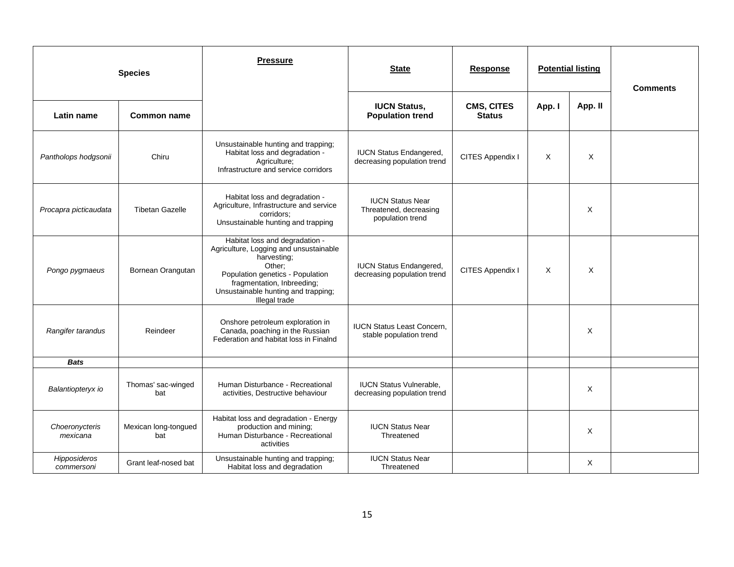|                            | <b>Species</b>              | <b>Pressure</b>                                                                                                                                                                                                             | <b>State</b>                                                          | <b>Response</b>             | <b>Potential listing</b> |         | <b>Comments</b> |
|----------------------------|-----------------------------|-----------------------------------------------------------------------------------------------------------------------------------------------------------------------------------------------------------------------------|-----------------------------------------------------------------------|-----------------------------|--------------------------|---------|-----------------|
| Latin name                 | <b>Common name</b>          |                                                                                                                                                                                                                             | <b>IUCN Status,</b><br><b>Population trend</b>                        | CMS, CITES<br><b>Status</b> | App. I                   | App. II |                 |
| Pantholops hodgsonii       | Chiru                       | Unsustainable hunting and trapping;<br>Habitat loss and degradation -<br>Agriculture;<br>Infrastructure and service corridors                                                                                               | <b>IUCN Status Endangered,</b><br>decreasing population trend         | CITES Appendix I            | X                        | Χ       |                 |
| Procapra picticaudata      | <b>Tibetan Gazelle</b>      | Habitat loss and degradation -<br>Agriculture, Infrastructure and service<br>corridors;<br>Unsustainable hunting and trapping                                                                                               | <b>IUCN Status Near</b><br>Threatened, decreasing<br>population trend |                             |                          | X       |                 |
| Pongo pygmaeus             | Bornean Orangutan           | Habitat loss and degradation -<br>Agriculture, Logging and unsustainable<br>harvesting;<br>Other:<br>Population genetics - Population<br>fragmentation, Inbreeding;<br>Unsustainable hunting and trapping;<br>Illegal trade | <b>IUCN Status Endangered,</b><br>decreasing population trend         | CITES Appendix I            | Χ                        | X       |                 |
| Rangifer tarandus          | Reindeer                    | Onshore petroleum exploration in<br>Canada, poaching in the Russian<br>Federation and habitat loss in Finalnd                                                                                                               | <b>IUCN Status Least Concern,</b><br>stable population trend          |                             |                          | X       |                 |
| <b>Bats</b>                |                             |                                                                                                                                                                                                                             |                                                                       |                             |                          |         |                 |
| Balantiopteryx io          | Thomas' sac-winged<br>bat   | Human Disturbance - Recreational<br>activities, Destructive behaviour                                                                                                                                                       | <b>IUCN Status Vulnerable.</b><br>decreasing population trend         |                             |                          | X       |                 |
| Choeronycteris<br>mexicana | Mexican long-tongued<br>bat | Habitat loss and degradation - Energy<br>production and mining;<br>Human Disturbance - Recreational<br>activities                                                                                                           | <b>IUCN Status Near</b><br>Threatened                                 |                             |                          | X       |                 |
| Hipposideros<br>commersoni | Grant leaf-nosed bat        | Unsustainable hunting and trapping;<br>Habitat loss and degradation                                                                                                                                                         | <b>IUCN Status Near</b><br>Threatened                                 |                             |                          | X       |                 |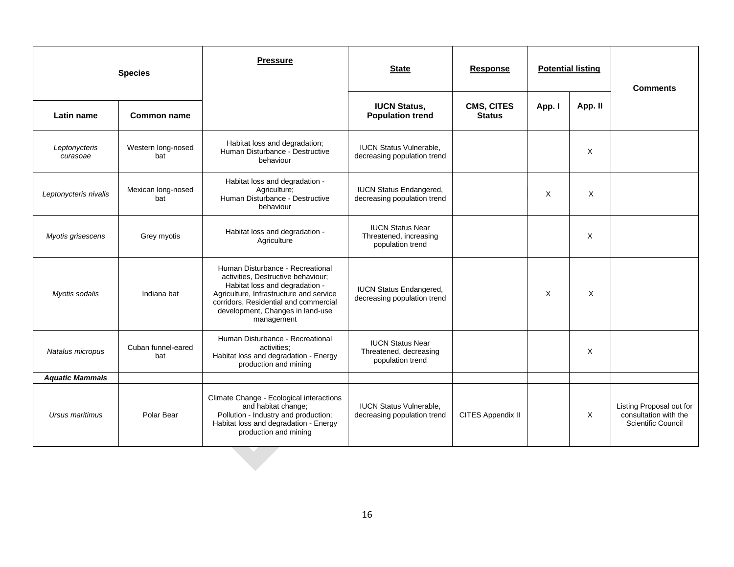|                           | <b>Species</b>            | <b>Pressure</b>                                                                                                                                                                                                                                | <b>State</b>                                                          | <b>Response</b>                    | <b>Potential listing</b> |         | <b>Comments</b>                                                         |
|---------------------------|---------------------------|------------------------------------------------------------------------------------------------------------------------------------------------------------------------------------------------------------------------------------------------|-----------------------------------------------------------------------|------------------------------------|--------------------------|---------|-------------------------------------------------------------------------|
| Latin name                | <b>Common name</b>        |                                                                                                                                                                                                                                                | <b>IUCN Status,</b><br><b>Population trend</b>                        | <b>CMS, CITES</b><br><b>Status</b> | App. I                   | App. II |                                                                         |
| Leptonycteris<br>curasoae | Western long-nosed<br>bat | Habitat loss and degradation;<br>Human Disturbance - Destructive<br>behaviour                                                                                                                                                                  | <b>IUCN Status Vulnerable,</b><br>decreasing population trend         |                                    |                          | X       |                                                                         |
| Leptonycteris nivalis     | Mexican long-nosed<br>bat | Habitat loss and degradation -<br>Agriculture;<br>Human Disturbance - Destructive<br>behaviour                                                                                                                                                 | <b>IUCN Status Endangered,</b><br>decreasing population trend         |                                    | X                        | X       |                                                                         |
| Myotis grisescens         | Grey myotis               | Habitat loss and degradation -<br>Agriculture                                                                                                                                                                                                  | <b>IUCN Status Near</b><br>Threatened, increasing<br>population trend |                                    |                          | X       |                                                                         |
| Myotis sodalis            | Indiana bat               | Human Disturbance - Recreational<br>activities, Destructive behaviour;<br>Habitat loss and degradation -<br>Agriculture, Infrastructure and service<br>corridors, Residential and commercial<br>development, Changes in land-use<br>management | <b>IUCN Status Endangered,</b><br>decreasing population trend         |                                    | X                        | X       |                                                                         |
| Natalus micropus          | Cuban funnel-eared<br>bat | Human Disturbance - Recreational<br>activities:<br>Habitat loss and degradation - Energy<br>production and mining                                                                                                                              | <b>IUCN Status Near</b><br>Threatened, decreasing<br>population trend |                                    |                          | X       |                                                                         |
| <b>Aquatic Mammals</b>    |                           |                                                                                                                                                                                                                                                |                                                                       |                                    |                          |         |                                                                         |
| Ursus maritimus           | Polar Bear                | Climate Change - Ecological interactions<br>and habitat change;<br>Pollution - Industry and production;<br>Habitat loss and degradation - Energy<br>production and mining                                                                      | <b>IUCN Status Vulnerable,</b><br>decreasing population trend         | CITES Appendix II                  |                          | X       | Listing Proposal out for<br>consultation with the<br>Scientific Council |
|                           |                           |                                                                                                                                                                                                                                                |                                                                       |                                    |                          |         |                                                                         |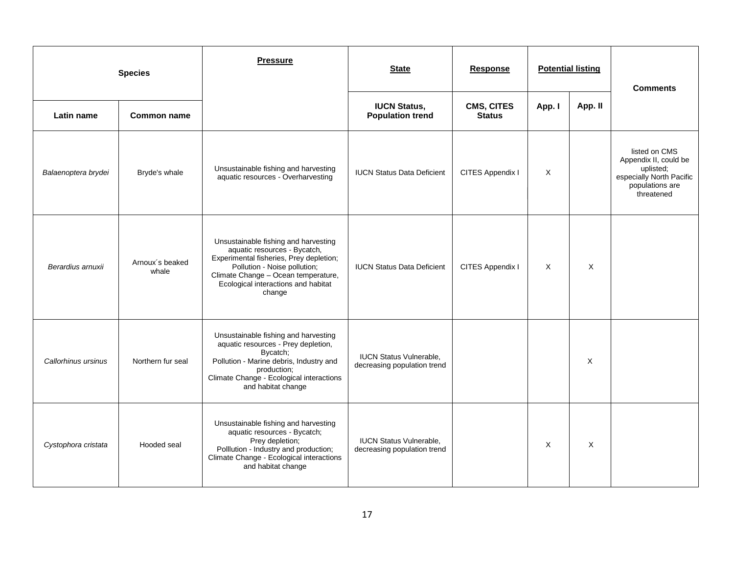|                     | <b>Species</b>           | <b>Pressure</b>                                                                                                                                                                                                                         | <b>State</b>                                                  | <b>Response</b>                    | <b>Potential listing</b> |          | <b>Comments</b>                                                                                                  |  |
|---------------------|--------------------------|-----------------------------------------------------------------------------------------------------------------------------------------------------------------------------------------------------------------------------------------|---------------------------------------------------------------|------------------------------------|--------------------------|----------|------------------------------------------------------------------------------------------------------------------|--|
| Latin name          | <b>Common name</b>       |                                                                                                                                                                                                                                         | <b>IUCN Status,</b><br><b>Population trend</b>                | <b>CMS, CITES</b><br><b>Status</b> | App. I                   | App. II  |                                                                                                                  |  |
| Balaenoptera brydei | Bryde's whale            | Unsustainable fishing and harvesting<br>aquatic resources - Overharvesting                                                                                                                                                              | <b>IUCN Status Data Deficient</b>                             | CITES Appendix I                   | X                        |          | listed on CMS<br>Appendix II, could be<br>uplisted;<br>especially North Pacific<br>populations are<br>threatened |  |
| Berardius arnuxii   | Arnoux's beaked<br>whale | Unsustainable fishing and harvesting<br>aquatic resources - Bycatch,<br>Experimental fisheries, Prey depletion;<br>Pollution - Noise pollution;<br>Climate Change - Ocean temperature,<br>Ecological interactions and habitat<br>change | <b>IUCN Status Data Deficient</b>                             | CITES Appendix I                   | $\times$                 | $\times$ |                                                                                                                  |  |
| Callorhinus ursinus | Northern fur seal        | Unsustainable fishing and harvesting<br>aquatic resources - Prey depletion,<br>Bycatch;<br>Pollution - Marine debris, Industry and<br>production;<br>Climate Change - Ecological interactions<br>and habitat change                     | <b>IUCN Status Vulnerable,</b><br>decreasing population trend |                                    |                          | Χ        |                                                                                                                  |  |
| Cystophora cristata | Hooded seal              | Unsustainable fishing and harvesting<br>aquatic resources - Bycatch;<br>Prey depletion;<br>Polllution - Industry and production;<br>Climate Change - Ecological interactions<br>and habitat change                                      | <b>IUCN Status Vulnerable,</b><br>decreasing population trend |                                    | X                        | X        |                                                                                                                  |  |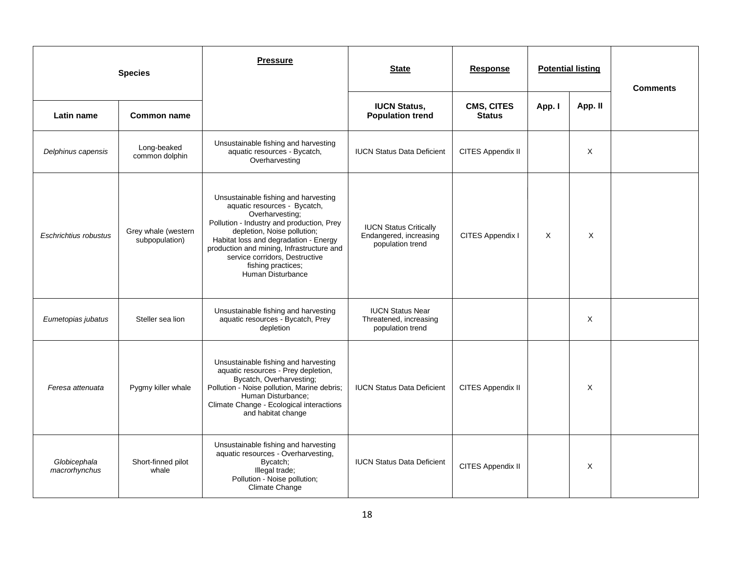|                               | <b>Species</b>                        | <b>Pressure</b>                                                                                                                                                                                                                                                                                                                        | <b>State</b>                                                                | Response                           |        | <b>Potential listing</b> | <b>Comments</b> |
|-------------------------------|---------------------------------------|----------------------------------------------------------------------------------------------------------------------------------------------------------------------------------------------------------------------------------------------------------------------------------------------------------------------------------------|-----------------------------------------------------------------------------|------------------------------------|--------|--------------------------|-----------------|
| Latin name                    | <b>Common name</b>                    |                                                                                                                                                                                                                                                                                                                                        | <b>IUCN Status,</b><br><b>Population trend</b>                              | <b>CMS, CITES</b><br><b>Status</b> | App. I | App. II                  |                 |
| Delphinus capensis            | Long-beaked<br>common dolphin         | Unsustainable fishing and harvesting<br>aquatic resources - Bycatch,<br>Overharvesting                                                                                                                                                                                                                                                 | <b>IUCN Status Data Deficient</b>                                           | CITES Appendix II                  |        | X                        |                 |
| Eschrichtius robustus         | Grey whale (western<br>subpopulation) | Unsustainable fishing and harvesting<br>aquatic resources - Bycatch,<br>Overharvesting;<br>Pollution - Industry and production, Prey<br>depletion, Noise pollution;<br>Habitat loss and degradation - Energy<br>production and mining, Infrastructure and<br>service corridors, Destructive<br>fishing practices;<br>Human Disturbance | <b>IUCN Status Critically</b><br>Endangered, increasing<br>population trend | CITES Appendix I                   | X      | X                        |                 |
| Eumetopias jubatus            | Steller sea lion                      | Unsustainable fishing and harvesting<br>aquatic resources - Bycatch, Prey<br>depletion                                                                                                                                                                                                                                                 | <b>IUCN Status Near</b><br>Threatened, increasing<br>population trend       |                                    |        | Χ                        |                 |
| Feresa attenuata              | Pygmy killer whale                    | Unsustainable fishing and harvesting<br>aquatic resources - Prey depletion,<br>Bycatch, Overharvesting;<br>Pollution - Noise pollution, Marine debris;<br>Human Disturbance;<br>Climate Change - Ecological interactions<br>and habitat change                                                                                         | <b>IUCN Status Data Deficient</b>                                           | CITES Appendix II                  |        | X                        |                 |
| Globicephala<br>macrorhynchus | Short-finned pilot<br>whale           | Unsustainable fishing and harvesting<br>aquatic resources - Overharvesting,<br>Bycatch;<br>Illegal trade;<br>Pollution - Noise pollution;<br>Climate Change                                                                                                                                                                            | <b>IUCN Status Data Deficient</b>                                           | CITES Appendix II                  |        | X                        |                 |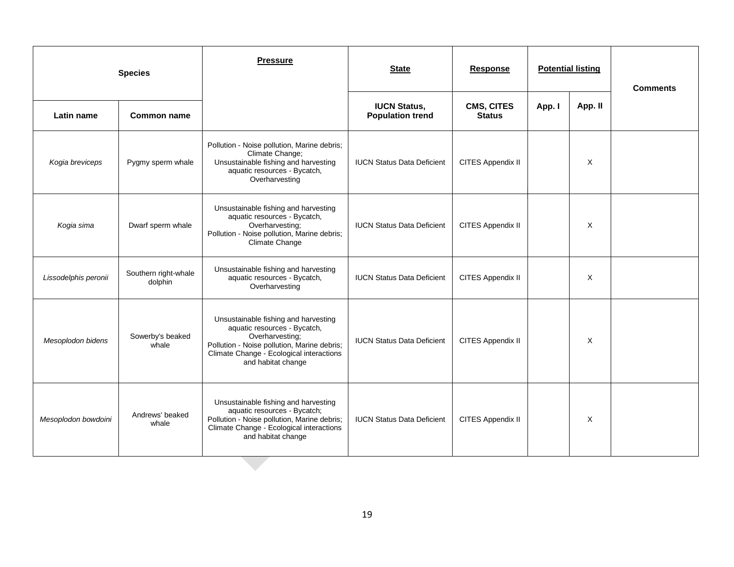| <b>Species</b>       |                                 | <b>Pressure</b>                                                                                                                                                                                          | <b>State</b>                                   | <b>Response</b>                    | <b>Potential listing</b> |         | <b>Comments</b> |
|----------------------|---------------------------------|----------------------------------------------------------------------------------------------------------------------------------------------------------------------------------------------------------|------------------------------------------------|------------------------------------|--------------------------|---------|-----------------|
| Latin name           | <b>Common name</b>              |                                                                                                                                                                                                          | <b>IUCN Status,</b><br><b>Population trend</b> | <b>CMS, CITES</b><br><b>Status</b> | App. I                   | App. II |                 |
| Kogia breviceps      | Pygmy sperm whale               | Pollution - Noise pollution, Marine debris;<br>Climate Change;<br>Unsustainable fishing and harvesting<br>aquatic resources - Bycatch,<br>Overharvesting                                                 | <b>IUCN Status Data Deficient</b>              | CITES Appendix II                  |                          | X       |                 |
| Kogia sima           | Dwarf sperm whale               | Unsustainable fishing and harvesting<br>aquatic resources - Bycatch,<br>Overharvesting;<br>Pollution - Noise pollution, Marine debris;<br><b>Climate Change</b>                                          | <b>IUCN Status Data Deficient</b>              | CITES Appendix II                  |                          | X       |                 |
| Lissodelphis peronii | Southern right-whale<br>dolphin | Unsustainable fishing and harvesting<br>aquatic resources - Bycatch,<br>Overharvesting                                                                                                                   | <b>IUCN Status Data Deficient</b>              | CITES Appendix II                  |                          | X       |                 |
| Mesoplodon bidens    | Sowerby's beaked<br>whale       | Unsustainable fishing and harvesting<br>aquatic resources - Bycatch,<br>Overharvesting;<br>Pollution - Noise pollution, Marine debris;<br>Climate Change - Ecological interactions<br>and habitat change | <b>IUCN Status Data Deficient</b>              | CITES Appendix II                  |                          | X       |                 |
| Mesoplodon bowdoini  | Andrews' beaked<br>whale        | Unsustainable fishing and harvesting<br>aquatic resources - Bycatch;<br>Pollution - Noise pollution, Marine debris;<br>Climate Change - Ecological interactions<br>and habitat change                    | <b>IUCN Status Data Deficient</b>              | CITES Appendix II                  |                          | X       |                 |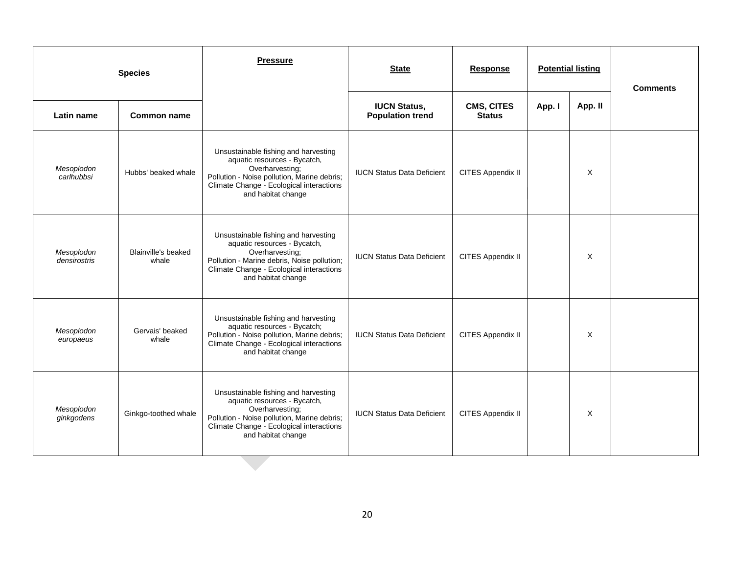| <b>Species</b>             |                              | <b>Pressure</b>                                                                                                                                                                                          | <b>State</b>                                   | <b>Response</b>                    | <b>Potential listing</b> |          | <b>Comments</b> |
|----------------------------|------------------------------|----------------------------------------------------------------------------------------------------------------------------------------------------------------------------------------------------------|------------------------------------------------|------------------------------------|--------------------------|----------|-----------------|
| <b>Latin name</b>          | <b>Common name</b>           |                                                                                                                                                                                                          | <b>IUCN Status,</b><br><b>Population trend</b> | <b>CMS, CITES</b><br><b>Status</b> | App. I                   | App. II  |                 |
| Mesoplodon<br>carlhubbsi   | Hubbs' beaked whale          | Unsustainable fishing and harvesting<br>aquatic resources - Bycatch,<br>Overharvesting;<br>Pollution - Noise pollution, Marine debris;<br>Climate Change - Ecological interactions<br>and habitat change | <b>IUCN Status Data Deficient</b>              | CITES Appendix II                  |                          | $\times$ |                 |
| Mesoplodon<br>densirostris | Blainville's beaked<br>whale | Unsustainable fishing and harvesting<br>aquatic resources - Bycatch,<br>Overharvesting;<br>Pollution - Marine debris, Noise pollution;<br>Climate Change - Ecological interactions<br>and habitat change | <b>IUCN Status Data Deficient</b>              | CITES Appendix II                  |                          | $\times$ |                 |
| Mesoplodon<br>europaeus    | Gervais' beaked<br>whale     | Unsustainable fishing and harvesting<br>aquatic resources - Bycatch;<br>Pollution - Noise pollution, Marine debris;<br>Climate Change - Ecological interactions<br>and habitat change                    | <b>IUCN Status Data Deficient</b>              | CITES Appendix II                  |                          | X        |                 |
| Mesoplodon<br>ginkgodens   | Ginkgo-toothed whale         | Unsustainable fishing and harvesting<br>aquatic resources - Bycatch,<br>Overharvesting;<br>Pollution - Noise pollution, Marine debris;<br>Climate Change - Ecological interactions<br>and habitat change | <b>IUCN Status Data Deficient</b>              | CITES Appendix II                  |                          | $\times$ |                 |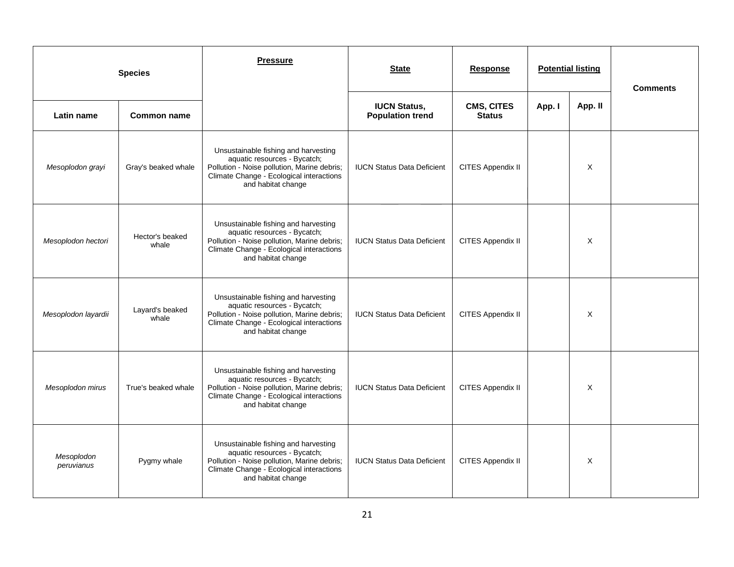| <b>Species</b>           |                          | <b>Pressure</b>                                                                                                                                                                       | <b>State</b><br>Response                       |                                    | <b>Potential listing</b> |          | <b>Comments</b> |
|--------------------------|--------------------------|---------------------------------------------------------------------------------------------------------------------------------------------------------------------------------------|------------------------------------------------|------------------------------------|--------------------------|----------|-----------------|
| Latin name               | <b>Common name</b>       |                                                                                                                                                                                       | <b>IUCN Status,</b><br><b>Population trend</b> | <b>CMS, CITES</b><br><b>Status</b> | App. I                   | App. II  |                 |
| Mesoplodon grayi         | Gray's beaked whale      | Unsustainable fishing and harvesting<br>aquatic resources - Bycatch;<br>Pollution - Noise pollution, Marine debris;<br>Climate Change - Ecological interactions<br>and habitat change | <b>IUCN Status Data Deficient</b>              | CITES Appendix II                  |                          | X        |                 |
| Mesoplodon hectori       | Hector's beaked<br>whale | Unsustainable fishing and harvesting<br>aquatic resources - Bycatch;<br>Pollution - Noise pollution, Marine debris;<br>Climate Change - Ecological interactions<br>and habitat change | <b>IUCN Status Data Deficient</b>              | CITES Appendix II                  |                          | X        |                 |
| Mesoplodon layardii      | Layard's beaked<br>whale | Unsustainable fishing and harvesting<br>aquatic resources - Bycatch;<br>Pollution - Noise pollution, Marine debris;<br>Climate Change - Ecological interactions<br>and habitat change | <b>IUCN Status Data Deficient</b>              | CITES Appendix II                  |                          | X        |                 |
| Mesoplodon mirus         | True's beaked whale      | Unsustainable fishing and harvesting<br>aquatic resources - Bycatch;<br>Pollution - Noise pollution, Marine debris;<br>Climate Change - Ecological interactions<br>and habitat change | <b>IUCN Status Data Deficient</b>              | CITES Appendix II                  |                          | X        |                 |
| Mesoplodon<br>peruvianus | Pygmy whale              | Unsustainable fishing and harvesting<br>aquatic resources - Bycatch;<br>Pollution - Noise pollution, Marine debris;<br>Climate Change - Ecological interactions<br>and habitat change | <b>IUCN Status Data Deficient</b>              | CITES Appendix II                  |                          | $\times$ |                 |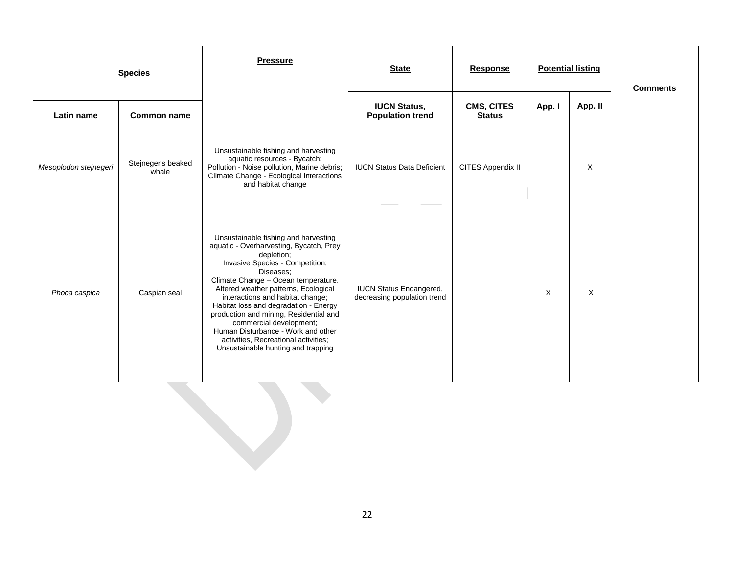|                       | <b>Species</b>              | <b>Pressure</b>                                                                                                                                                                                                                                                                                                                                                                                                                                                                                    | <b>State</b>                                                  | <b>Response</b>                    |        | <b>Potential listing</b> | <b>Comments</b> |
|-----------------------|-----------------------------|----------------------------------------------------------------------------------------------------------------------------------------------------------------------------------------------------------------------------------------------------------------------------------------------------------------------------------------------------------------------------------------------------------------------------------------------------------------------------------------------------|---------------------------------------------------------------|------------------------------------|--------|--------------------------|-----------------|
| Latin name            | <b>Common name</b>          |                                                                                                                                                                                                                                                                                                                                                                                                                                                                                                    | <b>IUCN Status,</b><br><b>Population trend</b>                | <b>CMS, CITES</b><br><b>Status</b> | App. I | App. II                  |                 |
| Mesoplodon stejnegeri | Stejneger's beaked<br>whale | Unsustainable fishing and harvesting<br>aquatic resources - Bycatch;<br>Pollution - Noise pollution, Marine debris;<br>Climate Change - Ecological interactions<br>and habitat change                                                                                                                                                                                                                                                                                                              | <b>IUCN Status Data Deficient</b>                             | CITES Appendix II                  |        | $\times$                 |                 |
| Phoca caspica         | Caspian seal                | Unsustainable fishing and harvesting<br>aquatic - Overharvesting, Bycatch, Prey<br>depletion;<br>Invasive Species - Competition;<br>Diseases:<br>Climate Change - Ocean temperature,<br>Altered weather patterns, Ecological<br>interactions and habitat change;<br>Habitat loss and degradation - Energy<br>production and mining, Residential and<br>commercial development;<br>Human Disturbance - Work and other<br>activities, Recreational activities;<br>Unsustainable hunting and trapping | <b>IUCN Status Endangered,</b><br>decreasing population trend |                                    | X      | X                        |                 |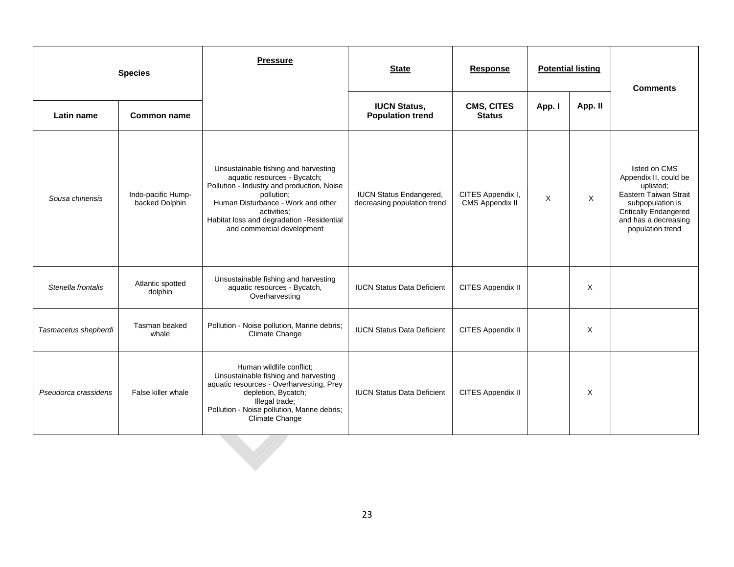|                      | <b>Species</b>                       | <b>Pressure</b>                                                                                                                                                                                                                                                  | <b>State</b><br><b>Response</b><br><b>Potential listing</b>   |                                      | <b>Comments</b> |          |                                                                                                                                                                       |  |
|----------------------|--------------------------------------|------------------------------------------------------------------------------------------------------------------------------------------------------------------------------------------------------------------------------------------------------------------|---------------------------------------------------------------|--------------------------------------|-----------------|----------|-----------------------------------------------------------------------------------------------------------------------------------------------------------------------|--|
| Latin name           | <b>Common name</b>                   |                                                                                                                                                                                                                                                                  | <b>IUCN Status,</b><br><b>Population trend</b>                | CMS, CITES<br><b>Status</b>          | App. I          | App. II  |                                                                                                                                                                       |  |
| Sousa chinensis      | Indo-pacific Hump-<br>backed Dolphin | Unsustainable fishing and harvesting<br>aquatic resources - Bycatch;<br>Pollution - Industry and production, Noise<br>pollution;<br>Human Disturbance - Work and other<br>activities:<br>Habitat loss and degradation -Residential<br>and commercial development | <b>IUCN Status Endangered,</b><br>decreasing population trend | CITES Appendix I,<br>CMS Appendix II | $\times$        | $\times$ | listed on CMS<br>Appendix II, could be<br>uplisted;<br>Eastern Taiwan Strait<br>subpopulation is<br>Critically Endangered<br>and has a decreasing<br>population trend |  |
| Stenella frontalis   | Atlantic spotted<br>dolphin          | Unsustainable fishing and harvesting<br>aquatic resources - Bycatch,<br>Overharvesting                                                                                                                                                                           | <b>IUCN Status Data Deficient</b>                             | CITES Appendix II                    |                 | X        |                                                                                                                                                                       |  |
| Tasmacetus shepherdi | Tasman beaked<br>whale               | Pollution - Noise pollution, Marine debris;<br>Climate Change                                                                                                                                                                                                    | <b>IUCN Status Data Deficient</b>                             | CITES Appendix II                    |                 | X        |                                                                                                                                                                       |  |
| Pseudorca crassidens | False killer whale                   | Human wildlife conflict;<br>Unsustainable fishing and harvesting<br>aquatic resources - Overharvesting, Prey<br>depletion, Bycatch;<br>Illegal trade;<br>Pollution - Noise pollution, Marine debris;<br>Climate Change                                           | <b>IUCN Status Data Deficient</b>                             | CITES Appendix II                    |                 | X        |                                                                                                                                                                       |  |
|                      |                                      |                                                                                                                                                                                                                                                                  |                                                               |                                      |                 |          |                                                                                                                                                                       |  |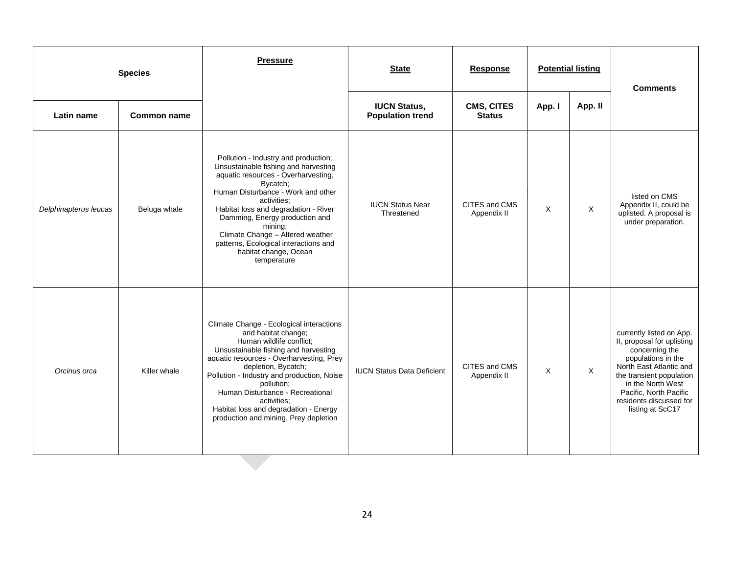|                       | <b>Species</b> | <b>Pressure</b>                                                                                                                                                                                                                                                                                                                                                                                         | <b>State</b>                                   | <b>Response</b>              |          | <b>Potential listing</b> | <b>Comments</b>                                                                                                                                                                                                                                     |
|-----------------------|----------------|---------------------------------------------------------------------------------------------------------------------------------------------------------------------------------------------------------------------------------------------------------------------------------------------------------------------------------------------------------------------------------------------------------|------------------------------------------------|------------------------------|----------|--------------------------|-----------------------------------------------------------------------------------------------------------------------------------------------------------------------------------------------------------------------------------------------------|
| Latin name            | Common name    |                                                                                                                                                                                                                                                                                                                                                                                                         | <b>IUCN Status,</b><br><b>Population trend</b> | CMS, CITES<br><b>Status</b>  | App. I   | App. II                  |                                                                                                                                                                                                                                                     |
| Delphinapterus leucas | Beluga whale   | Pollution - Industry and production;<br>Unsustainable fishing and harvesting<br>aquatic resources - Overharvesting,<br>Bycatch;<br>Human Disturbance - Work and other<br>activities:<br>Habitat loss and degradation - River<br>Damming, Energy production and<br>mining:<br>Climate Change - Altered weather<br>patterns, Ecological interactions and<br>habitat change, Ocean<br>temperature          | <b>IUCN Status Near</b><br>Threatened          | CITES and CMS<br>Appendix II | $\times$ | X                        | listed on CMS<br>Appendix II, could be<br>uplisted. A proposal is<br>under preparation.                                                                                                                                                             |
| Orcinus orca          | Killer whale   | Climate Change - Ecological interactions<br>and habitat change;<br>Human wildlife conflict;<br>Unsustainable fishing and harvesting<br>aquatic resources - Overharvesting, Prey<br>depletion, Bycatch;<br>Pollution - Industry and production, Noise<br>pollution;<br>Human Disturbance - Recreational<br>activities:<br>Habitat loss and degradation - Energy<br>production and mining, Prey depletion | <b>IUCN Status Data Deficient</b>              | CITES and CMS<br>Appendix II | $\times$ | $\times$                 | currently listed on App.<br>II, proposal for uplisting<br>concerning the<br>populations in the<br>North East Atlantic and<br>the transient population<br>in the North West<br>Pacific, North Pacific<br>residents discussed for<br>listing at ScC17 |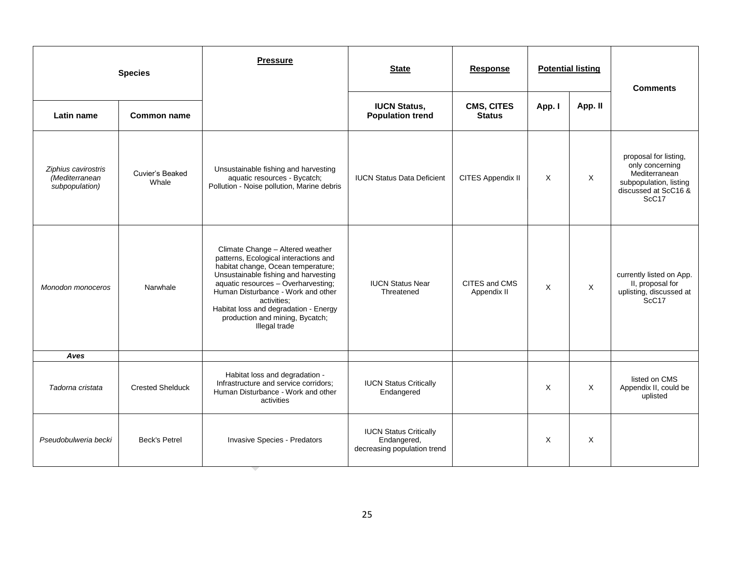|                                                         | <b>Species</b>           | <b>Pressure</b>                                                                                                                                                                                                                                                                                                                                  | <b>State</b>                                                                | <b>Response</b>                    |        | <b>Potential listing</b> | <b>Comments</b>                                                                                                                  |
|---------------------------------------------------------|--------------------------|--------------------------------------------------------------------------------------------------------------------------------------------------------------------------------------------------------------------------------------------------------------------------------------------------------------------------------------------------|-----------------------------------------------------------------------------|------------------------------------|--------|--------------------------|----------------------------------------------------------------------------------------------------------------------------------|
| Latin name                                              | <b>Common name</b>       |                                                                                                                                                                                                                                                                                                                                                  | <b>IUCN Status,</b><br><b>Population trend</b>                              | <b>CMS, CITES</b><br><b>Status</b> | App. I | App. II                  |                                                                                                                                  |
| Ziphius cavirostris<br>(Mediterranean<br>subpopulation) | Cuvier's Beaked<br>Whale | Unsustainable fishing and harvesting<br>aquatic resources - Bycatch;<br>Pollution - Noise pollution, Marine debris                                                                                                                                                                                                                               | <b>IUCN Status Data Deficient</b>                                           | CITES Appendix II                  | X      | $\times$                 | proposal for listing,<br>only concerning<br>Mediterranean<br>subpopulation, listing<br>discussed at ScC16 &<br>ScC <sub>17</sub> |
| Monodon monoceros                                       | Narwhale                 | Climate Change - Altered weather<br>patterns, Ecological interactions and<br>habitat change, Ocean temperature;<br>Unsustainable fishing and harvesting<br>aquatic resources - Overharvesting;<br>Human Disturbance - Work and other<br>activities:<br>Habitat loss and degradation - Energy<br>production and mining, Bycatch;<br>Illegal trade | <b>IUCN Status Near</b><br>Threatened                                       | CITES and CMS<br>Appendix II       | X      | $\times$                 | currently listed on App.<br>II, proposal for<br>uplisting, discussed at<br>ScC <sub>17</sub>                                     |
| Aves                                                    |                          |                                                                                                                                                                                                                                                                                                                                                  |                                                                             |                                    |        |                          |                                                                                                                                  |
| Tadorna cristata                                        | <b>Crested Shelduck</b>  | Habitat loss and degradation -<br>Infrastructure and service corridors;<br>Human Disturbance - Work and other<br>activities                                                                                                                                                                                                                      | <b>IUCN Status Critically</b><br>Endangered                                 |                                    | X      | X                        | listed on CMS<br>Appendix II, could be<br>uplisted                                                                               |
| Pseudobulweria becki                                    | <b>Beck's Petrel</b>     | Invasive Species - Predators                                                                                                                                                                                                                                                                                                                     | <b>IUCN Status Critically</b><br>Endangered,<br>decreasing population trend |                                    | X      | $\times$                 |                                                                                                                                  |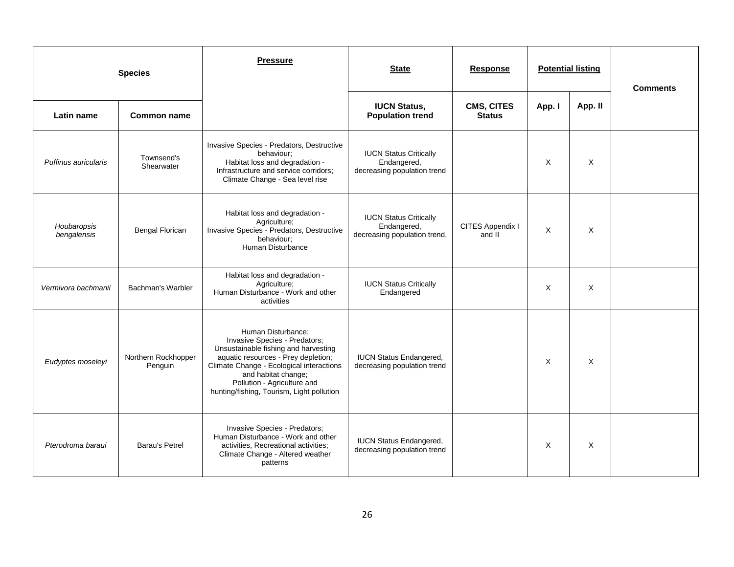| <b>Species</b>             |                                | <b>Pressure</b>                                                                                                                                                                                                                                                                   | <b>State</b>                                                                 | <b>Response</b>                    |          | <b>Potential listing</b> | <b>Comments</b> |
|----------------------------|--------------------------------|-----------------------------------------------------------------------------------------------------------------------------------------------------------------------------------------------------------------------------------------------------------------------------------|------------------------------------------------------------------------------|------------------------------------|----------|--------------------------|-----------------|
| Latin name                 | <b>Common name</b>             |                                                                                                                                                                                                                                                                                   | <b>IUCN Status,</b><br><b>Population trend</b>                               | <b>CMS, CITES</b><br><b>Status</b> | App. I   | App. II                  |                 |
| Puffinus auricularis       | Townsend's<br>Shearwater       | Invasive Species - Predators, Destructive<br>behaviour:<br>Habitat loss and degradation -<br>Infrastructure and service corridors;<br>Climate Change - Sea level rise                                                                                                             | <b>IUCN Status Critically</b><br>Endangered,<br>decreasing population trend  |                                    | $\times$ | X                        |                 |
| Houbaropsis<br>bengalensis | <b>Bengal Florican</b>         | Habitat loss and degradation -<br>Agriculture:<br>Invasive Species - Predators, Destructive<br>behaviour;<br>Human Disturbance                                                                                                                                                    | <b>IUCN Status Critically</b><br>Endangered,<br>decreasing population trend, | CITES Appendix I<br>and II         | X        | X                        |                 |
| Vermivora bachmanii        | Bachman's Warbler              | Habitat loss and degradation -<br>Agriculture;<br>Human Disturbance - Work and other<br>activities                                                                                                                                                                                | <b>IUCN Status Critically</b><br>Endangered                                  |                                    | X        | X                        |                 |
| Eudyptes moseleyi          | Northern Rockhopper<br>Penguin | Human Disturbance;<br>Invasive Species - Predators;<br>Unsustainable fishing and harvesting<br>aquatic resources - Prey depletion;<br>Climate Change - Ecological interactions<br>and habitat change;<br>Pollution - Agriculture and<br>hunting/fishing, Tourism, Light pollution | <b>IUCN Status Endangered,</b><br>decreasing population trend                |                                    | $\times$ | X                        |                 |
| Pterodroma baraui          | Barau's Petrel                 | Invasive Species - Predators;<br>Human Disturbance - Work and other<br>activities, Recreational activities;<br>Climate Change - Altered weather<br>patterns                                                                                                                       | <b>IUCN Status Endangered,</b><br>decreasing population trend                |                                    | $\times$ | $\times$                 |                 |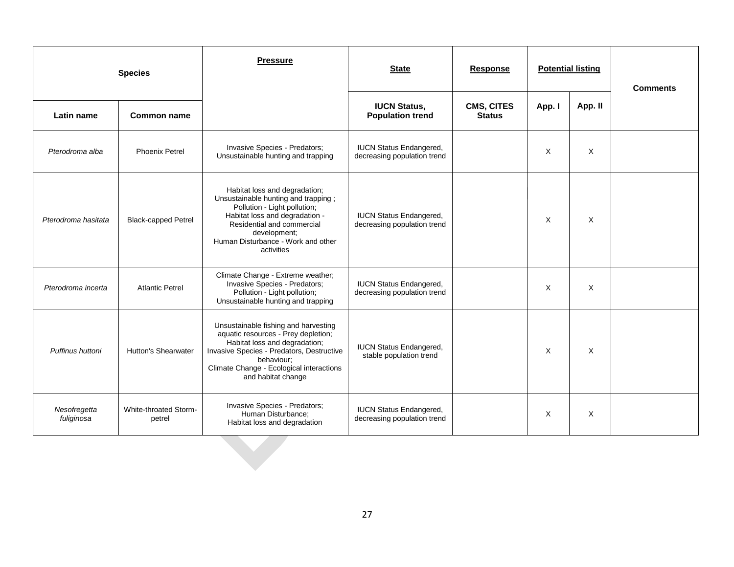|                            | <b>Species</b>                  | <b>Pressure</b>                                                                                                                                                                                                                           | <b>State</b>                                                  | <b>Response</b>                    | <b>Potential listing</b> |         | <b>Comments</b> |
|----------------------------|---------------------------------|-------------------------------------------------------------------------------------------------------------------------------------------------------------------------------------------------------------------------------------------|---------------------------------------------------------------|------------------------------------|--------------------------|---------|-----------------|
| Latin name                 | Common name                     |                                                                                                                                                                                                                                           | <b>IUCN Status,</b><br><b>Population trend</b>                | <b>CMS, CITES</b><br><b>Status</b> | App. I                   | App. II |                 |
| Pterodroma alba            | <b>Phoenix Petrel</b>           | Invasive Species - Predators;<br>Unsustainable hunting and trapping                                                                                                                                                                       | <b>IUCN Status Endangered,</b><br>decreasing population trend |                                    | X                        | X       |                 |
| Pterodroma hasitata        | <b>Black-capped Petrel</b>      | Habitat loss and degradation;<br>Unsustainable hunting and trapping;<br>Pollution - Light pollution;<br>Habitat loss and degradation -<br>Residential and commercial<br>development;<br>Human Disturbance - Work and other<br>activities  | <b>IUCN Status Endangered,</b><br>decreasing population trend |                                    | Χ                        | X       |                 |
| Pterodroma incerta         | <b>Atlantic Petrel</b>          | Climate Change - Extreme weather;<br>Invasive Species - Predators;<br>Pollution - Light pollution;<br>Unsustainable hunting and trapping                                                                                                  | <b>IUCN Status Endangered,</b><br>decreasing population trend |                                    | X                        | X       |                 |
| Puffinus huttoni           | <b>Hutton's Shearwater</b>      | Unsustainable fishing and harvesting<br>aquatic resources - Prey depletion;<br>Habitat loss and degradation;<br>Invasive Species - Predators, Destructive<br>behaviour;<br>Climate Change - Ecological interactions<br>and habitat change | <b>IUCN Status Endangered,</b><br>stable population trend     |                                    | X                        | X       |                 |
| Nesofregetta<br>fuliginosa | White-throated Storm-<br>petrel | Invasive Species - Predators;<br>Human Disturbance;<br>Habitat loss and degradation                                                                                                                                                       | <b>IUCN Status Endangered,</b><br>decreasing population trend |                                    | X                        | Χ       |                 |
|                            |                                 |                                                                                                                                                                                                                                           |                                                               |                                    |                          |         |                 |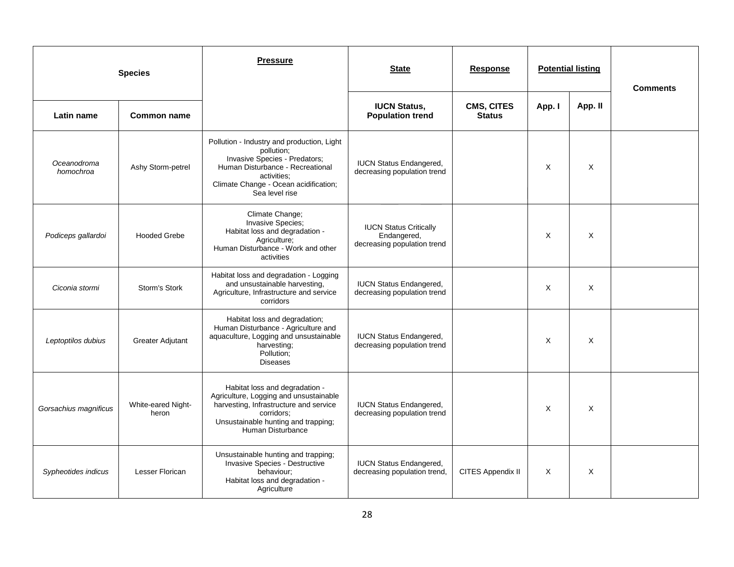|                          | <b>Species</b>              | <b>Pressure</b>                                                                                                                                                                                         | <b>State</b>                                                                | <b>Response</b>                    |          | <b>Potential listing</b> | <b>Comments</b> |
|--------------------------|-----------------------------|---------------------------------------------------------------------------------------------------------------------------------------------------------------------------------------------------------|-----------------------------------------------------------------------------|------------------------------------|----------|--------------------------|-----------------|
| Latin name               | <b>Common name</b>          |                                                                                                                                                                                                         | <b>IUCN Status,</b><br><b>Population trend</b>                              | <b>CMS, CITES</b><br><b>Status</b> | App. I   | App. II                  |                 |
| Oceanodroma<br>homochroa | Ashy Storm-petrel           | Pollution - Industry and production, Light<br>pollution;<br>Invasive Species - Predators;<br>Human Disturbance - Recreational<br>activities:<br>Climate Change - Ocean acidification;<br>Sea level rise | <b>IUCN Status Endangered,</b><br>decreasing population trend               |                                    | $\times$ | X                        |                 |
| Podiceps gallardoi       | <b>Hooded Grebe</b>         | Climate Change;<br><b>Invasive Species:</b><br>Habitat loss and degradation -<br>Agriculture;<br>Human Disturbance - Work and other<br>activities                                                       | <b>IUCN Status Critically</b><br>Endangered,<br>decreasing population trend |                                    | X        | X                        |                 |
| Ciconia stormi           | Storm's Stork               | Habitat loss and degradation - Logging<br>and unsustainable harvesting,<br>Agriculture, Infrastructure and service<br>corridors                                                                         | <b>IUCN Status Endangered,</b><br>decreasing population trend               |                                    | X        | X                        |                 |
| Leptoptilos dubius       | <b>Greater Adjutant</b>     | Habitat loss and degradation;<br>Human Disturbance - Agriculture and<br>aquaculture, Logging and unsustainable<br>harvesting;<br>Pollution;<br><b>Diseases</b>                                          | <b>IUCN Status Endangered,</b><br>decreasing population trend               |                                    | X        | X                        |                 |
| Gorsachius magnificus    | White-eared Night-<br>heron | Habitat loss and degradation -<br>Agriculture, Logging and unsustainable<br>harvesting, Infrastructure and service<br>corridors;<br>Unsustainable hunting and trapping;<br>Human Disturbance            | <b>IUCN Status Endangered,</b><br>decreasing population trend               |                                    | X        | $\times$                 |                 |
| Sypheotides indicus      | Lesser Florican             | Unsustainable hunting and trapping;<br>Invasive Species - Destructive<br>behaviour:<br>Habitat loss and degradation -<br>Agriculture                                                                    | <b>IUCN Status Endangered,</b><br>decreasing population trend,              | CITES Appendix II                  | X        | X                        |                 |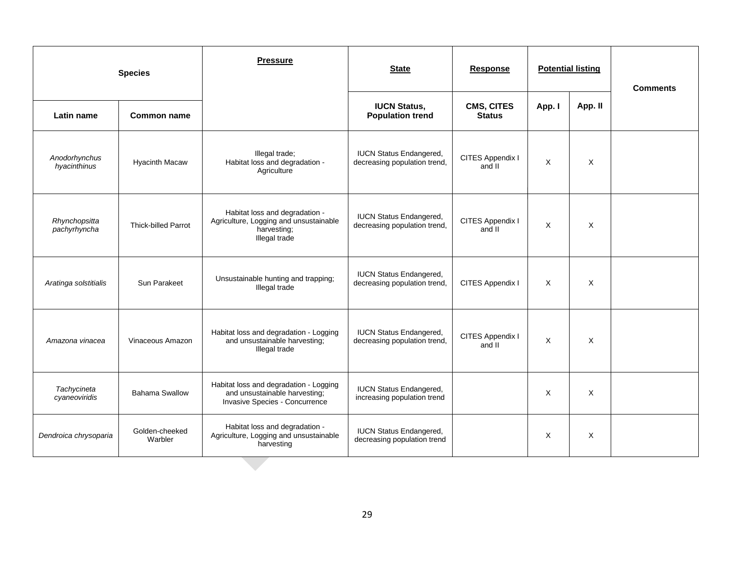|                               | <b>Species</b>             | <b>Pressure</b>                                                                                           | <b>State</b>                                                   | <b>Response</b>                    |        | <b>Potential listing</b> | <b>Comments</b> |
|-------------------------------|----------------------------|-----------------------------------------------------------------------------------------------------------|----------------------------------------------------------------|------------------------------------|--------|--------------------------|-----------------|
| Latin name                    | <b>Common name</b>         |                                                                                                           | <b>IUCN Status,</b><br><b>Population trend</b>                 | <b>CMS, CITES</b><br><b>Status</b> | App. I | App. II                  |                 |
| Anodorhynchus<br>hyacinthinus | <b>Hyacinth Macaw</b>      | Illegal trade;<br>Habitat loss and degradation -<br>Agriculture                                           | <b>IUCN Status Endangered,</b><br>decreasing population trend, | CITES Appendix I<br>and II         | X      | X                        |                 |
| Rhynchopsitta<br>pachyrhyncha | <b>Thick-billed Parrot</b> | Habitat loss and degradation -<br>Agriculture, Logging and unsustainable<br>harvesting;<br>Illegal trade  | <b>IUCN Status Endangered,</b><br>decreasing population trend, | CITES Appendix I<br>and II         | X      | X                        |                 |
| Aratinga solstitialis         | Sun Parakeet               | Unsustainable hunting and trapping;<br>Illegal trade                                                      | <b>IUCN Status Endangered,</b><br>decreasing population trend, | CITES Appendix I                   | X      | X                        |                 |
| Amazona vinacea               | Vinaceous Amazon           | Habitat loss and degradation - Logging<br>and unsustainable harvesting;<br>Illegal trade                  | <b>IUCN Status Endangered,</b><br>decreasing population trend, | CITES Appendix I<br>and II         | X      | X                        |                 |
| Tachycineta<br>cyaneoviridis  | <b>Bahama Swallow</b>      | Habitat loss and degradation - Logging<br>and unsustainable harvesting;<br>Invasive Species - Concurrence | <b>IUCN Status Endangered,</b><br>increasing population trend  |                                    | X      | X                        |                 |
| Dendroica chrysoparia         | Golden-cheeked<br>Warbler  | Habitat loss and degradation -<br>Agriculture, Logging and unsustainable<br>harvesting                    | <b>IUCN Status Endangered,</b><br>decreasing population trend  |                                    | X      | X                        |                 |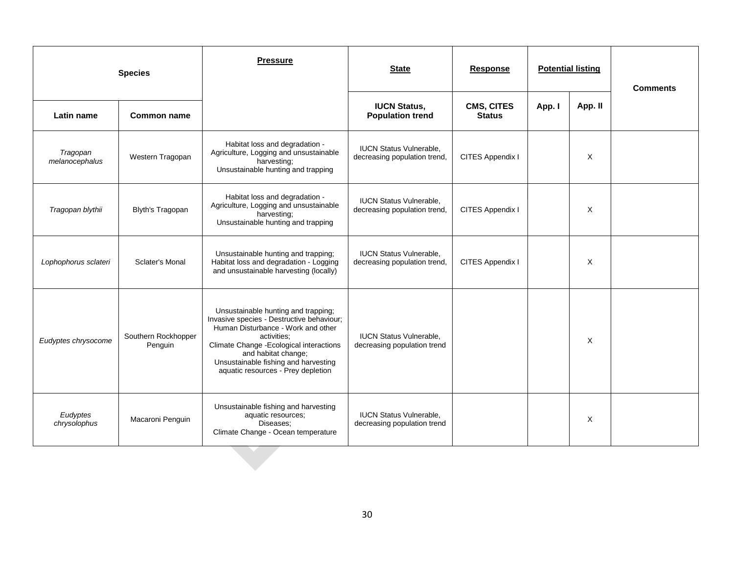|                            | <b>Species</b>                 | <b>Pressure</b>                                                                                                                                                                                                                                                                        | <b>State</b><br><b>Potential listing</b><br><b>Response</b>    |                             |        | <b>Comments</b> |  |
|----------------------------|--------------------------------|----------------------------------------------------------------------------------------------------------------------------------------------------------------------------------------------------------------------------------------------------------------------------------------|----------------------------------------------------------------|-----------------------------|--------|-----------------|--|
| Latin name                 | <b>Common name</b>             |                                                                                                                                                                                                                                                                                        | <b>IUCN Status,</b><br><b>Population trend</b>                 | CMS, CITES<br><b>Status</b> | App. I | App. II         |  |
| Tragopan<br>melanocephalus | Western Tragopan               | Habitat loss and degradation -<br>Agriculture, Logging and unsustainable<br>harvesting;<br>Unsustainable hunting and trapping                                                                                                                                                          | <b>IUCN Status Vulnerable,</b><br>decreasing population trend, | CITES Appendix I            |        | X               |  |
| Tragopan blythii           | Blyth's Tragopan               | Habitat loss and degradation -<br>Agriculture, Logging and unsustainable<br>harvesting;<br>Unsustainable hunting and trapping                                                                                                                                                          | <b>IUCN Status Vulnerable,</b><br>decreasing population trend, | CITES Appendix I            |        | X               |  |
| Lophophorus sclateri       | Sclater's Monal                | Unsustainable hunting and trapping;<br>Habitat loss and degradation - Logging<br>and unsustainable harvesting (locally)                                                                                                                                                                | <b>IUCN Status Vulnerable.</b><br>decreasing population trend, | CITES Appendix I            |        | X               |  |
| Eudyptes chrysocome        | Southern Rockhopper<br>Penguin | Unsustainable hunting and trapping;<br>Invasive species - Destructive behaviour;<br>Human Disturbance - Work and other<br>activities:<br>Climate Change - Ecological interactions<br>and habitat change;<br>Unsustainable fishing and harvesting<br>aquatic resources - Prey depletion | <b>IUCN Status Vulnerable,</b><br>decreasing population trend  |                             |        | X               |  |
| Eudyptes<br>chrysolophus   | Macaroni Penguin               | Unsustainable fishing and harvesting<br>aquatic resources;<br>Diseases:<br>Climate Change - Ocean temperature                                                                                                                                                                          | <b>IUCN Status Vulnerable,</b><br>decreasing population trend  |                             |        | X               |  |
|                            |                                |                                                                                                                                                                                                                                                                                        |                                                                |                             |        |                 |  |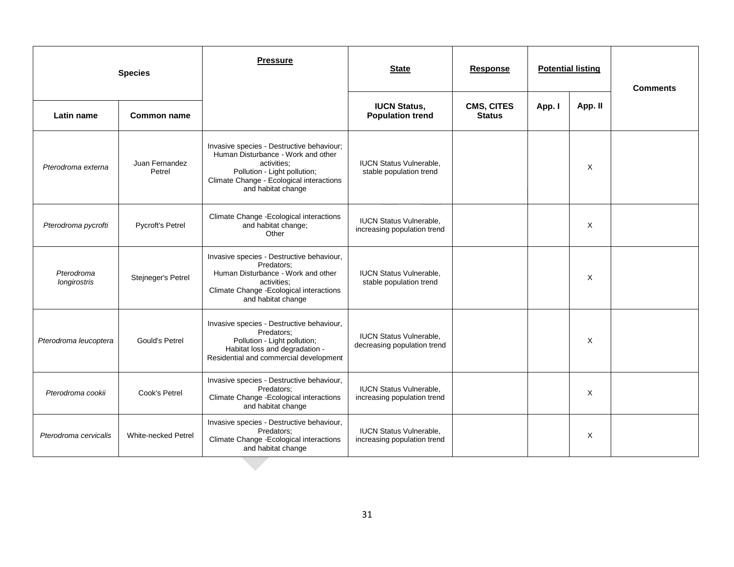| <b>Species</b>             |                          | <b>Pressure</b>                                                                                                                                                                                  | <b>State</b>                                                  | <b>Response</b>             |        | <b>Potential listing</b> | <b>Comments</b> |
|----------------------------|--------------------------|--------------------------------------------------------------------------------------------------------------------------------------------------------------------------------------------------|---------------------------------------------------------------|-----------------------------|--------|--------------------------|-----------------|
| Latin name                 | Common name              |                                                                                                                                                                                                  | <b>IUCN Status,</b><br><b>Population trend</b>                | CMS, CITES<br><b>Status</b> | App. I | App. II                  |                 |
| Pterodroma externa         | Juan Fernandez<br>Petrel | Invasive species - Destructive behaviour;<br>Human Disturbance - Work and other<br>activities;<br>Pollution - Light pollution;<br>Climate Change - Ecological interactions<br>and habitat change | <b>IUCN Status Vulnerable,</b><br>stable population trend     |                             |        | X                        |                 |
| Pterodroma pycrofti        | Pycroft's Petrel         | Climate Change - Ecological interactions<br>and habitat change;<br>Other                                                                                                                         | <b>IUCN Status Vulnerable,</b><br>increasing population trend |                             |        | X                        |                 |
| Pterodroma<br>longirostris | Stejneger's Petrel       | Invasive species - Destructive behaviour,<br>Predators:<br>Human Disturbance - Work and other<br>activities:<br>Climate Change - Ecological interactions<br>and habitat change                   | <b>IUCN Status Vulnerable,</b><br>stable population trend     |                             |        | X                        |                 |
| Pterodroma leucoptera      | <b>Gould's Petrel</b>    | Invasive species - Destructive behaviour,<br>Predators;<br>Pollution - Light pollution;<br>Habitat loss and degradation -<br>Residential and commercial development                              | <b>IUCN Status Vulnerable.</b><br>decreasing population trend |                             |        | X                        |                 |
| Pterodroma cookii          | Cook's Petrel            | Invasive species - Destructive behaviour,<br>Predators;<br>Climate Change - Ecological interactions<br>and habitat change                                                                        | <b>IUCN Status Vulnerable,</b><br>increasing population trend |                             |        | X                        |                 |
| Pterodroma cervicalis      | White-necked Petrel      | Invasive species - Destructive behaviour,<br>Predators:<br>Climate Change - Ecological interactions<br>and habitat change                                                                        | <b>IUCN Status Vulnerable,</b><br>increasing population trend |                             |        | X                        |                 |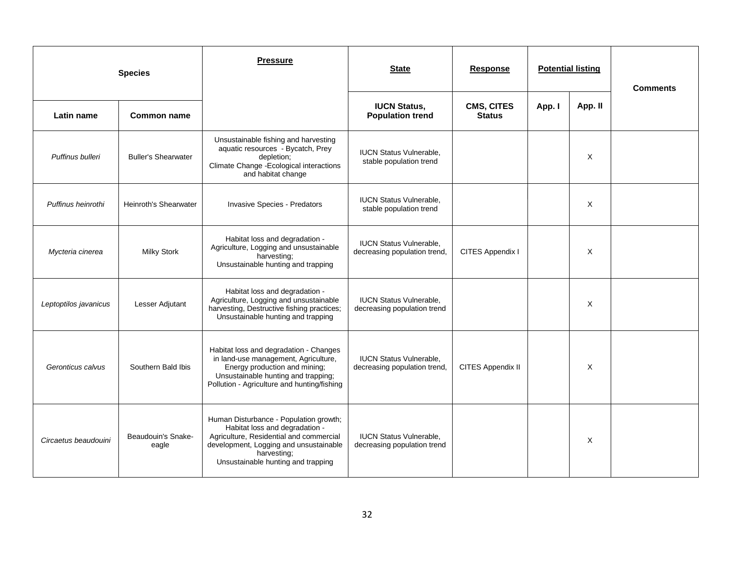|                       | <b>Species</b>              | <b>Pressure</b>                                                                                                                                                                                                    | <b>State</b>                                                   | <b>Response</b>                    |        | <b>Potential listing</b> | <b>Comments</b> |
|-----------------------|-----------------------------|--------------------------------------------------------------------------------------------------------------------------------------------------------------------------------------------------------------------|----------------------------------------------------------------|------------------------------------|--------|--------------------------|-----------------|
| Latin name            | Common name                 |                                                                                                                                                                                                                    | <b>IUCN Status,</b><br><b>Population trend</b>                 | <b>CMS, CITES</b><br><b>Status</b> | App. I | App. II                  |                 |
| Puffinus bulleri      | <b>Buller's Shearwater</b>  | Unsustainable fishing and harvesting<br>aquatic resources - Bycatch, Prey<br>depletion;<br>Climate Change - Ecological interactions<br>and habitat change                                                          | <b>IUCN Status Vulnerable,</b><br>stable population trend      |                                    |        | X                        |                 |
| Puffinus heinrothi    | Heinroth's Shearwater       | <b>Invasive Species - Predators</b>                                                                                                                                                                                | <b>IUCN Status Vulnerable.</b><br>stable population trend      |                                    |        | X                        |                 |
| Mycteria cinerea      | <b>Milky Stork</b>          | Habitat loss and degradation -<br>Agriculture, Logging and unsustainable<br>harvesting;<br>Unsustainable hunting and trapping                                                                                      | <b>IUCN Status Vulnerable,</b><br>decreasing population trend, | CITES Appendix I                   |        | X                        |                 |
| Leptoptilos javanicus | Lesser Adjutant             | Habitat loss and degradation -<br>Agriculture, Logging and unsustainable<br>harvesting, Destructive fishing practices;<br>Unsustainable hunting and trapping                                                       | <b>IUCN Status Vulnerable,</b><br>decreasing population trend  |                                    |        | X                        |                 |
| Geronticus calvus     | Southern Bald Ibis          | Habitat loss and degradation - Changes<br>in land-use management, Agriculture,<br>Energy production and mining;<br>Unsustainable hunting and trapping;<br>Pollution - Agriculture and hunting/fishing              | <b>IUCN Status Vulnerable,</b><br>decreasing population trend, | CITES Appendix II                  |        | X                        |                 |
| Circaetus beaudouini  | Beaudouin's Snake-<br>eagle | Human Disturbance - Population growth;<br>Habitat loss and degradation -<br>Agriculture, Residential and commercial<br>development, Logging and unsustainable<br>harvesting;<br>Unsustainable hunting and trapping | <b>IUCN Status Vulnerable,</b><br>decreasing population trend  |                                    |        | X                        |                 |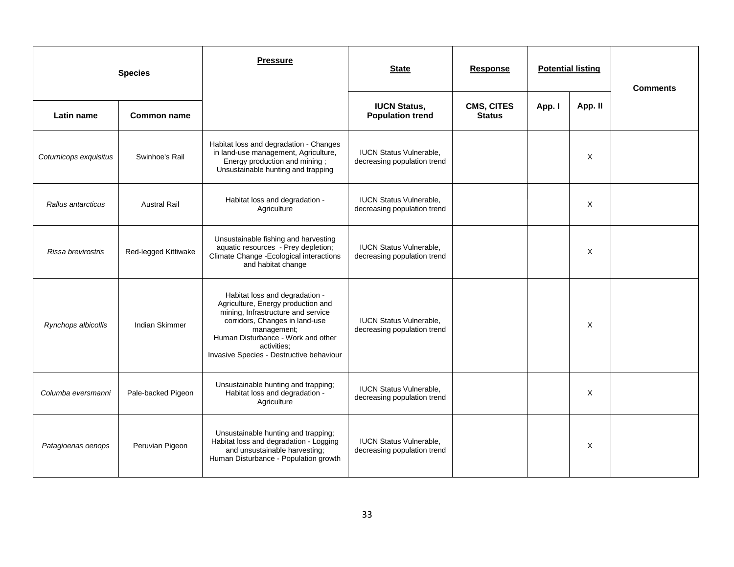|                        | <b>Species</b>       | <b>Pressure</b>                                                                                                                                                                                                                                              | <b>State</b>                                                  | <b>Response</b>             | <b>Potential listing</b> |         | <b>Comments</b> |
|------------------------|----------------------|--------------------------------------------------------------------------------------------------------------------------------------------------------------------------------------------------------------------------------------------------------------|---------------------------------------------------------------|-----------------------------|--------------------------|---------|-----------------|
| Latin name             | <b>Common name</b>   |                                                                                                                                                                                                                                                              | <b>IUCN Status,</b><br><b>Population trend</b>                | CMS, CITES<br><b>Status</b> | App. I                   | App. II |                 |
| Coturnicops exquisitus | Swinhoe's Rail       | Habitat loss and degradation - Changes<br>in land-use management, Agriculture,<br>Energy production and mining;<br>Unsustainable hunting and trapping                                                                                                        | <b>IUCN Status Vulnerable,</b><br>decreasing population trend |                             |                          | X       |                 |
| Rallus antarcticus     | <b>Austral Rail</b>  | Habitat loss and degradation -<br>Agriculture                                                                                                                                                                                                                | <b>IUCN Status Vulnerable.</b><br>decreasing population trend |                             |                          | X       |                 |
| Rissa brevirostris     | Red-legged Kittiwake | Unsustainable fishing and harvesting<br>aquatic resources - Prey depletion;<br>Climate Change -Ecological interactions<br>and habitat change                                                                                                                 | <b>IUCN Status Vulnerable,</b><br>decreasing population trend |                             |                          | X       |                 |
| Rynchops albicollis    | Indian Skimmer       | Habitat loss and degradation -<br>Agriculture, Energy production and<br>mining, Infrastructure and service<br>corridors, Changes in land-use<br>management;<br>Human Disturbance - Work and other<br>activities:<br>Invasive Species - Destructive behaviour | <b>IUCN Status Vulnerable.</b><br>decreasing population trend |                             |                          | X       |                 |
| Columba eversmanni     | Pale-backed Pigeon   | Unsustainable hunting and trapping;<br>Habitat loss and degradation -<br>Agriculture                                                                                                                                                                         | <b>IUCN Status Vulnerable.</b><br>decreasing population trend |                             |                          | X       |                 |
| Patagioenas oenops     | Peruvian Pigeon      | Unsustainable hunting and trapping;<br>Habitat loss and degradation - Logging<br>and unsustainable harvesting;<br>Human Disturbance - Population growth                                                                                                      | <b>IUCN Status Vulnerable,</b><br>decreasing population trend |                             |                          | X       |                 |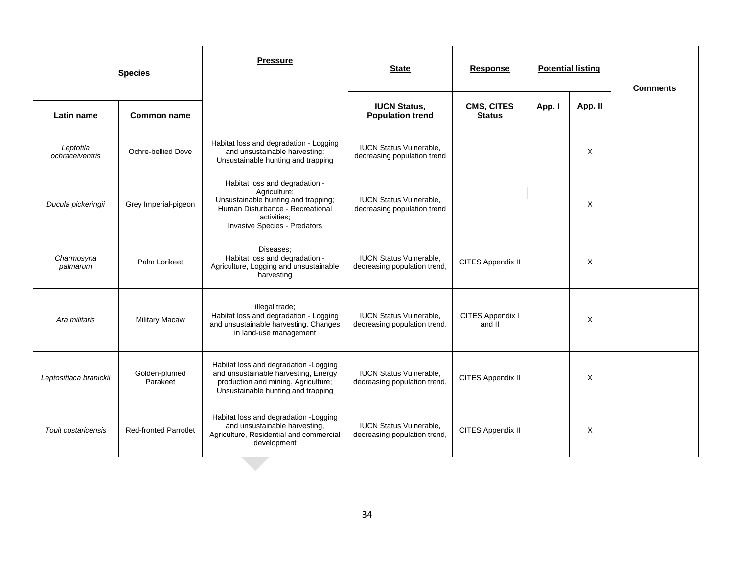|                              | <b>Species</b>               | <b>Pressure</b>                                                                                                                                                                 | <b>State</b><br><b>Response</b><br><b>Potential listing</b>    |                             | <b>Comments</b> |         |  |
|------------------------------|------------------------------|---------------------------------------------------------------------------------------------------------------------------------------------------------------------------------|----------------------------------------------------------------|-----------------------------|-----------------|---------|--|
| Latin name                   | Common name                  |                                                                                                                                                                                 | <b>IUCN Status,</b><br><b>Population trend</b>                 | CMS, CITES<br><b>Status</b> | App. I          | App. II |  |
| Leptotila<br>ochraceiventris | Ochre-bellied Dove           | Habitat loss and degradation - Logging<br>and unsustainable harvesting;<br>Unsustainable hunting and trapping                                                                   | <b>IUCN Status Vulnerable.</b><br>decreasing population trend  |                             |                 | X       |  |
| Ducula pickeringii           | Grey Imperial-pigeon         | Habitat loss and degradation -<br>Agriculture;<br>Unsustainable hunting and trapping;<br>Human Disturbance - Recreational<br>activities:<br><b>Invasive Species - Predators</b> | <b>IUCN Status Vulnerable.</b><br>decreasing population trend  |                             |                 | X       |  |
| Charmosyna<br>palmarum       | Palm Lorikeet                | Diseases:<br>Habitat loss and degradation -<br>Agriculture, Logging and unsustainable<br>harvesting                                                                             | <b>IUCN Status Vulnerable.</b><br>decreasing population trend, | CITES Appendix II           |                 | X       |  |
| Ara militaris                | <b>Military Macaw</b>        | Illegal trade;<br>Habitat loss and degradation - Logging<br>and unsustainable harvesting, Changes<br>in land-use management                                                     | <b>IUCN Status Vulnerable,</b><br>decreasing population trend, | CITES Appendix I<br>and II  |                 | X       |  |
| Leptosittaca branickii       | Golden-plumed<br>Parakeet    | Habitat loss and degradation - Logging<br>and unsustainable harvesting, Energy<br>production and mining, Agriculture;<br>Unsustainable hunting and trapping                     | <b>IUCN Status Vulnerable.</b><br>decreasing population trend, | CITES Appendix II           |                 | X       |  |
| Touit costaricensis          | <b>Red-fronted Parrotlet</b> | Habitat loss and degradation - Logging<br>and unsustainable harvesting,<br>Agriculture, Residential and commercial<br>development                                               | <b>IUCN Status Vulnerable,</b><br>decreasing population trend, | CITES Appendix II           |                 | X       |  |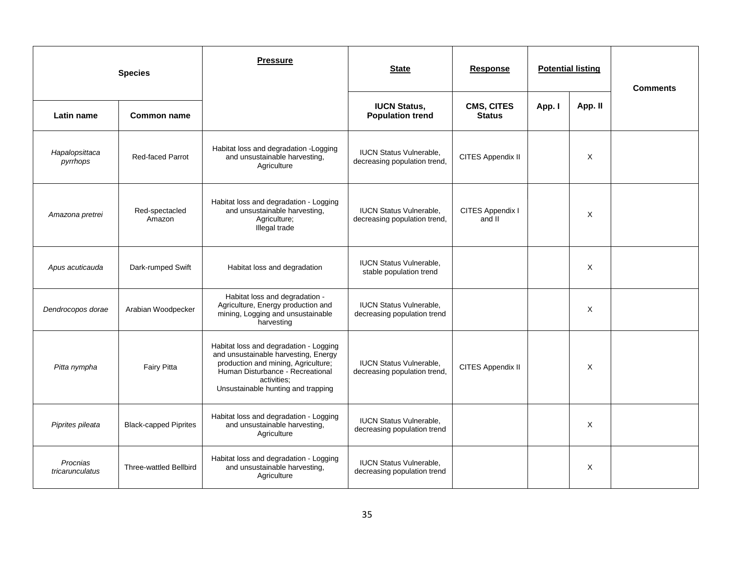|                             | <b>Species</b>                | <b>Pressure</b>                                                                                                                                                                                                | <b>State</b>                                                   | Response                           |        | <b>Potential listing</b> | <b>Comments</b> |
|-----------------------------|-------------------------------|----------------------------------------------------------------------------------------------------------------------------------------------------------------------------------------------------------------|----------------------------------------------------------------|------------------------------------|--------|--------------------------|-----------------|
| Latin name                  | <b>Common name</b>            |                                                                                                                                                                                                                | <b>IUCN Status,</b><br><b>Population trend</b>                 | <b>CMS, CITES</b><br><b>Status</b> | App. I | App. II                  |                 |
| Hapalopsittaca<br>pyrrhops  | Red-faced Parrot              | Habitat loss and degradation - Logging<br>and unsustainable harvesting,<br>Agriculture                                                                                                                         | <b>IUCN Status Vulnerable.</b><br>decreasing population trend, | CITES Appendix II                  |        | X                        |                 |
| Amazona pretrei             | Red-spectacled<br>Amazon      | Habitat loss and degradation - Logging<br>and unsustainable harvesting,<br>Agriculture;<br>Illegal trade                                                                                                       | <b>IUCN Status Vulnerable,</b><br>decreasing population trend, | CITES Appendix I<br>and II         |        | X                        |                 |
| Apus acuticauda             | Dark-rumped Swift             | Habitat loss and degradation                                                                                                                                                                                   | <b>IUCN Status Vulnerable,</b><br>stable population trend      |                                    |        | X                        |                 |
| Dendrocopos dorae           | Arabian Woodpecker            | Habitat loss and degradation -<br>Agriculture, Energy production and<br>mining, Logging and unsustainable<br>harvesting                                                                                        | <b>IUCN Status Vulnerable,</b><br>decreasing population trend  |                                    |        | X                        |                 |
| Pitta nympha                | <b>Fairy Pitta</b>            | Habitat loss and degradation - Logging<br>and unsustainable harvesting, Energy<br>production and mining, Agriculture;<br>Human Disturbance - Recreational<br>activities:<br>Unsustainable hunting and trapping | <b>IUCN Status Vulnerable,</b><br>decreasing population trend, | CITES Appendix II                  |        | X                        |                 |
| Piprites pileata            | <b>Black-capped Piprites</b>  | Habitat loss and degradation - Logging<br>and unsustainable harvesting,<br>Agriculture                                                                                                                         | <b>IUCN Status Vulnerable,</b><br>decreasing population trend  |                                    |        | X                        |                 |
| Procnias<br>tricarunculatus | <b>Three-wattled Bellbird</b> | Habitat loss and degradation - Logging<br>and unsustainable harvesting,<br>Agriculture                                                                                                                         | <b>IUCN Status Vulnerable,</b><br>decreasing population trend  |                                    |        | X                        |                 |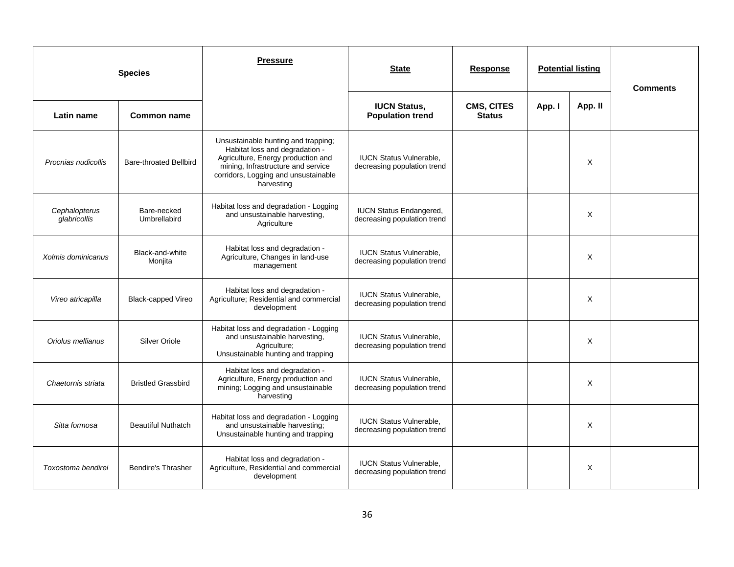|                               | <b>Species</b>                | <b>Pressure</b>                                                                                                                                                                                         | <b>State</b>                                                  | <b>Response</b>                    | <b>Potential listing</b> |         | <b>Comments</b> |
|-------------------------------|-------------------------------|---------------------------------------------------------------------------------------------------------------------------------------------------------------------------------------------------------|---------------------------------------------------------------|------------------------------------|--------------------------|---------|-----------------|
| Latin name                    | <b>Common name</b>            |                                                                                                                                                                                                         | <b>IUCN Status,</b><br><b>Population trend</b>                | <b>CMS, CITES</b><br><b>Status</b> | App. I                   | App. II |                 |
| Procnias nudicollis           | <b>Bare-throated Bellbird</b> | Unsustainable hunting and trapping;<br>Habitat loss and degradation -<br>Agriculture, Energy production and<br>mining, Infrastructure and service<br>corridors, Logging and unsustainable<br>harvesting | <b>IUCN Status Vulnerable,</b><br>decreasing population trend |                                    |                          | X       |                 |
| Cephalopterus<br>glabricollis | Bare-necked<br>Umbrellabird   | Habitat loss and degradation - Logging<br>and unsustainable harvesting,<br>Agriculture                                                                                                                  | <b>IUCN Status Endangered,</b><br>decreasing population trend |                                    |                          | X       |                 |
| Xolmis dominicanus            | Black-and-white<br>Monjita    | Habitat loss and degradation -<br>Agriculture, Changes in land-use<br>management                                                                                                                        | <b>IUCN Status Vulnerable.</b><br>decreasing population trend |                                    |                          | X       |                 |
| Vireo atricapilla             | <b>Black-capped Vireo</b>     | Habitat loss and degradation -<br>Agriculture; Residential and commercial<br>development                                                                                                                | <b>IUCN Status Vulnerable,</b><br>decreasing population trend |                                    |                          | X       |                 |
| Oriolus mellianus             | <b>Silver Oriole</b>          | Habitat loss and degradation - Logging<br>and unsustainable harvesting,<br>Agriculture;<br>Unsustainable hunting and trapping                                                                           | <b>IUCN Status Vulnerable,</b><br>decreasing population trend |                                    |                          | X       |                 |
| Chaetornis striata            | <b>Bristled Grassbird</b>     | Habitat loss and degradation -<br>Agriculture, Energy production and<br>mining; Logging and unsustainable<br>harvesting                                                                                 | <b>IUCN Status Vulnerable,</b><br>decreasing population trend |                                    |                          | X       |                 |
| Sitta formosa                 | <b>Beautiful Nuthatch</b>     | Habitat loss and degradation - Logging<br>and unsustainable harvesting;<br>Unsustainable hunting and trapping                                                                                           | <b>IUCN Status Vulnerable,</b><br>decreasing population trend |                                    |                          | X       |                 |
| Toxostoma bendirei            | <b>Bendire's Thrasher</b>     | Habitat loss and degradation -<br>Agriculture, Residential and commercial<br>development                                                                                                                | <b>IUCN Status Vulnerable,</b><br>decreasing population trend |                                    |                          | X       |                 |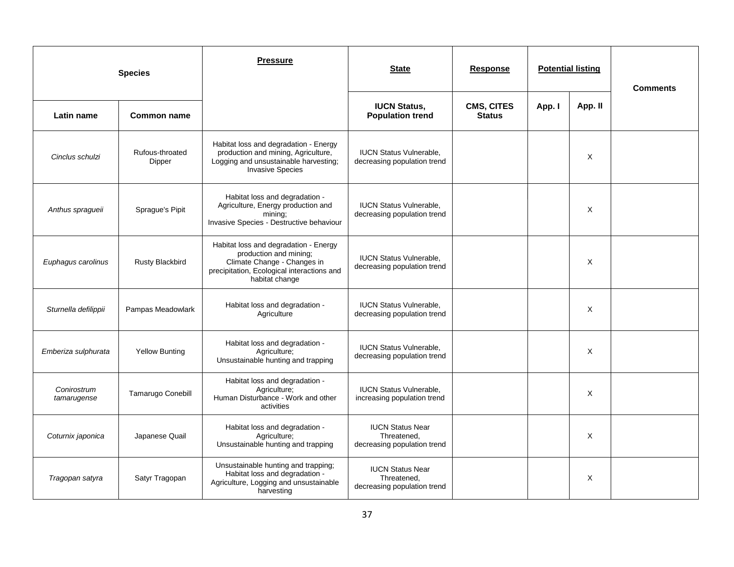|                            | <b>Species</b>            | <b>Pressure</b>                                                                                                                                                | <b>State</b>                                                          | <b>Potential listing</b><br><b>Response</b> |        | <b>Comments</b> |  |
|----------------------------|---------------------------|----------------------------------------------------------------------------------------------------------------------------------------------------------------|-----------------------------------------------------------------------|---------------------------------------------|--------|-----------------|--|
| Latin name                 | <b>Common name</b>        |                                                                                                                                                                | <b>IUCN Status,</b><br><b>Population trend</b>                        | CMS, CITES<br><b>Status</b>                 | App. I | App. II         |  |
| Cinclus schulzi            | Rufous-throated<br>Dipper | Habitat loss and degradation - Energy<br>production and mining, Agriculture,<br>Logging and unsustainable harvesting;<br><b>Invasive Species</b>               | <b>IUCN Status Vulnerable,</b><br>decreasing population trend         |                                             |        | X               |  |
| Anthus spragueii           | Sprague's Pipit           | Habitat loss and degradation -<br>Agriculture, Energy production and<br>mining;<br>Invasive Species - Destructive behaviour                                    | <b>IUCN Status Vulnerable.</b><br>decreasing population trend         |                                             |        | X               |  |
| Euphagus carolinus         | <b>Rusty Blackbird</b>    | Habitat loss and degradation - Energy<br>production and mining;<br>Climate Change - Changes in<br>precipitation, Ecological interactions and<br>habitat change | <b>IUCN Status Vulnerable,</b><br>decreasing population trend         |                                             |        | X               |  |
| Sturnella defilippii       | Pampas Meadowlark         | Habitat loss and degradation -<br>Agriculture                                                                                                                  | <b>IUCN Status Vulnerable.</b><br>decreasing population trend         |                                             |        | X               |  |
| Emberiza sulphurata        | <b>Yellow Bunting</b>     | Habitat loss and degradation -<br>Agriculture;<br>Unsustainable hunting and trapping                                                                           | <b>IUCN Status Vulnerable,</b><br>decreasing population trend         |                                             |        | X               |  |
| Conirostrum<br>tamarugense | Tamarugo Conebill         | Habitat loss and degradation -<br>Agriculture;<br>Human Disturbance - Work and other<br>activities                                                             | <b>IUCN Status Vulnerable,</b><br>increasing population trend         |                                             |        | X               |  |
| Coturnix japonica          | Japanese Quail            | Habitat loss and degradation -<br>Agriculture;<br>Unsustainable hunting and trapping                                                                           | <b>IUCN Status Near</b><br>Threatened,<br>decreasing population trend |                                             |        | X               |  |
| Tragopan satyra            | Satyr Tragopan            | Unsustainable hunting and trapping;<br>Habitat loss and degradation -<br>Agriculture, Logging and unsustainable<br>harvesting                                  | <b>IUCN Status Near</b><br>Threatened,<br>decreasing population trend |                                             |        | Χ               |  |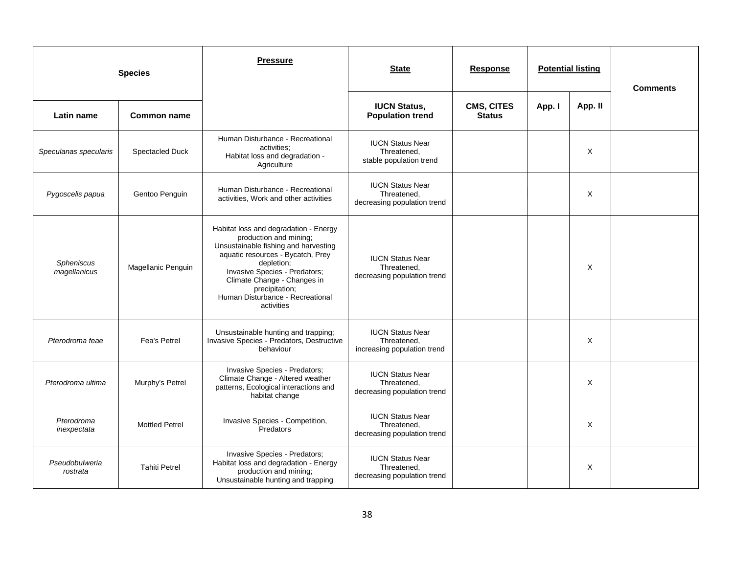|                                   | <b>Species</b>        | <b>Pressure</b>                                                                                                                                                                                                                                                                                | <b>State</b>                                                          | <b>Response</b>                    | <b>Potential listing</b> |          | <b>Comments</b> |
|-----------------------------------|-----------------------|------------------------------------------------------------------------------------------------------------------------------------------------------------------------------------------------------------------------------------------------------------------------------------------------|-----------------------------------------------------------------------|------------------------------------|--------------------------|----------|-----------------|
| Latin name                        | <b>Common name</b>    |                                                                                                                                                                                                                                                                                                | <b>IUCN Status,</b><br><b>Population trend</b>                        | <b>CMS, CITES</b><br><b>Status</b> | App. I                   | App. II  |                 |
| Speculanas specularis             | Spectacled Duck       | Human Disturbance - Recreational<br>activities:<br>Habitat loss and degradation -<br>Agriculture                                                                                                                                                                                               | <b>IUCN Status Near</b><br>Threatened.<br>stable population trend     |                                    |                          | X        |                 |
| Pygoscelis papua                  | Gentoo Penguin        | Human Disturbance - Recreational<br>activities, Work and other activities                                                                                                                                                                                                                      | <b>IUCN Status Near</b><br>Threatened,<br>decreasing population trend |                                    |                          | X        |                 |
| <b>Spheniscus</b><br>magellanicus | Magellanic Penguin    | Habitat loss and degradation - Energy<br>production and mining;<br>Unsustainable fishing and harvesting<br>aquatic resources - Bycatch, Prey<br>depletion;<br>Invasive Species - Predators;<br>Climate Change - Changes in<br>precipitation;<br>Human Disturbance - Recreational<br>activities | <b>IUCN Status Near</b><br>Threatened,<br>decreasing population trend |                                    |                          | $\times$ |                 |
| Pterodroma feae                   | <b>Fea's Petrel</b>   | Unsustainable hunting and trapping;<br>Invasive Species - Predators, Destructive<br>behaviour                                                                                                                                                                                                  | <b>IUCN Status Near</b><br>Threatened,<br>increasing population trend |                                    |                          | Χ        |                 |
| Pterodroma ultima                 | Murphy's Petrel       | Invasive Species - Predators;<br>Climate Change - Altered weather<br>patterns, Ecological interactions and<br>habitat change                                                                                                                                                                   | <b>IUCN Status Near</b><br>Threatened,<br>decreasing population trend |                                    |                          | X        |                 |
| Pterodroma<br>inexpectata         | <b>Mottled Petrel</b> | Invasive Species - Competition,<br>Predators                                                                                                                                                                                                                                                   | <b>IUCN Status Near</b><br>Threatened,<br>decreasing population trend |                                    |                          | X        |                 |
| Pseudobulweria<br>rostrata        | <b>Tahiti Petrel</b>  | Invasive Species - Predators;<br>Habitat loss and degradation - Energy<br>production and mining;<br>Unsustainable hunting and trapping                                                                                                                                                         | <b>IUCN Status Near</b><br>Threatened,<br>decreasing population trend |                                    |                          | X        |                 |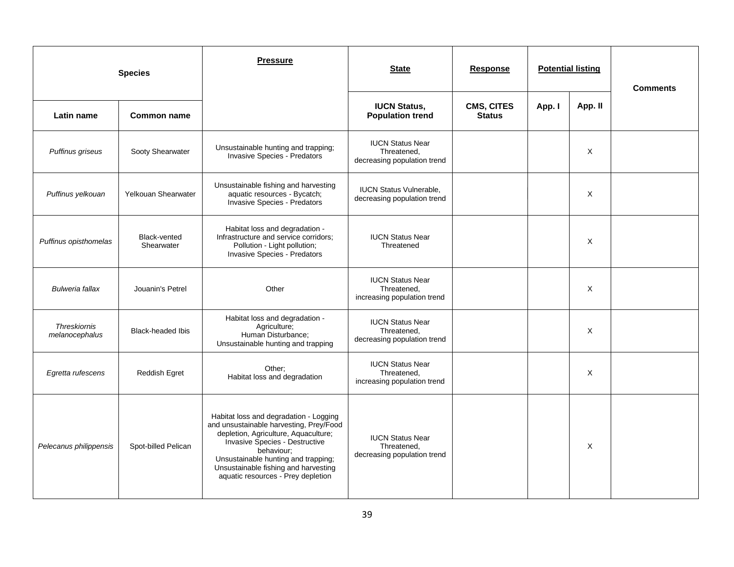| <b>Species</b>                        |                            | <b>Pressure</b>                                                                                                                                                                                                                                                                                | <b>State</b>                                                          | <b>Response</b>             |        | <b>Potential listing</b> | <b>Comments</b> |
|---------------------------------------|----------------------------|------------------------------------------------------------------------------------------------------------------------------------------------------------------------------------------------------------------------------------------------------------------------------------------------|-----------------------------------------------------------------------|-----------------------------|--------|--------------------------|-----------------|
| Latin name                            | <b>Common name</b>         |                                                                                                                                                                                                                                                                                                | <b>IUCN Status,</b><br><b>Population trend</b>                        | CMS, CITES<br><b>Status</b> | App. I | App. II                  |                 |
| Puffinus griseus                      | Sooty Shearwater           | Unsustainable hunting and trapping;<br>Invasive Species - Predators                                                                                                                                                                                                                            | <b>IUCN Status Near</b><br>Threatened,<br>decreasing population trend |                             |        | X                        |                 |
| Puffinus yelkouan                     | Yelkouan Shearwater        | Unsustainable fishing and harvesting<br>aquatic resources - Bycatch;<br><b>Invasive Species - Predators</b>                                                                                                                                                                                    | <b>IUCN Status Vulnerable,</b><br>decreasing population trend         |                             |        | X                        |                 |
| Puffinus opisthomelas                 | Black-vented<br>Shearwater | Habitat loss and degradation -<br>Infrastructure and service corridors;<br>Pollution - Light pollution;<br>Invasive Species - Predators                                                                                                                                                        | <b>IUCN Status Near</b><br>Threatened                                 |                             |        | X                        |                 |
| <b>Bulweria fallax</b>                | Jouanin's Petrel           | Other                                                                                                                                                                                                                                                                                          | <b>IUCN Status Near</b><br>Threatened,<br>increasing population trend |                             |        | X                        |                 |
| <b>Threskiornis</b><br>melanocephalus | <b>Black-headed Ibis</b>   | Habitat loss and degradation -<br>Agriculture;<br>Human Disturbance;<br>Unsustainable hunting and trapping                                                                                                                                                                                     | <b>IUCN Status Near</b><br>Threatened,<br>decreasing population trend |                             |        | X                        |                 |
| Egretta rufescens                     | Reddish Egret              | Other;<br>Habitat loss and degradation                                                                                                                                                                                                                                                         | <b>IUCN Status Near</b><br>Threatened,<br>increasing population trend |                             |        | X                        |                 |
| Pelecanus philippensis                | Spot-billed Pelican        | Habitat loss and degradation - Logging<br>and unsustainable harvesting, Prey/Food<br>depletion, Agriculture, Aquaculture;<br>Invasive Species - Destructive<br>behaviour:<br>Unsustainable hunting and trapping;<br>Unsustainable fishing and harvesting<br>aquatic resources - Prey depletion | <b>IUCN Status Near</b><br>Threatened,<br>decreasing population trend |                             |        | X                        |                 |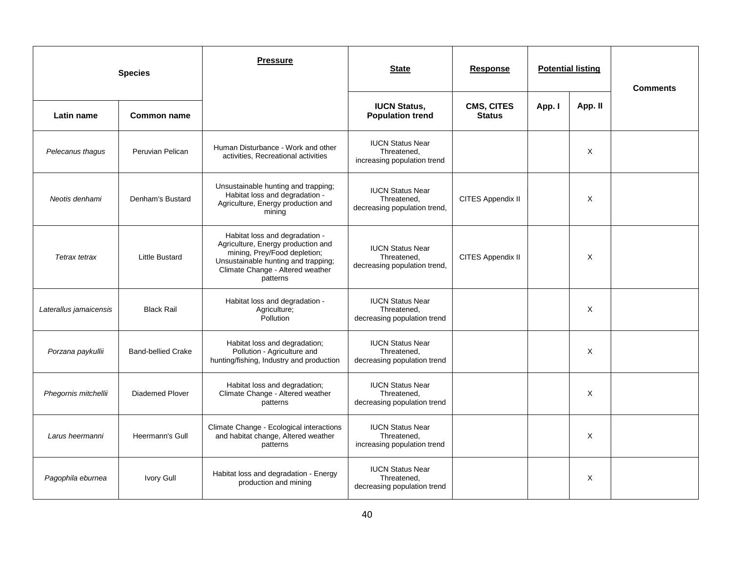|                        | <b>Species</b>            | <b>Pressure</b>                                                                                                                                                                             | <b>State</b>                                                           | <b>Response</b>                    |        | <b>Potential listing</b> | <b>Comments</b> |
|------------------------|---------------------------|---------------------------------------------------------------------------------------------------------------------------------------------------------------------------------------------|------------------------------------------------------------------------|------------------------------------|--------|--------------------------|-----------------|
| Latin name             | <b>Common name</b>        |                                                                                                                                                                                             | <b>IUCN Status,</b><br><b>Population trend</b>                         | <b>CMS, CITES</b><br><b>Status</b> | App. I | App. II                  |                 |
| Pelecanus thagus       | Peruvian Pelican          | Human Disturbance - Work and other<br>activities, Recreational activities                                                                                                                   | <b>IUCN Status Near</b><br>Threatened.<br>increasing population trend  |                                    |        | X                        |                 |
| Neotis denhami         | Denham's Bustard          | Unsustainable hunting and trapping;<br>Habitat loss and degradation -<br>Agriculture, Energy production and<br>mining                                                                       | <b>IUCN Status Near</b><br>Threatened,<br>decreasing population trend, | CITES Appendix II                  |        | X                        |                 |
| Tetrax tetrax          | <b>Little Bustard</b>     | Habitat loss and degradation -<br>Agriculture, Energy production and<br>mining, Prey/Food depletion;<br>Unsustainable hunting and trapping;<br>Climate Change - Altered weather<br>patterns | <b>IUCN Status Near</b><br>Threatened.<br>decreasing population trend, | CITES Appendix II                  |        | $\times$                 |                 |
| Laterallus jamaicensis | <b>Black Rail</b>         | Habitat loss and degradation -<br>Agriculture;<br>Pollution                                                                                                                                 | <b>IUCN Status Near</b><br>Threatened,<br>decreasing population trend  |                                    |        | X                        |                 |
| Porzana paykullii      | <b>Band-bellied Crake</b> | Habitat loss and degradation;<br>Pollution - Agriculture and<br>hunting/fishing, Industry and production                                                                                    | <b>IUCN Status Near</b><br>Threatened,<br>decreasing population trend  |                                    |        | X                        |                 |
| Phegornis mitchellii   | <b>Diademed Plover</b>    | Habitat loss and degradation;<br>Climate Change - Altered weather<br>patterns                                                                                                               | <b>IUCN Status Near</b><br>Threatened.<br>decreasing population trend  |                                    |        | X                        |                 |
| Larus heermanni        | Heermann's Gull           | Climate Change - Ecological interactions<br>and habitat change, Altered weather<br>patterns                                                                                                 | <b>IUCN Status Near</b><br>Threatened,<br>increasing population trend  |                                    |        | X                        |                 |
| Pagophila eburnea      | Ivory Gull                | Habitat loss and degradation - Energy<br>production and mining                                                                                                                              | <b>IUCN Status Near</b><br>Threatened.<br>decreasing population trend  |                                    |        | X                        |                 |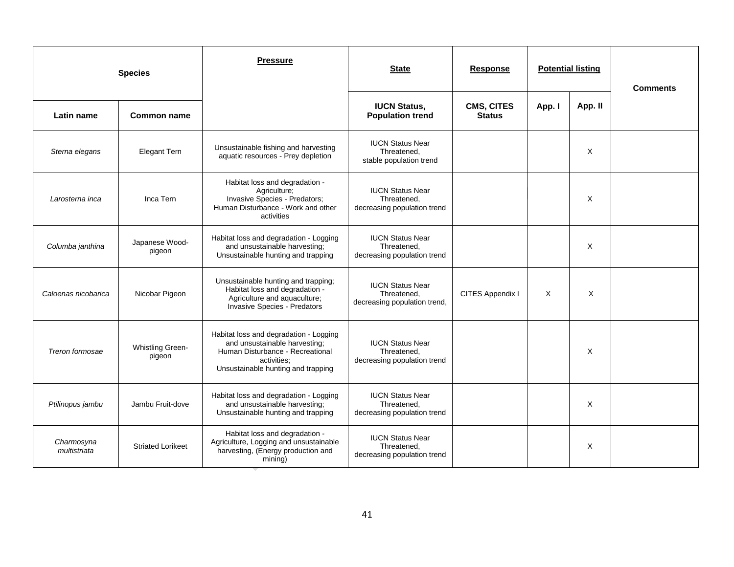|                            | <b>Species</b>                    | <b>Pressure</b>                                                                                                                                                  | <b>State</b>                                                           | <b>Response</b>                    |        | <b>Potential listing</b> | <b>Comments</b> |
|----------------------------|-----------------------------------|------------------------------------------------------------------------------------------------------------------------------------------------------------------|------------------------------------------------------------------------|------------------------------------|--------|--------------------------|-----------------|
| Latin name                 | <b>Common name</b>                |                                                                                                                                                                  | <b>IUCN Status,</b><br><b>Population trend</b>                         | <b>CMS, CITES</b><br><b>Status</b> | App. I | App. II                  |                 |
| Sterna elegans             | <b>Elegant Tern</b>               | Unsustainable fishing and harvesting<br>aquatic resources - Prey depletion                                                                                       | <b>IUCN Status Near</b><br>Threatened.<br>stable population trend      |                                    |        | $\times$                 |                 |
| Larosterna inca            | Inca Tern                         | Habitat loss and degradation -<br>Agriculture;<br>Invasive Species - Predators;<br>Human Disturbance - Work and other<br>activities                              | <b>IUCN Status Near</b><br>Threatened,<br>decreasing population trend  |                                    |        | X                        |                 |
| Columba janthina           | Japanese Wood-<br>pigeon          | Habitat loss and degradation - Logging<br>and unsustainable harvesting;<br>Unsustainable hunting and trapping                                                    | <b>IUCN Status Near</b><br>Threatened,<br>decreasing population trend  |                                    |        | X                        |                 |
| Caloenas nicobarica        | Nicobar Pigeon                    | Unsustainable hunting and trapping;<br>Habitat loss and degradation -<br>Agriculture and aquaculture;<br>Invasive Species - Predators                            | <b>IUCN Status Near</b><br>Threatened,<br>decreasing population trend, | CITES Appendix I                   | X      | X                        |                 |
| Treron formosae            | <b>Whistling Green-</b><br>pigeon | Habitat loss and degradation - Logging<br>and unsustainable harvesting;<br>Human Disturbance - Recreational<br>activities;<br>Unsustainable hunting and trapping | <b>IUCN Status Near</b><br>Threatened,<br>decreasing population trend  |                                    |        | X                        |                 |
| Ptilinopus jambu           | Jambu Fruit-dove                  | Habitat loss and degradation - Logging<br>and unsustainable harvesting;<br>Unsustainable hunting and trapping                                                    | <b>IUCN Status Near</b><br>Threatened,<br>decreasing population trend  |                                    |        | X                        |                 |
| Charmosyna<br>multistriata | <b>Striated Lorikeet</b>          | Habitat loss and degradation -<br>Agriculture, Logging and unsustainable<br>harvesting, (Energy production and<br>mining)                                        | <b>IUCN Status Near</b><br>Threatened,<br>decreasing population trend  |                                    |        | X                        |                 |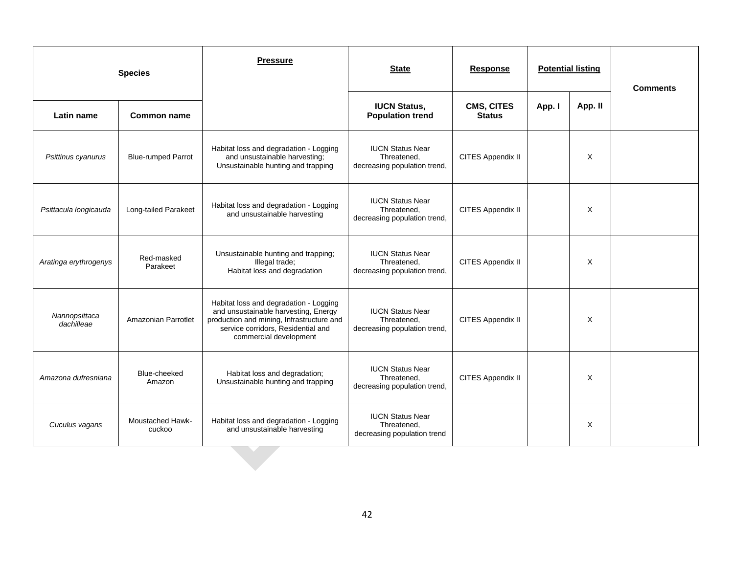|                             | <b>Species</b>                    | <b>Pressure</b>                                                                                                                                                                             | <b>Potential listing</b><br><b>State</b><br><b>Response</b>            |                                    | <b>Comments</b> |         |  |
|-----------------------------|-----------------------------------|---------------------------------------------------------------------------------------------------------------------------------------------------------------------------------------------|------------------------------------------------------------------------|------------------------------------|-----------------|---------|--|
| Latin name                  | <b>Common name</b>                |                                                                                                                                                                                             | <b>IUCN Status,</b><br><b>Population trend</b>                         | <b>CMS, CITES</b><br><b>Status</b> | App. I          | App. II |  |
| Psittinus cyanurus          | <b>Blue-rumped Parrot</b>         | Habitat loss and degradation - Logging<br>and unsustainable harvesting;<br>Unsustainable hunting and trapping                                                                               | <b>IUCN Status Near</b><br>Threatened,<br>decreasing population trend, | CITES Appendix II                  |                 | X       |  |
| Psittacula longicauda       | Long-tailed Parakeet              | Habitat loss and degradation - Logging<br>and unsustainable harvesting                                                                                                                      | <b>IUCN Status Near</b><br>Threatened,<br>decreasing population trend, | CITES Appendix II                  |                 | X       |  |
| Aratinga erythrogenys       | Red-masked<br>Parakeet            | Unsustainable hunting and trapping;<br>Illegal trade;<br>Habitat loss and degradation                                                                                                       | <b>IUCN Status Near</b><br>Threatened,<br>decreasing population trend, | CITES Appendix II                  |                 | X       |  |
| Nannopsittaca<br>dachilleae | Amazonian Parrotlet               | Habitat loss and degradation - Logging<br>and unsustainable harvesting, Energy<br>production and mining, Infrastructure and<br>service corridors, Residential and<br>commercial development | <b>IUCN Status Near</b><br>Threatened,<br>decreasing population trend, | CITES Appendix II                  |                 | X       |  |
| Amazona dufresniana         | Blue-cheeked<br>Amazon            | Habitat loss and degradation;<br>Unsustainable hunting and trapping                                                                                                                         | <b>IUCN Status Near</b><br>Threatened,<br>decreasing population trend, | CITES Appendix II                  |                 | X       |  |
| Cuculus vagans              | <b>Moustached Hawk-</b><br>cuckoo | Habitat loss and degradation - Logging<br>and unsustainable harvesting                                                                                                                      | <b>IUCN Status Near</b><br>Threatened,<br>decreasing population trend  |                                    |                 | X       |  |
|                             |                                   |                                                                                                                                                                                             |                                                                        |                                    |                 |         |  |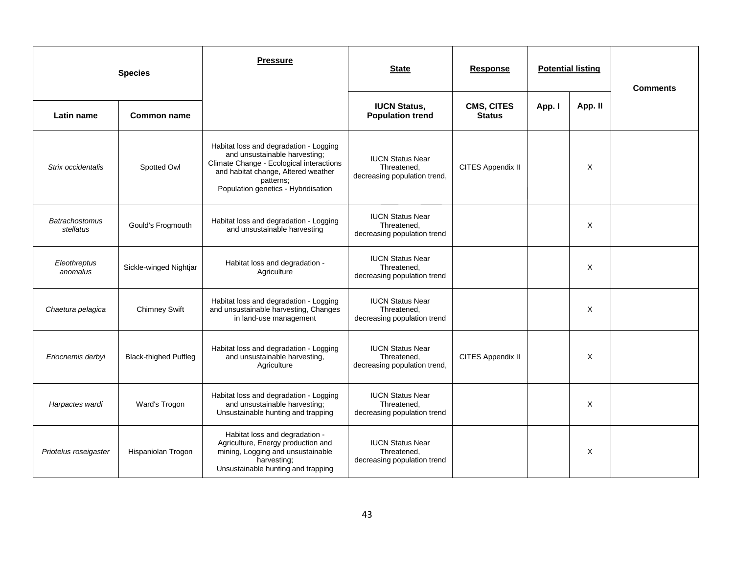|                                    | <b>Species</b>               | <b>Pressure</b>                                                                                                                                                                                                | <b>State</b>                                                           | <b>Response</b>                    |        | <b>Potential listing</b> | <b>Comments</b> |
|------------------------------------|------------------------------|----------------------------------------------------------------------------------------------------------------------------------------------------------------------------------------------------------------|------------------------------------------------------------------------|------------------------------------|--------|--------------------------|-----------------|
| Latin name                         | Common name                  |                                                                                                                                                                                                                | <b>IUCN Status,</b><br><b>Population trend</b>                         | <b>CMS, CITES</b><br><b>Status</b> | App. I | App. II                  |                 |
| Strix occidentalis                 | Spotted Owl                  | Habitat loss and degradation - Logging<br>and unsustainable harvesting;<br>Climate Change - Ecological interactions<br>and habitat change, Altered weather<br>patterns:<br>Population genetics - Hybridisation | <b>IUCN Status Near</b><br>Threatened,<br>decreasing population trend, | CITES Appendix II                  |        | X                        |                 |
| <b>Batrachostomus</b><br>stellatus | Gould's Frogmouth            | Habitat loss and degradation - Logging<br>and unsustainable harvesting                                                                                                                                         | <b>IUCN Status Near</b><br>Threatened,<br>decreasing population trend  |                                    |        | X                        |                 |
| Eleothreptus<br>anomalus           | Sickle-winged Nightjar       | Habitat loss and degradation -<br>Agriculture                                                                                                                                                                  | <b>IUCN Status Near</b><br>Threatened,<br>decreasing population trend  |                                    |        | X                        |                 |
| Chaetura pelagica                  | <b>Chimney Swift</b>         | Habitat loss and degradation - Logging<br>and unsustainable harvesting, Changes<br>in land-use management                                                                                                      | <b>IUCN Status Near</b><br>Threatened,<br>decreasing population trend  |                                    |        | X                        |                 |
| Eriocnemis derbyi                  | <b>Black-thighed Puffleg</b> | Habitat loss and degradation - Logging<br>and unsustainable harvesting,<br>Agriculture                                                                                                                         | <b>IUCN Status Near</b><br>Threatened,<br>decreasing population trend, | CITES Appendix II                  |        | X                        |                 |
| Harpactes wardi                    | Ward's Trogon                | Habitat loss and degradation - Logging<br>and unsustainable harvesting;<br>Unsustainable hunting and trapping                                                                                                  | <b>IUCN Status Near</b><br>Threatened,<br>decreasing population trend  |                                    |        | X                        |                 |
| Priotelus roseigaster              | Hispaniolan Trogon           | Habitat loss and degradation -<br>Agriculture, Energy production and<br>mining, Logging and unsustainable<br>harvesting;<br>Unsustainable hunting and trapping                                                 | <b>IUCN Status Near</b><br>Threatened,<br>decreasing population trend  |                                    |        | X                        |                 |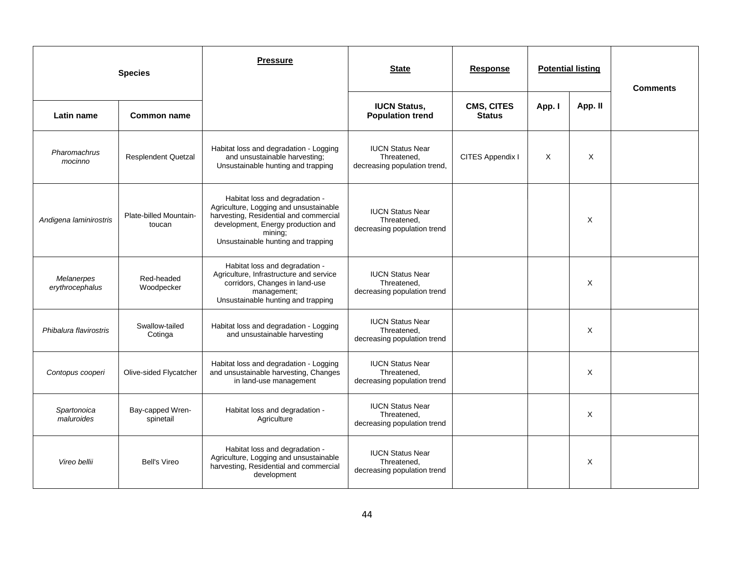|                               | <b>Species</b>                   | <b>Pressure</b>                                                                                                                                                                                           | <b>State</b>                                                           | <b>Response</b>                    |        | <b>Potential listing</b> | <b>Comments</b> |
|-------------------------------|----------------------------------|-----------------------------------------------------------------------------------------------------------------------------------------------------------------------------------------------------------|------------------------------------------------------------------------|------------------------------------|--------|--------------------------|-----------------|
| Latin name                    | <b>Common name</b>               |                                                                                                                                                                                                           | <b>IUCN Status,</b><br><b>Population trend</b>                         | <b>CMS, CITES</b><br><b>Status</b> | App. I | App. II                  |                 |
| Pharomachrus<br>mocinno       | <b>Resplendent Quetzal</b>       | Habitat loss and degradation - Logging<br>and unsustainable harvesting;<br>Unsustainable hunting and trapping                                                                                             | <b>IUCN Status Near</b><br>Threatened,<br>decreasing population trend, | CITES Appendix I                   | X      | X                        |                 |
| Andigena laminirostris        | Plate-billed Mountain-<br>toucan | Habitat loss and degradation -<br>Agriculture, Logging and unsustainable<br>harvesting, Residential and commercial<br>development, Energy production and<br>mining;<br>Unsustainable hunting and trapping | <b>IUCN Status Near</b><br>Threatened.<br>decreasing population trend  |                                    |        | X                        |                 |
| Melanerpes<br>erythrocephalus | Red-headed<br>Woodpecker         | Habitat loss and degradation -<br>Agriculture, Infrastructure and service<br>corridors, Changes in land-use<br>management;<br>Unsustainable hunting and trapping                                          | <b>IUCN Status Near</b><br>Threatened,<br>decreasing population trend  |                                    |        | X                        |                 |
| Phibalura flavirostris        | Swallow-tailed<br>Cotinga        | Habitat loss and degradation - Logging<br>and unsustainable harvesting                                                                                                                                    | <b>IUCN Status Near</b><br>Threatened,<br>decreasing population trend  |                                    |        | X                        |                 |
| Contopus cooperi              | Olive-sided Flycatcher           | Habitat loss and degradation - Logging<br>and unsustainable harvesting, Changes<br>in land-use management                                                                                                 | <b>IUCN Status Near</b><br>Threatened,<br>decreasing population trend  |                                    |        | X                        |                 |
| Spartonoica<br>maluroides     | Bay-capped Wren-<br>spinetail    | Habitat loss and degradation -<br>Agriculture                                                                                                                                                             | <b>IUCN Status Near</b><br>Threatened,<br>decreasing population trend  |                                    |        | X                        |                 |
| Vireo bellii                  | <b>Bell's Vireo</b>              | Habitat loss and degradation -<br>Agriculture, Logging and unsustainable<br>harvesting, Residential and commercial<br>development                                                                         | <b>IUCN Status Near</b><br>Threatened,<br>decreasing population trend  |                                    |        | X                        |                 |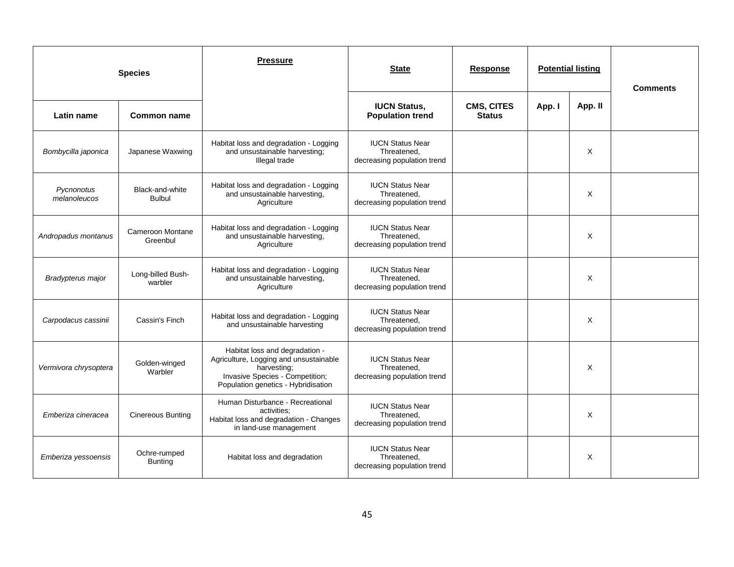| <b>Species</b>             |                                  | <b>Pressure</b>                                                                                                                                                   | <b>State</b>                                                          | <b>Response</b>                    |        | <b>Potential listing</b> | <b>Comments</b> |
|----------------------------|----------------------------------|-------------------------------------------------------------------------------------------------------------------------------------------------------------------|-----------------------------------------------------------------------|------------------------------------|--------|--------------------------|-----------------|
| Latin name                 | <b>Common name</b>               |                                                                                                                                                                   | <b>IUCN Status,</b><br><b>Population trend</b>                        | <b>CMS, CITES</b><br><b>Status</b> | App. I | App. II                  |                 |
| Bombycilla japonica        | Japanese Waxwing                 | Habitat loss and degradation - Logging<br>and unsustainable harvesting;<br>Illegal trade                                                                          | <b>IUCN Status Near</b><br>Threatened.<br>decreasing population trend |                                    |        | X                        |                 |
| Pycnonotus<br>melanoleucos | Black-and-white<br><b>Bulbul</b> | Habitat loss and degradation - Logging<br>and unsustainable harvesting,<br>Agriculture                                                                            | <b>IUCN Status Near</b><br>Threatened,<br>decreasing population trend |                                    |        | X                        |                 |
| Andropadus montanus        | Cameroon Montane<br>Greenbul     | Habitat loss and degradation - Logging<br>and unsustainable harvesting,<br>Agriculture                                                                            | <b>IUCN Status Near</b><br>Threatened,<br>decreasing population trend |                                    |        | X                        |                 |
| Bradypterus major          | Long-billed Bush-<br>warbler     | Habitat loss and degradation - Logging<br>and unsustainable harvesting,<br>Agriculture                                                                            | <b>IUCN Status Near</b><br>Threatened,<br>decreasing population trend |                                    |        | X                        |                 |
| Carpodacus cassinii        | Cassin's Finch                   | Habitat loss and degradation - Logging<br>and unsustainable harvesting                                                                                            | <b>IUCN Status Near</b><br>Threatened,<br>decreasing population trend |                                    |        | X                        |                 |
| Vermivora chrysoptera      | Golden-winged<br>Warbler         | Habitat loss and degradation -<br>Agriculture, Logging and unsustainable<br>harvesting;<br>Invasive Species - Competition;<br>Population genetics - Hybridisation | <b>IUCN Status Near</b><br>Threatened,<br>decreasing population trend |                                    |        | X                        |                 |
| Emberiza cineracea         | <b>Cinereous Bunting</b>         | Human Disturbance - Recreational<br>activities:<br>Habitat loss and degradation - Changes<br>in land-use management                                               | <b>IUCN Status Near</b><br>Threatened,<br>decreasing population trend |                                    |        | X                        |                 |
| Emberiza yessoensis        | Ochre-rumped<br><b>Bunting</b>   | Habitat loss and degradation                                                                                                                                      | <b>IUCN Status Near</b><br>Threatened,<br>decreasing population trend |                                    |        | X                        |                 |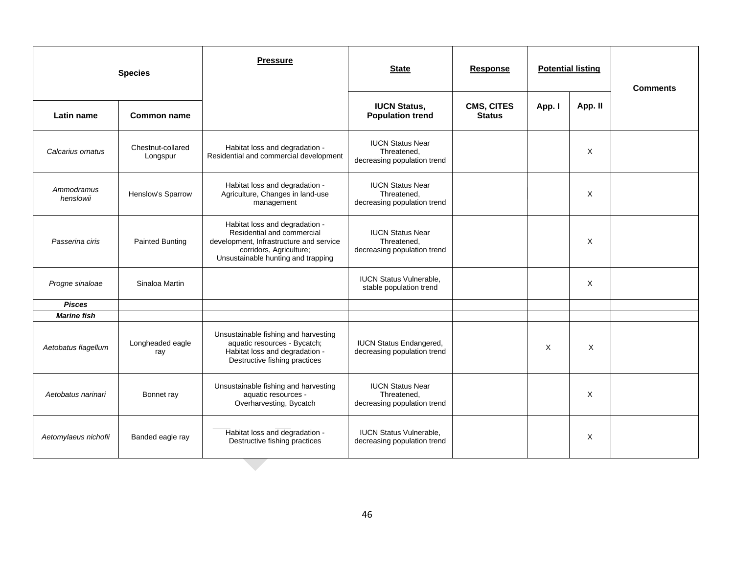|                         | <b>Species</b>                | <b>Pressure</b>                                                                                                                                                          | <b>State</b>                                                          | <b>Response</b>                    | <b>Potential listing</b> |         | <b>Comments</b> |
|-------------------------|-------------------------------|--------------------------------------------------------------------------------------------------------------------------------------------------------------------------|-----------------------------------------------------------------------|------------------------------------|--------------------------|---------|-----------------|
| Latin name              | <b>Common name</b>            |                                                                                                                                                                          | <b>IUCN Status,</b><br><b>Population trend</b>                        | <b>CMS, CITES</b><br><b>Status</b> | App. I                   | App. II |                 |
| Calcarius ornatus       | Chestnut-collared<br>Longspur | Habitat loss and degradation -<br>Residential and commercial development                                                                                                 | <b>IUCN Status Near</b><br>Threatened.<br>decreasing population trend |                                    |                          | X       |                 |
| Ammodramus<br>henslowii | Henslow's Sparrow             | Habitat loss and degradation -<br>Agriculture, Changes in land-use<br>management                                                                                         | <b>IUCN Status Near</b><br>Threatened,<br>decreasing population trend |                                    |                          | X       |                 |
| Passerina ciris         | <b>Painted Bunting</b>        | Habitat loss and degradation -<br>Residential and commercial<br>development, Infrastructure and service<br>corridors, Agriculture;<br>Unsustainable hunting and trapping | <b>IUCN Status Near</b><br>Threatened,<br>decreasing population trend |                                    |                          | X       |                 |
| Progne sinaloae         | Sinaloa Martin                |                                                                                                                                                                          | <b>IUCN Status Vulnerable,</b><br>stable population trend             |                                    |                          | X       |                 |
| <b>Pisces</b>           |                               |                                                                                                                                                                          |                                                                       |                                    |                          |         |                 |
| <b>Marine fish</b>      |                               |                                                                                                                                                                          |                                                                       |                                    |                          |         |                 |
| Aetobatus flagellum     | Longheaded eagle<br>ray       | Unsustainable fishing and harvesting<br>aquatic resources - Bycatch;<br>Habitat loss and degradation -<br>Destructive fishing practices                                  | <b>IUCN Status Endangered,</b><br>decreasing population trend         |                                    | Χ                        | X       |                 |
| Aetobatus narinari      | Bonnet ray                    | Unsustainable fishing and harvesting<br>aquatic resources -<br>Overharvesting, Bycatch                                                                                   | <b>IUCN Status Near</b><br>Threatened,<br>decreasing population trend |                                    |                          | X       |                 |
| Aetomylaeus nichofii    | Banded eagle ray              | Habitat loss and degradation -<br>Destructive fishing practices                                                                                                          | <b>IUCN Status Vulnerable.</b><br>decreasing population trend         |                                    |                          | X       |                 |
|                         |                               |                                                                                                                                                                          |                                                                       |                                    |                          |         |                 |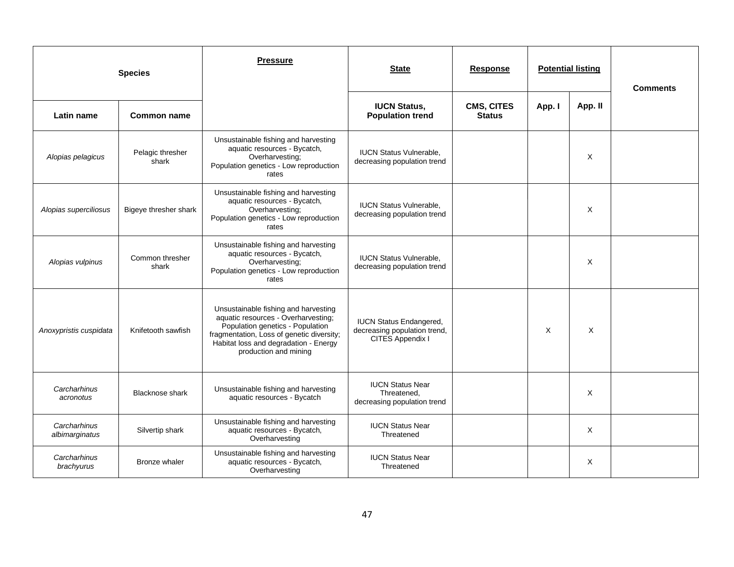|                                | <b>Species</b>            | <b>Pressure</b>                                                                                                                                                                                                                | <b>State</b>                                                                       | <b>Response</b>                    | <b>Potential listing</b> |          | <b>Comments</b> |
|--------------------------------|---------------------------|--------------------------------------------------------------------------------------------------------------------------------------------------------------------------------------------------------------------------------|------------------------------------------------------------------------------------|------------------------------------|--------------------------|----------|-----------------|
| Latin name                     | <b>Common name</b>        |                                                                                                                                                                                                                                | <b>IUCN Status,</b><br><b>Population trend</b>                                     | <b>CMS, CITES</b><br><b>Status</b> | App. I                   | App. II  |                 |
| Alopias pelagicus              | Pelagic thresher<br>shark | Unsustainable fishing and harvesting<br>aquatic resources - Bycatch,<br>Overharvesting;<br>Population genetics - Low reproduction<br>rates                                                                                     | <b>IUCN Status Vulnerable.</b><br>decreasing population trend                      |                                    |                          | X        |                 |
| Alopias superciliosus          | Bigeye thresher shark     | Unsustainable fishing and harvesting<br>aquatic resources - Bycatch,<br>Overharvesting;<br>Population genetics - Low reproduction<br>rates                                                                                     | <b>IUCN Status Vulnerable.</b><br>decreasing population trend                      |                                    |                          | X        |                 |
| Alopias vulpinus               | Common thresher<br>shark  | Unsustainable fishing and harvesting<br>aquatic resources - Bycatch,<br>Overharvesting:<br>Population genetics - Low reproduction<br>rates                                                                                     | <b>IUCN Status Vulnerable,</b><br>decreasing population trend                      |                                    |                          | X        |                 |
| Anoxypristis cuspidata         | Knifetooth sawfish        | Unsustainable fishing and harvesting<br>aquatic resources - Overharvesting;<br>Population genetics - Population<br>fragmentation, Loss of genetic diversity;<br>Habitat loss and degradation - Energy<br>production and mining | <b>IUCN Status Endangered,</b><br>decreasing population trend,<br>CITES Appendix I |                                    | $\times$                 | $\times$ |                 |
| Carcharhinus<br>acronotus      | <b>Blacknose shark</b>    | Unsustainable fishing and harvesting<br>aquatic resources - Bycatch                                                                                                                                                            | <b>IUCN Status Near</b><br>Threatened,<br>decreasing population trend              |                                    |                          | X        |                 |
| Carcharhinus<br>albimarginatus | Silvertip shark           | Unsustainable fishing and harvesting<br>aquatic resources - Bycatch,<br>Overharvesting                                                                                                                                         | <b>IUCN Status Near</b><br>Threatened                                              |                                    |                          | X        |                 |
| Carcharhinus<br>brachyurus     | Bronze whaler             | Unsustainable fishing and harvesting<br>aquatic resources - Bycatch,<br>Overharvesting                                                                                                                                         | <b>IUCN Status Near</b><br>Threatened                                              |                                    |                          | X        |                 |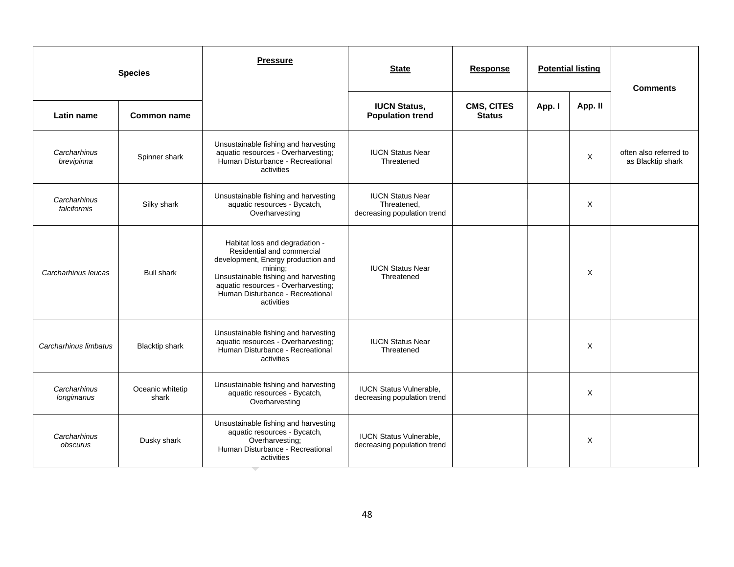|                             | <b>Species</b>            | <b>Pressure</b>                                                                                                                                                                                                                                | <b>State</b>                                                          | <b>Response</b>                    | <b>Potential listing</b> |         | <b>Comments</b>                             |
|-----------------------------|---------------------------|------------------------------------------------------------------------------------------------------------------------------------------------------------------------------------------------------------------------------------------------|-----------------------------------------------------------------------|------------------------------------|--------------------------|---------|---------------------------------------------|
| Latin name                  | <b>Common name</b>        |                                                                                                                                                                                                                                                | <b>IUCN Status,</b><br><b>Population trend</b>                        | <b>CMS, CITES</b><br><b>Status</b> | App. I                   | App. II |                                             |
| Carcharhinus<br>brevipinna  | Spinner shark             | Unsustainable fishing and harvesting<br>aquatic resources - Overharvesting;<br>Human Disturbance - Recreational<br>activities                                                                                                                  | <b>IUCN Status Near</b><br>Threatened                                 |                                    |                          | X       | often also referred to<br>as Blacktip shark |
| Carcharhinus<br>falciformis | Silky shark               | Unsustainable fishing and harvesting<br>aquatic resources - Bycatch,<br>Overharvesting                                                                                                                                                         | <b>IUCN Status Near</b><br>Threatened,<br>decreasing population trend |                                    |                          | X       |                                             |
| Carcharhinus leucas         | <b>Bull shark</b>         | Habitat loss and degradation -<br>Residential and commercial<br>development, Energy production and<br>mining:<br>Unsustainable fishing and harvesting<br>aquatic resources - Overharvesting;<br>Human Disturbance - Recreational<br>activities | <b>IUCN Status Near</b><br>Threatened                                 |                                    |                          | X       |                                             |
| Carcharhinus limbatus       | <b>Blacktip shark</b>     | Unsustainable fishing and harvesting<br>aquatic resources - Overharvesting;<br>Human Disturbance - Recreational<br>activities                                                                                                                  | <b>IUCN Status Near</b><br>Threatened                                 |                                    |                          | X       |                                             |
| Carcharhinus<br>longimanus  | Oceanic whitetip<br>shark | Unsustainable fishing and harvesting<br>aquatic resources - Bycatch,<br>Overharvesting                                                                                                                                                         | <b>IUCN Status Vulnerable,</b><br>decreasing population trend         |                                    |                          | X       |                                             |
| Carcharhinus<br>obscurus    | Dusky shark               | Unsustainable fishing and harvesting<br>aquatic resources - Bycatch,<br>Overharvesting;<br>Human Disturbance - Recreational<br>activities                                                                                                      | <b>IUCN Status Vulnerable,</b><br>decreasing population trend         |                                    |                          | X       |                                             |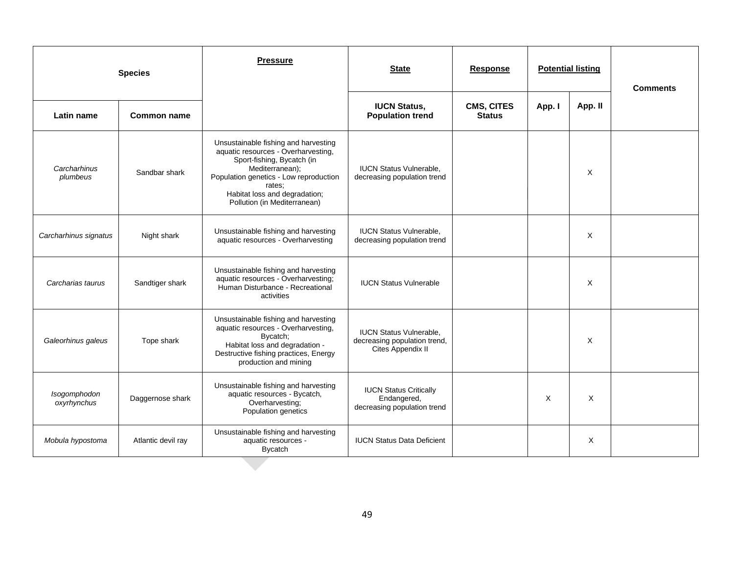| <b>Species</b>              |                    | <b>Pressure</b>                                                                                                                                                                                                                                   | <b>State</b>                                                                        | <b>Response</b>                    | <b>Potential listing</b> |          | <b>Comments</b> |
|-----------------------------|--------------------|---------------------------------------------------------------------------------------------------------------------------------------------------------------------------------------------------------------------------------------------------|-------------------------------------------------------------------------------------|------------------------------------|--------------------------|----------|-----------------|
| Latin name                  | <b>Common name</b> |                                                                                                                                                                                                                                                   | <b>IUCN Status,</b><br><b>Population trend</b>                                      | <b>CMS, CITES</b><br><b>Status</b> | App. I                   | App. II  |                 |
| Carcharhinus<br>plumbeus    | Sandbar shark      | Unsustainable fishing and harvesting<br>aquatic resources - Overharvesting,<br>Sport-fishing, Bycatch (in<br>Mediterranean);<br>Population genetics - Low reproduction<br>rates:<br>Habitat loss and degradation;<br>Pollution (in Mediterranean) | <b>IUCN Status Vulnerable.</b><br>decreasing population trend                       |                                    |                          | $\times$ |                 |
| Carcharhinus signatus       | Night shark        | Unsustainable fishing and harvesting<br>aquatic resources - Overharvesting                                                                                                                                                                        | <b>IUCN Status Vulnerable.</b><br>decreasing population trend                       |                                    |                          | $\times$ |                 |
| Carcharias taurus           | Sandtiger shark    | Unsustainable fishing and harvesting<br>aquatic resources - Overharvesting;<br>Human Disturbance - Recreational<br>activities                                                                                                                     | <b>IUCN Status Vulnerable</b>                                                       |                                    |                          | $\times$ |                 |
| Galeorhinus galeus          | Tope shark         | Unsustainable fishing and harvesting<br>aquatic resources - Overharvesting,<br>Bycatch;<br>Habitat loss and degradation -<br>Destructive fishing practices, Energy<br>production and mining                                                       | <b>IUCN Status Vulnerable,</b><br>decreasing population trend,<br>Cites Appendix II |                                    |                          | X        |                 |
| Isogomphodon<br>oxyrhynchus | Daggernose shark   | Unsustainable fishing and harvesting<br>aquatic resources - Bycatch,<br>Overharvesting:<br>Population genetics                                                                                                                                    | <b>IUCN Status Critically</b><br>Endangered,<br>decreasing population trend         |                                    | X                        | X        |                 |
| Mobula hypostoma            | Atlantic devil ray | Unsustainable fishing and harvesting<br>aquatic resources -<br><b>Bycatch</b>                                                                                                                                                                     | <b>IUCN Status Data Deficient</b>                                                   |                                    |                          | X        |                 |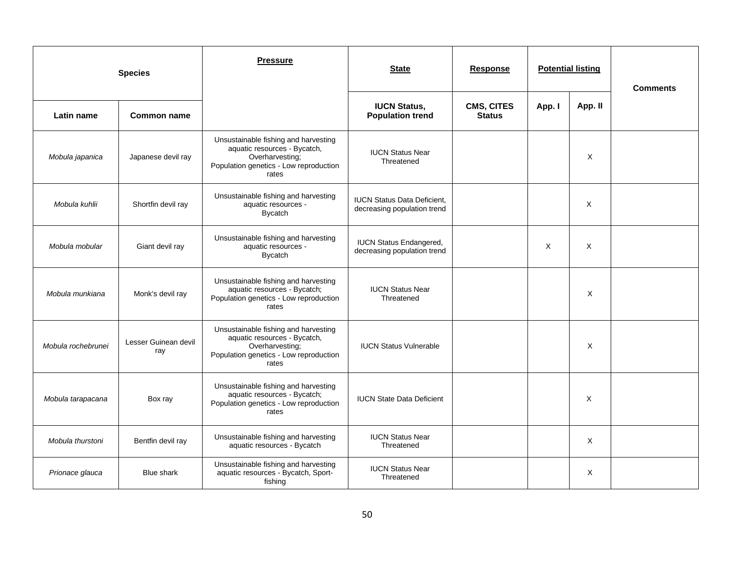|                    | <b>Species</b>              | <b>Pressure</b>                                                                                                                            | <b>State</b>                                                      | <b>Response</b>             | <b>Potential listing</b> |         | <b>Comments</b> |
|--------------------|-----------------------------|--------------------------------------------------------------------------------------------------------------------------------------------|-------------------------------------------------------------------|-----------------------------|--------------------------|---------|-----------------|
| Latin name         | Common name                 |                                                                                                                                            | <b>IUCN Status,</b><br><b>Population trend</b>                    | CMS, CITES<br><b>Status</b> | App. I                   | App. II |                 |
| Mobula japanica    | Japanese devil ray          | Unsustainable fishing and harvesting<br>aquatic resources - Bycatch,<br>Overharvesting;<br>Population genetics - Low reproduction<br>rates | <b>IUCN Status Near</b><br>Threatened                             |                             |                          | X       |                 |
| Mobula kuhlii      | Shortfin devil ray          | Unsustainable fishing and harvesting<br>aquatic resources -<br><b>Bycatch</b>                                                              | <b>IUCN Status Data Deficient.</b><br>decreasing population trend |                             |                          | X       |                 |
| Mobula mobular     | Giant devil ray             | Unsustainable fishing and harvesting<br>aquatic resources -<br><b>Bycatch</b>                                                              | <b>IUCN Status Endangered,</b><br>decreasing population trend     |                             | X                        | X       |                 |
| Mobula munkiana    | Monk's devil ray            | Unsustainable fishing and harvesting<br>aquatic resources - Bycatch;<br>Population genetics - Low reproduction<br>rates                    | <b>IUCN Status Near</b><br>Threatened                             |                             |                          | X       |                 |
| Mobula rochebrunei | Lesser Guinean devil<br>ray | Unsustainable fishing and harvesting<br>aquatic resources - Bycatch,<br>Overharvesting;<br>Population genetics - Low reproduction<br>rates | <b>IUCN Status Vulnerable</b>                                     |                             |                          | X       |                 |
| Mobula tarapacana  | Box ray                     | Unsustainable fishing and harvesting<br>aquatic resources - Bycatch;<br>Population genetics - Low reproduction<br>rates                    | <b>IUCN State Data Deficient</b>                                  |                             |                          | X       |                 |
| Mobula thurstoni   | Bentfin devil ray           | Unsustainable fishing and harvesting<br>aquatic resources - Bycatch                                                                        | <b>IUCN Status Near</b><br>Threatened                             |                             |                          | X       |                 |
| Prionace glauca    | <b>Blue shark</b>           | Unsustainable fishing and harvesting<br>aquatic resources - Bycatch, Sport-<br>fishing                                                     | <b>IUCN Status Near</b><br>Threatened                             |                             |                          | X       |                 |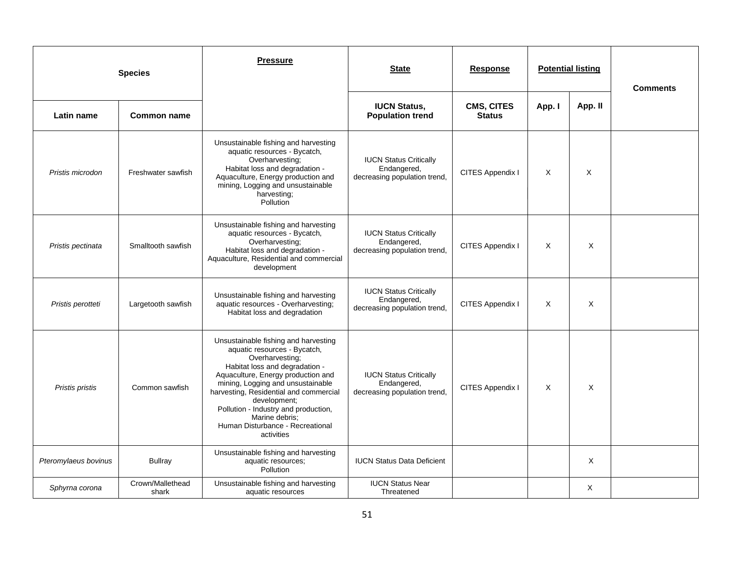|                      | <b>Species</b>            | <b>Pressure</b>                                                                                                                                                                                                                                                                                                                                                            | <b>State</b><br><b>Potential listing</b><br><b>Response</b>                  |                                    | <b>Comments</b> |         |  |
|----------------------|---------------------------|----------------------------------------------------------------------------------------------------------------------------------------------------------------------------------------------------------------------------------------------------------------------------------------------------------------------------------------------------------------------------|------------------------------------------------------------------------------|------------------------------------|-----------------|---------|--|
| Latin name           | <b>Common name</b>        |                                                                                                                                                                                                                                                                                                                                                                            | <b>IUCN Status,</b><br><b>Population trend</b>                               | <b>CMS, CITES</b><br><b>Status</b> | App. I          | App. II |  |
| Pristis microdon     | Freshwater sawfish        | Unsustainable fishing and harvesting<br>aquatic resources - Bycatch,<br>Overharvesting:<br>Habitat loss and degradation -<br>Aquaculture, Energy production and<br>mining, Logging and unsustainable<br>harvesting;<br>Pollution                                                                                                                                           | <b>IUCN Status Critically</b><br>Endangered,<br>decreasing population trend, | CITES Appendix I                   | X               | X       |  |
| Pristis pectinata    | Smalltooth sawfish        | Unsustainable fishing and harvesting<br>aquatic resources - Bycatch,<br>Overharvesting;<br>Habitat loss and degradation -<br>Aquaculture, Residential and commercial<br>development                                                                                                                                                                                        | <b>IUCN Status Critically</b><br>Endangered,<br>decreasing population trend, | CITES Appendix I                   | X               | X       |  |
| Pristis perotteti    | Largetooth sawfish        | Unsustainable fishing and harvesting<br>aquatic resources - Overharvesting;<br>Habitat loss and degradation                                                                                                                                                                                                                                                                | <b>IUCN Status Critically</b><br>Endangered,<br>decreasing population trend, | CITES Appendix I                   | X               | X       |  |
| Pristis pristis      | Common sawfish            | Unsustainable fishing and harvesting<br>aquatic resources - Bycatch,<br>Overharvesting;<br>Habitat loss and degradation -<br>Aquaculture, Energy production and<br>mining, Logging and unsustainable<br>harvesting, Residential and commercial<br>development;<br>Pollution - Industry and production,<br>Marine debris:<br>Human Disturbance - Recreational<br>activities | <b>IUCN Status Critically</b><br>Endangered,<br>decreasing population trend, | CITES Appendix I                   | X               | X       |  |
| Pteromylaeus bovinus | <b>Bullray</b>            | Unsustainable fishing and harvesting<br>aquatic resources;<br>Pollution                                                                                                                                                                                                                                                                                                    | <b>IUCN Status Data Deficient</b>                                            |                                    |                 | X       |  |
| Sphyrna corona       | Crown/Mallethead<br>shark | Unsustainable fishing and harvesting<br>aquatic resources                                                                                                                                                                                                                                                                                                                  | <b>IUCN Status Near</b><br>Threatened                                        |                                    |                 | X       |  |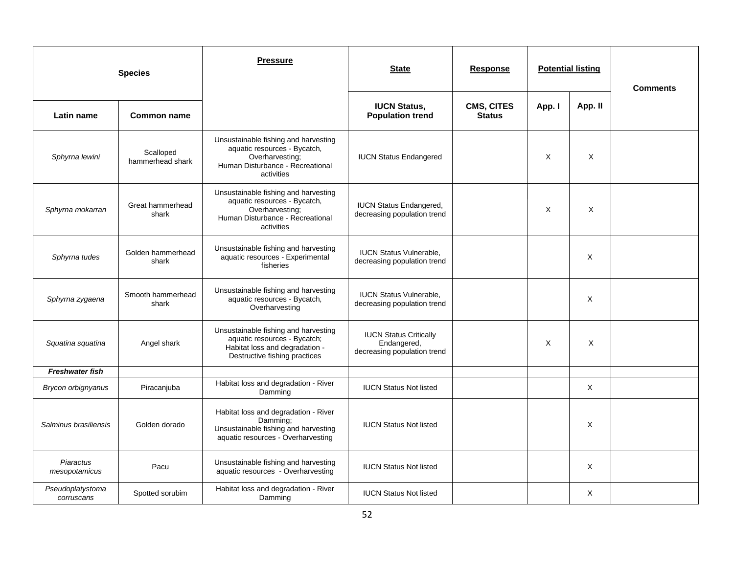|                                | <b>Species</b>                | <b>Pressure</b>                                                                                                                           | <b>State</b>                                                                | Response                    | <b>Potential listing</b> |          | <b>Comments</b> |
|--------------------------------|-------------------------------|-------------------------------------------------------------------------------------------------------------------------------------------|-----------------------------------------------------------------------------|-----------------------------|--------------------------|----------|-----------------|
| Latin name                     | Common name                   |                                                                                                                                           | <b>IUCN Status,</b><br><b>Population trend</b>                              | CMS, CITES<br><b>Status</b> | App. I                   | App. II  |                 |
| Sphyrna lewini                 | Scalloped<br>hammerhead shark | Unsustainable fishing and harvesting<br>aquatic resources - Bycatch,<br>Overharvesting;<br>Human Disturbance - Recreational<br>activities | <b>IUCN Status Endangered</b>                                               |                             | X                        | X        |                 |
| Sphyrna mokarran               | Great hammerhead<br>shark     | Unsustainable fishing and harvesting<br>aquatic resources - Bycatch,<br>Overharvesting;<br>Human Disturbance - Recreational<br>activities | <b>IUCN Status Endangered,</b><br>decreasing population trend               |                             | X                        | X        |                 |
| Sphyrna tudes                  | Golden hammerhead<br>shark    | Unsustainable fishing and harvesting<br>aquatic resources - Experimental<br>fisheries                                                     | <b>IUCN Status Vulnerable,</b><br>decreasing population trend               |                             |                          | X        |                 |
| Sphyrna zygaena                | Smooth hammerhead<br>shark    | Unsustainable fishing and harvesting<br>aquatic resources - Bycatch,<br>Overharvesting                                                    | <b>IUCN Status Vulnerable,</b><br>decreasing population trend               |                             |                          | X        |                 |
| Squatina squatina              | Angel shark                   | Unsustainable fishing and harvesting<br>aquatic resources - Bycatch;<br>Habitat loss and degradation -<br>Destructive fishing practices   | <b>IUCN Status Critically</b><br>Endangered,<br>decreasing population trend |                             | X                        | X        |                 |
| <b>Freshwater fish</b>         |                               |                                                                                                                                           |                                                                             |                             |                          |          |                 |
| Brycon orbignyanus             | Piracanjuba                   | Habitat loss and degradation - River<br>Damming                                                                                           | <b>IUCN Status Not listed</b>                                               |                             |                          | $\times$ |                 |
| Salminus brasiliensis          | Golden dorado                 | Habitat loss and degradation - River<br>Damming:<br>Unsustainable fishing and harvesting<br>aquatic resources - Overharvesting            | <b>IUCN Status Not listed</b>                                               |                             |                          | X        |                 |
| Piaractus<br>mesopotamicus     | Pacu                          | Unsustainable fishing and harvesting<br>aquatic resources - Overharvesting                                                                | <b>IUCN Status Not listed</b>                                               |                             |                          | X        |                 |
| Pseudoplatystoma<br>corruscans | Spotted sorubim               | Habitat loss and degradation - River<br>Damming                                                                                           | <b>IUCN Status Not listed</b>                                               |                             |                          | X        |                 |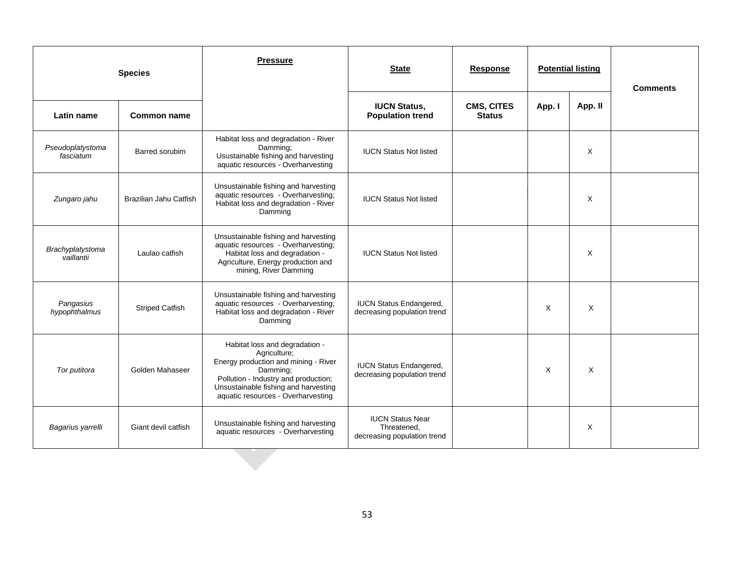|                                | <b>Species</b>         | <b>Pressure</b>                                                                                                                                                                                                          | <b>State</b>                                                          | <b>Response</b>             | <b>Potential listing</b> |         | <b>Comments</b> |
|--------------------------------|------------------------|--------------------------------------------------------------------------------------------------------------------------------------------------------------------------------------------------------------------------|-----------------------------------------------------------------------|-----------------------------|--------------------------|---------|-----------------|
| Latin name                     | Common name            |                                                                                                                                                                                                                          | <b>IUCN Status,</b><br><b>Population trend</b>                        | CMS, CITES<br><b>Status</b> | App. I                   | App. II |                 |
| Pseudoplatystoma<br>fasciatum  | Barred sorubim         | Habitat loss and degradation - River<br>Damming;<br>Usustainable fishing and harvesting<br>aquatic resources - Overharvesting                                                                                            | <b>IUCN Status Not listed</b>                                         |                             |                          | X       |                 |
| Zungaro jahu                   | Brazilian Jahu Catfish | Unsustainable fishing and harvesting<br>aquatic resources - Overharvesting;<br>Habitat loss and degradation - River<br>Damming                                                                                           | <b>IUCN Status Not listed</b>                                         |                             |                          | X       |                 |
| Brachyplatystoma<br>vaillantii | Laulao catfish         | Unsustainable fishing and harvesting<br>aquatic resources - Overharvesting;<br>Habitat loss and degradation -<br>Agriculture, Energy production and<br>mining, River Damming                                             | <b>IUCN Status Not listed</b>                                         |                             |                          | X       |                 |
| Pangasius<br>hypophthalmus     | <b>Striped Catfish</b> | Unsustainable fishing and harvesting<br>aquatic resources - Overharvesting;<br>Habitat loss and degradation - River<br>Damming                                                                                           | <b>IUCN Status Endangered,</b><br>decreasing population trend         |                             | X                        | X       |                 |
| Tor putitora                   | Golden Mahaseer        | Habitat loss and degradation -<br>Agriculture;<br>Energy production and mining - River<br>Damming;<br>Pollution - Industry and production;<br>Unsustainable fishing and harvesting<br>aquatic resources - Overharvesting | <b>IUCN Status Endangered,</b><br>decreasing population trend         |                             | $\times$                 | X       |                 |
| Bagarius yarrelli              | Giant devil catfish    | Unsustainable fishing and harvesting<br>aquatic resources - Overharvesting                                                                                                                                               | <b>IUCN Status Near</b><br>Threatened,<br>decreasing population trend |                             |                          | X       |                 |
|                                |                        |                                                                                                                                                                                                                          |                                                                       |                             |                          |         |                 |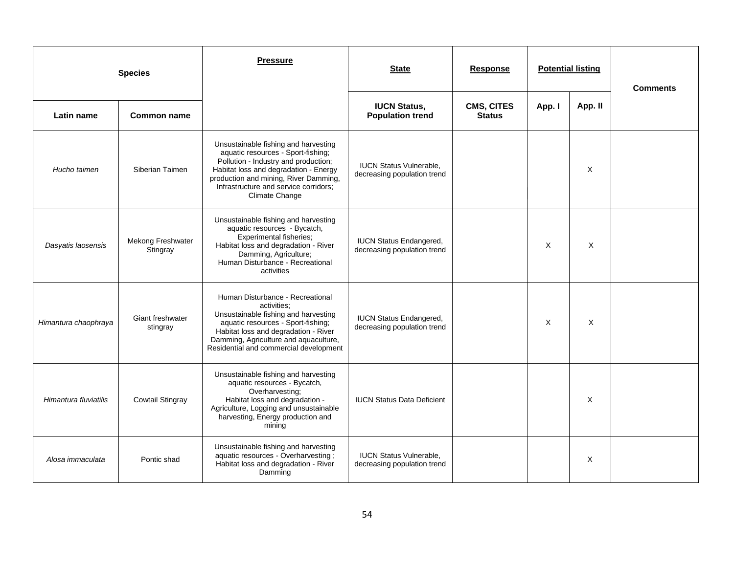|                       | <b>Species</b>                      | <b>Pressure</b>                                                                                                                                                                                                                                                 | <b>State</b>                                                  | <b>Response</b>                    | <b>Potential listing</b> |         | <b>Comments</b> |
|-----------------------|-------------------------------------|-----------------------------------------------------------------------------------------------------------------------------------------------------------------------------------------------------------------------------------------------------------------|---------------------------------------------------------------|------------------------------------|--------------------------|---------|-----------------|
| Latin name            | <b>Common name</b>                  |                                                                                                                                                                                                                                                                 | <b>IUCN Status,</b><br><b>Population trend</b>                | <b>CMS, CITES</b><br><b>Status</b> | App. I                   | App. II |                 |
| Hucho taimen          | Siberian Taimen                     | Unsustainable fishing and harvesting<br>aquatic resources - Sport-fishing;<br>Pollution - Industry and production;<br>Habitat loss and degradation - Energy<br>production and mining, River Damming,<br>Infrastructure and service corridors;<br>Climate Change | <b>IUCN Status Vulnerable,</b><br>decreasing population trend |                                    |                          | X       |                 |
| Dasyatis laosensis    | Mekong Freshwater<br>Stingray       | Unsustainable fishing and harvesting<br>aquatic resources - Bycatch,<br><b>Experimental fisheries;</b><br>Habitat loss and degradation - River<br>Damming, Agriculture;<br>Human Disturbance - Recreational<br>activities                                       | <b>IUCN Status Endangered,</b><br>decreasing population trend |                                    | $\times$                 | X       |                 |
| Himantura chaophraya  | <b>Giant freshwater</b><br>stingray | Human Disturbance - Recreational<br>activities:<br>Unsustainable fishing and harvesting<br>aquatic resources - Sport-fishing;<br>Habitat loss and degradation - River<br>Damming, Agriculture and aquaculture,<br>Residential and commercial development        | <b>IUCN Status Endangered,</b><br>decreasing population trend |                                    | Χ                        | X       |                 |
| Himantura fluviatilis | <b>Cowtail Stingray</b>             | Unsustainable fishing and harvesting<br>aquatic resources - Bycatch,<br>Overharvesting:<br>Habitat loss and degradation -<br>Agriculture, Logging and unsustainable<br>harvesting, Energy production and<br>mining                                              | <b>IUCN Status Data Deficient</b>                             |                                    |                          | X       |                 |
| Alosa immaculata      | Pontic shad                         | Unsustainable fishing and harvesting<br>aquatic resources - Overharvesting;<br>Habitat loss and degradation - River<br>Damming                                                                                                                                  | <b>IUCN Status Vulnerable,</b><br>decreasing population trend |                                    |                          | X       |                 |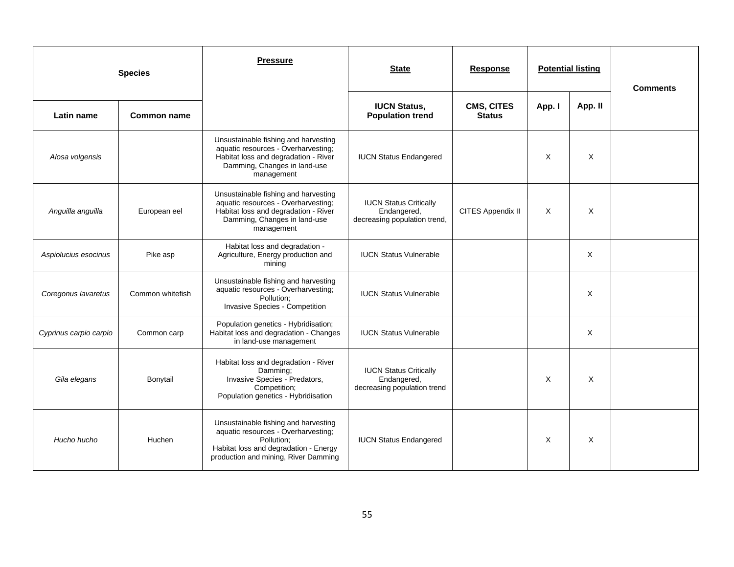|                        | <b>Species</b>   | <b>Pressure</b>                                                                                                                                                            | <b>State</b><br><b>Potential listing</b><br><b>Response</b>                  |                             | <b>Comments</b> |         |  |
|------------------------|------------------|----------------------------------------------------------------------------------------------------------------------------------------------------------------------------|------------------------------------------------------------------------------|-----------------------------|-----------------|---------|--|
| Latin name             | Common name      |                                                                                                                                                                            | <b>IUCN Status,</b><br><b>Population trend</b>                               | CMS, CITES<br><b>Status</b> | App. I          | App. II |  |
| Alosa volgensis        |                  | Unsustainable fishing and harvesting<br>aquatic resources - Overharvesting;<br>Habitat loss and degradation - River<br>Damming, Changes in land-use<br>management          | <b>IUCN Status Endangered</b>                                                |                             | X               | X       |  |
| Anguilla anguilla      | European eel     | Unsustainable fishing and harvesting<br>aquatic resources - Overharvesting;<br>Habitat loss and degradation - River<br>Damming, Changes in land-use<br>management          | <b>IUCN Status Critically</b><br>Endangered,<br>decreasing population trend, | CITES Appendix II           | X               | X       |  |
| Aspiolucius esocinus   | Pike asp         | Habitat loss and degradation -<br>Agriculture, Energy production and<br>mining                                                                                             | <b>IUCN Status Vulnerable</b>                                                |                             |                 | X       |  |
| Coregonus lavaretus    | Common whitefish | Unsustainable fishing and harvesting<br>aquatic resources - Overharvesting;<br>Pollution;<br>Invasive Species - Competition                                                | <b>IUCN Status Vulnerable</b>                                                |                             |                 | X       |  |
| Cyprinus carpio carpio | Common carp      | Population genetics - Hybridisation;<br>Habitat loss and degradation - Changes<br>in land-use management                                                                   | <b>IUCN Status Vulnerable</b>                                                |                             |                 | X       |  |
| Gila elegans           | Bonytail         | Habitat loss and degradation - River<br>Damming;<br>Invasive Species - Predators,<br>Competition;<br>Population genetics - Hybridisation                                   | <b>IUCN Status Critically</b><br>Endangered,<br>decreasing population trend  |                             | X               | X       |  |
| Hucho hucho            | Huchen           | Unsustainable fishing and harvesting<br>aquatic resources - Overharvesting;<br>Pollution:<br>Habitat loss and degradation - Energy<br>production and mining, River Damming | <b>IUCN Status Endangered</b>                                                |                             | X               | X       |  |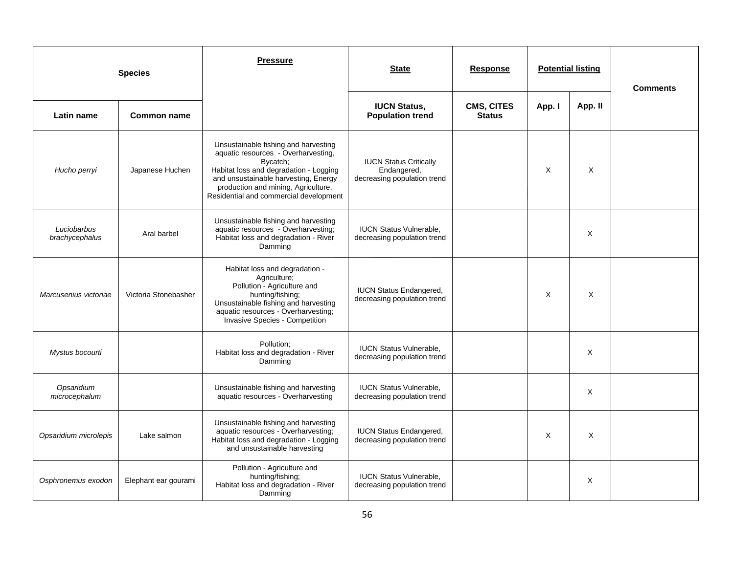|                               | <b>Species</b>       | <b>Pressure</b>                                                                                                                                                                                                                                            | <b>State</b>                                                                | <b>Response</b>             | <b>Potential listing</b> |          | <b>Comments</b> |
|-------------------------------|----------------------|------------------------------------------------------------------------------------------------------------------------------------------------------------------------------------------------------------------------------------------------------------|-----------------------------------------------------------------------------|-----------------------------|--------------------------|----------|-----------------|
| Latin name                    | <b>Common name</b>   |                                                                                                                                                                                                                                                            | <b>IUCN Status,</b><br><b>Population trend</b>                              | CMS, CITES<br><b>Status</b> | App. I                   | App. II  |                 |
| Hucho perryi                  | Japanese Huchen      | Unsustainable fishing and harvesting<br>aquatic resources - Overharvesting,<br>Bycatch;<br>Habitat loss and degradation - Logging<br>and unsustainable harvesting, Energy<br>production and mining, Agriculture,<br>Residential and commercial development | <b>IUCN Status Critically</b><br>Endangered,<br>decreasing population trend |                             | X                        | X        |                 |
| Luciobarbus<br>brachycephalus | Aral barbel          | Unsustainable fishing and harvesting<br>aquatic resources - Overharvesting;<br>Habitat loss and degradation - River<br>Damming                                                                                                                             | <b>IUCN Status Vulnerable,</b><br>decreasing population trend               |                             |                          | X        |                 |
| Marcusenius victoriae         | Victoria Stonebasher | Habitat loss and degradation -<br>Agriculture;<br>Pollution - Agriculture and<br>hunting/fishing;<br>Unsustainable fishing and harvesting<br>aquatic resources - Overharvesting;<br>Invasive Species - Competition                                         | <b>IUCN Status Endangered,</b><br>decreasing population trend               |                             | X                        | X        |                 |
| Mystus bocourti               |                      | Pollution:<br>Habitat loss and degradation - River<br>Damming                                                                                                                                                                                              | <b>IUCN Status Vulnerable,</b><br>decreasing population trend               |                             |                          | X        |                 |
| Opsaridium<br>microcephalum   |                      | Unsustainable fishing and harvesting<br>aquatic resources - Overharvesting                                                                                                                                                                                 | <b>IUCN Status Vulnerable,</b><br>decreasing population trend               |                             |                          | X        |                 |
| Opsaridium microlepis         | Lake salmon          | Unsustainable fishing and harvesting<br>aquatic resources - Overharvesting;<br>Habitat loss and degradation - Logging<br>and unsustainable harvesting                                                                                                      | <b>IUCN Status Endangered,</b><br>decreasing population trend               |                             | X                        | $\times$ |                 |
| Osphronemus exodon            | Elephant ear gourami | Pollution - Agriculture and<br>hunting/fishing;<br>Habitat loss and degradation - River<br>Damming                                                                                                                                                         | <b>IUCN Status Vulnerable,</b><br>decreasing population trend               |                             |                          | X        |                 |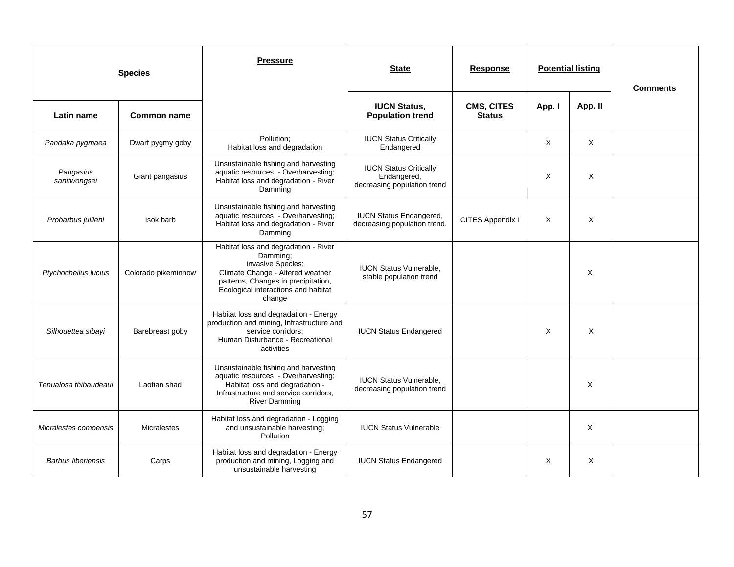|                           | <b>Species</b>      | <b>Pressure</b>                                                                                                                                                                                   | <b>State</b>                                                                | <b>Response</b>                    |          | <b>Potential listing</b> | <b>Comments</b> |
|---------------------------|---------------------|---------------------------------------------------------------------------------------------------------------------------------------------------------------------------------------------------|-----------------------------------------------------------------------------|------------------------------------|----------|--------------------------|-----------------|
| Latin name                | Common name         |                                                                                                                                                                                                   | <b>IUCN Status,</b><br><b>Population trend</b>                              | <b>CMS, CITES</b><br><b>Status</b> | App. I   | App. II                  |                 |
| Pandaka pygmaea           | Dwarf pygmy goby    | Pollution:<br>Habitat loss and degradation                                                                                                                                                        | <b>IUCN Status Critically</b><br>Endangered                                 |                                    | $\times$ | $\times$                 |                 |
| Pangasius<br>sanitwongsei | Giant pangasius     | Unsustainable fishing and harvesting<br>aquatic resources - Overharvesting;<br>Habitat loss and degradation - River<br>Damming                                                                    | <b>IUCN Status Critically</b><br>Endangered,<br>decreasing population trend |                                    | X        | X                        |                 |
| Probarbus jullieni        | Isok barb           | Unsustainable fishing and harvesting<br>aquatic resources - Overharvesting;<br>Habitat loss and degradation - River<br>Damming                                                                    | <b>IUCN Status Endangered,</b><br>decreasing population trend,              | CITES Appendix I                   | X        | X                        |                 |
| Ptychocheilus lucius      | Colorado pikeminnow | Habitat loss and degradation - River<br>Damming:<br>Invasive Species;<br>Climate Change - Altered weather<br>patterns, Changes in precipitation,<br>Ecological interactions and habitat<br>change | <b>IUCN Status Vulnerable.</b><br>stable population trend                   |                                    |          | X                        |                 |
| Silhouettea sibayi        | Barebreast goby     | Habitat loss and degradation - Energy<br>production and mining, Infrastructure and<br>service corridors;<br>Human Disturbance - Recreational<br>activities                                        | <b>IUCN Status Endangered</b>                                               |                                    | X        | X                        |                 |
| Tenualosa thibaudeaui     | Laotian shad        | Unsustainable fishing and harvesting<br>aquatic resources - Overharvesting;<br>Habitat loss and degradation -<br>Infrastructure and service corridors,<br><b>River Damming</b>                    | <b>IUCN Status Vulnerable.</b><br>decreasing population trend               |                                    |          | X                        |                 |
| Micralestes comoensis     | <b>Micralestes</b>  | Habitat loss and degradation - Logging<br>and unsustainable harvesting;<br>Pollution                                                                                                              | <b>IUCN Status Vulnerable</b>                                               |                                    |          | X                        |                 |
| <b>Barbus liberiensis</b> | Carps               | Habitat loss and degradation - Energy<br>production and mining, Logging and<br>unsustainable harvesting                                                                                           | <b>IUCN Status Endangered</b>                                               |                                    | Χ        | X                        |                 |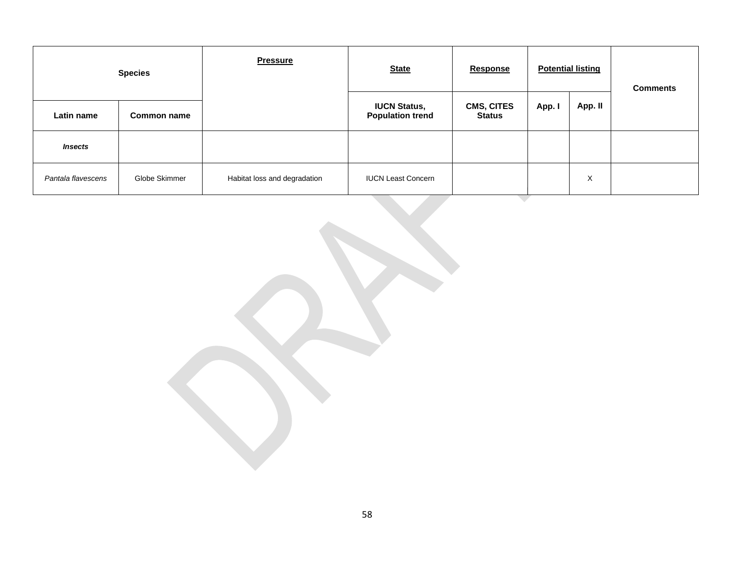| <b>Species</b>     |               | <b>Pressure</b>              | <b>State</b>                                   | <b>Response</b>                    |        | <b>Potential listing</b> | <b>Comments</b> |
|--------------------|---------------|------------------------------|------------------------------------------------|------------------------------------|--------|--------------------------|-----------------|
| Latin name         | Common name   |                              | <b>IUCN Status,</b><br><b>Population trend</b> | <b>CMS, CITES</b><br><b>Status</b> | App. I | App. II                  |                 |
| <b>Insects</b>     |               |                              |                                                |                                    |        |                          |                 |
| Pantala flavescens | Globe Skimmer | Habitat loss and degradation | <b>IUCN Least Concern</b>                      |                                    |        | X                        |                 |